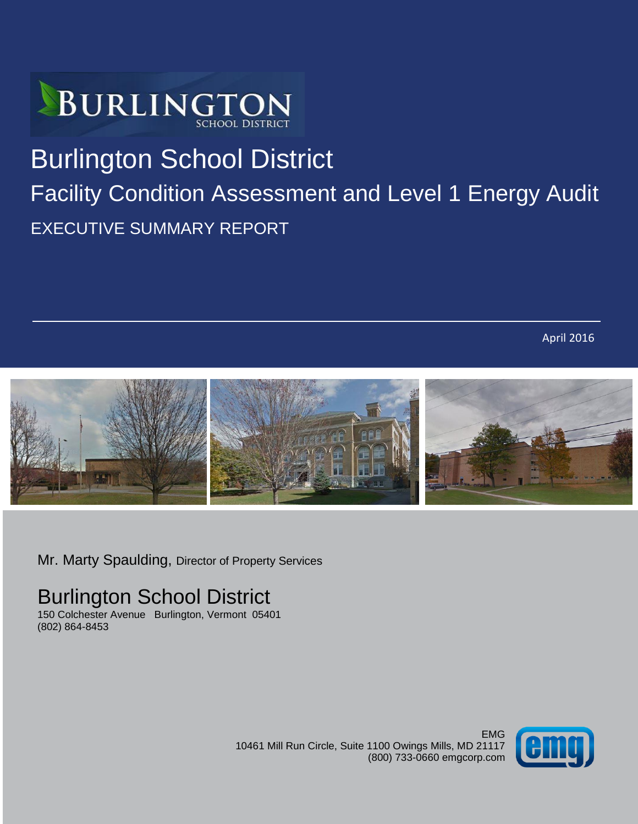

# Burlington School District Facility Condition Assessment and Level 1 Energy Audit

EXECUTIVE SUMMARY REPORT

April 2016



Mr. Marty Spaulding, Director of Property Services

# Burlington School District

150 Colchester Avenue Burlington, Vermont 05401 (802) 864-8453

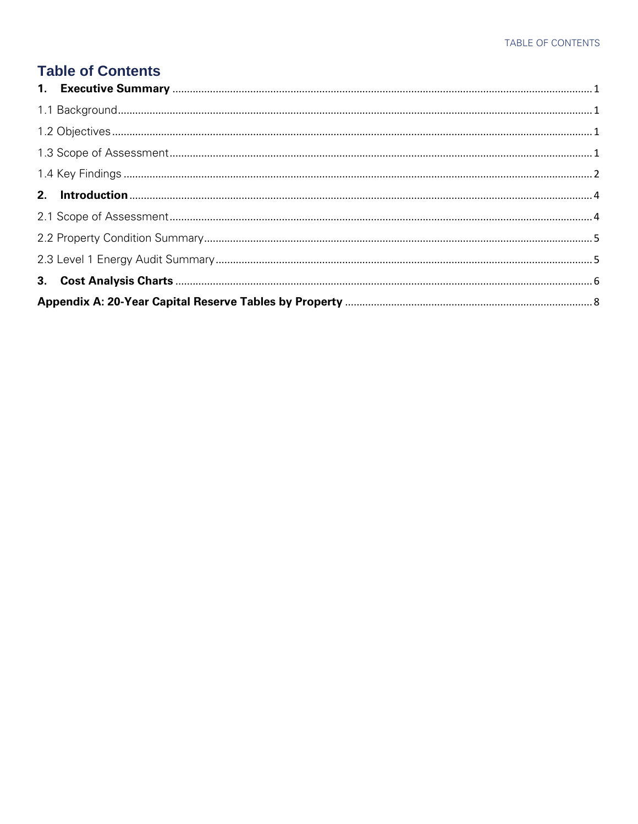### **Table of Contents**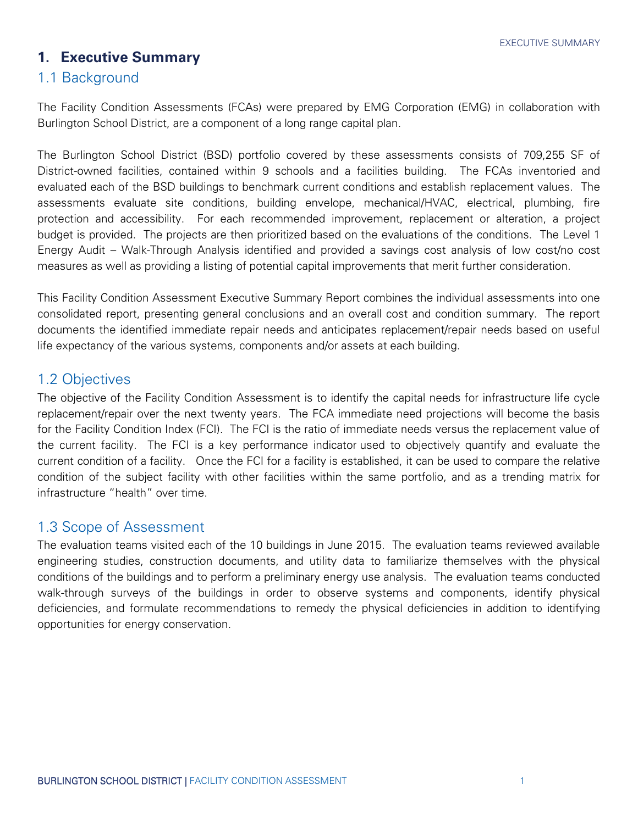### <span id="page-2-0"></span>**1. Executive Summary**

#### <span id="page-2-1"></span>1.1 Background

The Facility Condition Assessments (FCAs) were prepared by EMG Corporation (EMG) in collaboration with Burlington School District, are a component of a long range capital plan.

The Burlington School District (BSD) portfolio covered by these assessments consists of 709,255 SF of District-owned facilities, contained within 9 schools and a facilities building. The FCAs inventoried and evaluated each of the BSD buildings to benchmark current conditions and establish replacement values. The assessments evaluate site conditions, building envelope, mechanical/HVAC, electrical, plumbing, fire protection and accessibility. For each recommended improvement, replacement or alteration, a project budget is provided. The projects are then prioritized based on the evaluations of the conditions. The Level 1 Energy Audit – Walk-Through Analysis identified and provided a savings cost analysis of low cost/no cost measures as well as providing a listing of potential capital improvements that merit further consideration.

This Facility Condition Assessment Executive Summary Report combines the individual assessments into one consolidated report, presenting general conclusions and an overall cost and condition summary. The report documents the identified immediate repair needs and anticipates replacement/repair needs based on useful life expectancy of the various systems, components and/or assets at each building.

#### <span id="page-2-2"></span>1.2 Objectives

The objective of the Facility Condition Assessment is to identify the capital needs for infrastructure life cycle replacement/repair over the next twenty years. The FCA immediate need projections will become the basis for the Facility Condition Index (FCI). The FCI is the ratio of immediate needs versus the replacement value of the current facility. The FCI is a key [performance indicator](http://www.assetinsights.net/Glossary/G_Key_Performance_Indicator_%28KPI%29.html) used to objectively quantify and evaluate the current [condition](http://www.assetinsights.net/Glossary/G_Condition.html) of a [facility.](http://www.assetinsights.net/Glossary/G_Facility.html) Once the FCI for a facility is established, it can be used to compare the relative condition of the subject facility with other facilities within the same [portfolio,](http://www.assetinsights.net/Glossary/G_Portfolio.html) and as a trending matrix for infrastructure "health" over time.

#### <span id="page-2-3"></span>1.3 Scope of Assessment

The evaluation teams visited each of the 10 buildings in June 2015. The evaluation teams reviewed available engineering studies, construction documents, and utility data to familiarize themselves with the physical conditions of the buildings and to perform a preliminary energy use analysis. The evaluation teams conducted walk-through surveys of the buildings in order to observe systems and components, identify physical deficiencies, and formulate recommendations to remedy the physical deficiencies in addition to identifying opportunities for energy conservation.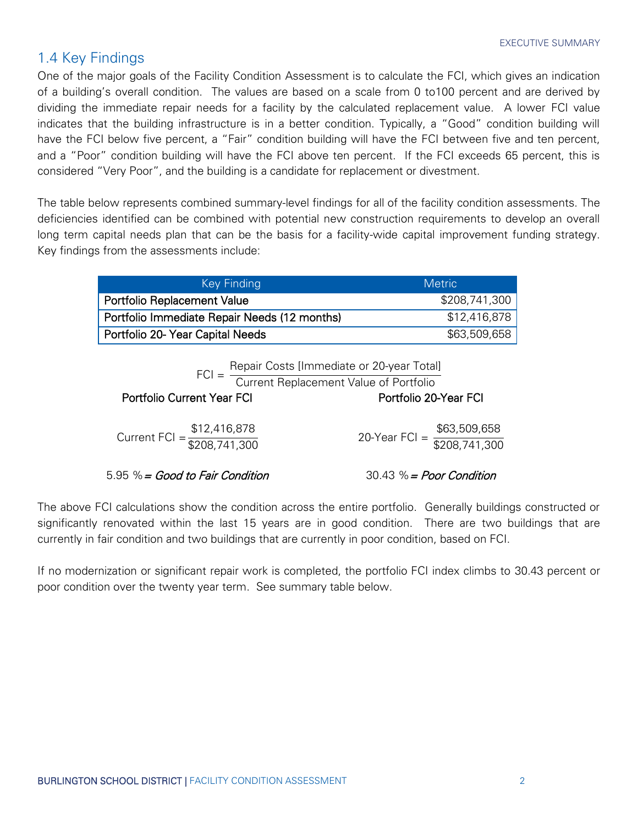#### <span id="page-3-0"></span>1.4 Key Findings

One of the major goals of the Facility Condition Assessment is to calculate the FCI, which gives an indication of a building's overall condition. The values are based on a scale from 0 to100 percent and are derived by dividing the immediate repair needs for a facility by the calculated replacement value. A lower FCI value indicates that the building infrastructure is in a better condition. Typically, a "Good" condition building will have the FCI below five percent, a "Fair" condition building will have the FCI between five and ten percent, and a "Poor" condition building will have the FCI above ten percent. If the FCI exceeds 65 percent, this is considered "Very Poor", and the building is a candidate for replacement or divestment.

The table below represents combined summary-level findings for all of the facility condition assessments. The deficiencies identified can be combined with potential new construction requirements to develop an overall long term capital needs plan that can be the basis for a facility-wide capital improvement funding strategy. Key findings from the assessments include:

| Key Finding                                  | <b>Metric</b> |
|----------------------------------------------|---------------|
| <b>Portfolio Replacement Value</b>           | \$208,741,300 |
| Portfolio Immediate Repair Needs (12 months) | \$12,416,878  |
| Portfolio 20- Year Capital Needs             | \$63,509,658  |

 $FCI =$ Repair Costs [Immediate or 20-year Total]

Current Replacement Value of Portfolio

Portfolio Current Year FCI Current Current Sear FCI Portfolio 20-Year FCI

| \$12,416,878                                    | \$63,509,658                                    |
|-------------------------------------------------|-------------------------------------------------|
| Current FCI = $\frac{212,110,000}{208,741,300}$ | 20-Year FCI = $\frac{200,000,000}{208,741,300}$ |

 $5.95\% = Good$  to Fair Condition  $30.43\% = Poor Condition$ 

The above FCI calculations show the condition across the entire portfolio. Generally buildings constructed or significantly renovated within the last 15 years are in good condition. There are two buildings that are currently in fair condition and two buildings that are currently in poor condition, based on FCI.

If no modernization or significant repair work is completed, the portfolio FCI index climbs to 30.43 percent or poor condition over the twenty year term. See summary table below.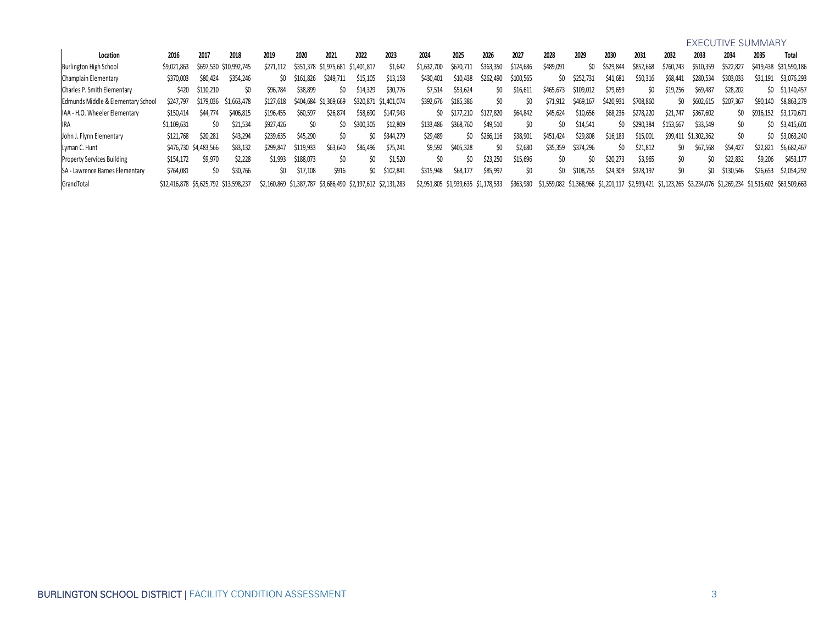| <b>EXECUTIVE SUMMARY</b> |  |
|--------------------------|--|
|--------------------------|--|

| Location                               | 2016                                  | 2017                  | 2018                   | 2019                                                        | 2020      | 2021                              | 2022      | 2023                  | 2024                                | 2025      | 2026          | 2027      | 2028      | 2029      | 2030      | 2031      | 2032          | 2033                 | 2034      | 2035          | Total                                                                                                        |
|----------------------------------------|---------------------------------------|-----------------------|------------------------|-------------------------------------------------------------|-----------|-----------------------------------|-----------|-----------------------|-------------------------------------|-----------|---------------|-----------|-----------|-----------|-----------|-----------|---------------|----------------------|-----------|---------------|--------------------------------------------------------------------------------------------------------------|
| Burlington High School                 | \$9,021,863                           |                       | \$697,530 \$10,992,745 | \$271,112                                                   |           | \$351,378 \$1,975,681 \$1,401,817 |           | \$1,642               | \$1,632,700                         | \$670,711 | \$363,350     | \$124,686 | \$489,091 | SO.       | \$529,844 | \$852,668 | \$760,743     | \$510,359            | \$522,827 |               | \$419,438 \$31,590,186                                                                                       |
| Champlain Elementary                   | \$370,003                             | \$80,424              | \$354,246              | SO.                                                         | \$161,826 | S249.711                          | \$15,105  | \$13,158              | \$430,401                           | \$10,438  | \$262,490     | \$100,565 | SO.       | \$252,731 | \$41,681  | \$50,316  | \$68,441      | \$280,534            | \$303,033 | \$31,191      | \$3,076,293                                                                                                  |
| Charles P. Smith Elementary            | <b>S420</b>                           | \$110,210             | SO.                    | \$96,784                                                    | \$38,899  | SO.                               | \$14,329  | \$30,776              | \$7,514                             | \$53,624  | SO.           | \$16,611  | \$465,673 | \$109,012 | \$79,659  | SO.       | \$19,256      | \$69,487             | \$28,202  |               | $$0$ $$1,140,457$                                                                                            |
| Edmunds Middle & Elementary School     | \$247.797                             | \$179.036             | \$1,663,478            | \$127,618                                                   |           | \$404,684 \$1,369,669             |           | \$320,871 \$1,401,074 | \$392,676                           | \$185,386 | SO.           |           | \$71.912  | \$469,167 | \$420,931 | \$708,860 | $\mathsf{S}0$ | \$602.615            | \$207,367 | \$90,140      | \$8,863,279                                                                                                  |
| IAA - H.O. Wheeler Elementary          | S150.414                              | <b>\$44,774</b>       | \$406,815              | \$196,455                                                   | \$60,597  | \$26,874                          | \$58,690  | \$147,943             | SO.                                 | \$177,210 | \$127,820     | \$64,842  | \$45,624  | \$10,656  | \$68,236  | \$278,220 | \$21,747      | \$367,602            |           | \$0 \$916,152 | \$3,170,671                                                                                                  |
| IRA                                    | \$1,109,631                           |                       | \$21.534               | \$927.426                                                   | SO.       | SO.                               | \$300,305 | \$12,809              | \$133,486                           | \$368,760 | \$49,510      |           | SO.       | \$14,541  | ŚO.       | \$290.384 | \$153,667     | \$33.549             | SO.       |               | \$0 \$3,415,601                                                                                              |
| John J. Flynn Elementary               | \$121,768                             | \$20,281              | \$43,294               | \$239,635                                                   | \$45,290  | SO.                               | SO.       | \$344,279             | \$29,489                            |           | \$0 \$266,116 | \$38,901  | \$451,424 | \$29,808  | \$16,183  | \$15,001  |               | \$99,411 \$1,302,362 | \$0       |               | \$0 \$3,063,240                                                                                              |
| Lyman C. Hunt                          |                                       | \$476,730 \$4,483,566 | \$83.132               | \$299.847                                                   | \$119,933 | \$63,640                          | \$86,496  | \$75.241              | \$9,592                             | \$405.328 | ŚO.           | \$2,680   | \$35,359  | \$374.296 | ŚO.       | \$21,812  | ŚO.           | \$67.568             | \$54,427  | \$22,821      | \$6.682.467                                                                                                  |
| <b>Property Services Building</b>      | \$154,172                             | \$9,970               | \$2.228                | \$1,993                                                     | \$188,073 | SO.                               | SO.       | \$1.520               | SO.                                 | SO.       | \$23,250      | \$15,696  | SO.       | SO.       | \$20,273  | \$3,965   | ŚO.           | ŚO.                  | \$22,832  | \$9,206       | \$453,177                                                                                                    |
| <b>SA - Lawrence Barnes Elementary</b> | \$764,081                             |                       | \$30,766               | \$0                                                         | \$17,108  | \$916                             | ŚO.       | \$102,841             | \$315,948                           | \$68,177  | \$85,997      | \$O       | SO.       | \$108,755 | \$24,309  | \$378,197 | ŚO.           | SO.                  | \$130,546 | \$26,653      | \$2,054,292                                                                                                  |
| GrandTotal                             | \$12,416,878 \$5,625,792 \$13,598,237 |                       |                        | \$2,160,869 \$1,387,787 \$3,686,490 \$2,197,612 \$2,131,283 |           |                                   |           |                       | \$2,951,805 \$1,939,635 \$1,178,533 |           |               | \$363,980 |           |           |           |           |               |                      |           |               | \$1,559,082 \$1,368,966 \$1,201,117 \$2,599,421 \$1,123,265 \$3,234,076 \$1,269,234 \$1,515,602 \$63,509,663 |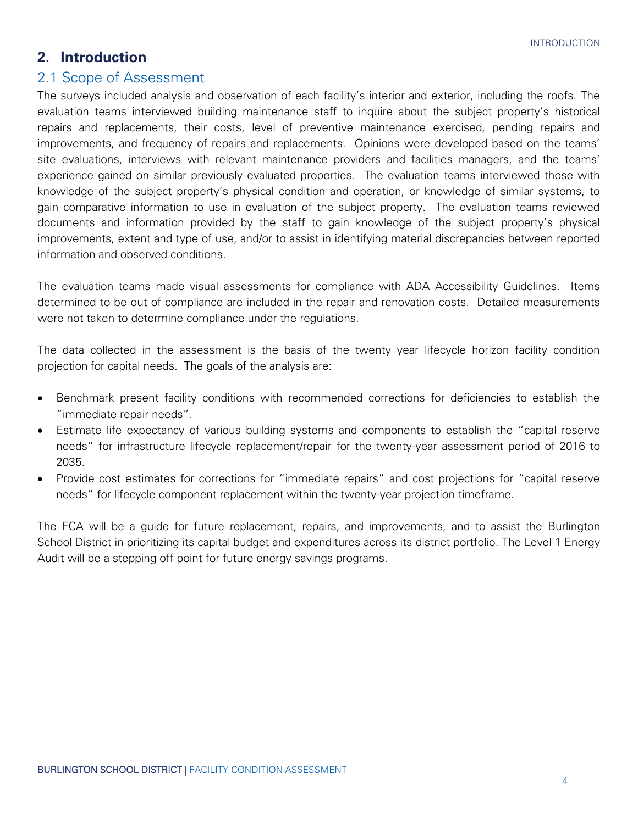#### <span id="page-5-0"></span>**2. Introduction**

#### <span id="page-5-1"></span>2.1 Scope of Assessment

The surveys included analysis and observation of each facility's interior and exterior, including the roofs. The evaluation teams interviewed building maintenance staff to inquire about the subject property's historical repairs and replacements, their costs, level of preventive maintenance exercised, pending repairs and improvements, and frequency of repairs and replacements. Opinions were developed based on the teams' site evaluations, interviews with relevant maintenance providers and facilities managers, and the teams' experience gained on similar previously evaluated properties. The evaluation teams interviewed those with knowledge of the subject property's physical condition and operation, or knowledge of similar systems, to gain comparative information to use in evaluation of the subject property. The evaluation teams reviewed documents and information provided by the staff to gain knowledge of the subject property's physical improvements, extent and type of use, and/or to assist in identifying material discrepancies between reported information and observed conditions.

The evaluation teams made visual assessments for compliance with ADA Accessibility Guidelines. Items determined to be out of compliance are included in the repair and renovation costs. Detailed measurements were not taken to determine compliance under the regulations.

The data collected in the assessment is the basis of the twenty year lifecycle horizon facility condition projection for capital needs. The goals of the analysis are:

- Benchmark present facility conditions with recommended corrections for deficiencies to establish the "immediate repair needs".
- Estimate life expectancy of various building systems and components to establish the "capital reserve needs" for infrastructure lifecycle replacement/repair for the twenty-year assessment period of 2016 to 2035.
- Provide cost estimates for corrections for "immediate repairs" and cost projections for "capital reserve needs" for lifecycle component replacement within the twenty-year projection timeframe.

The FCA will be a guide for future replacement, repairs, and improvements, and to assist the Burlington School District in prioritizing its capital budget and expenditures across its district portfolio. The Level 1 Energy Audit will be a stepping off point for future energy savings programs.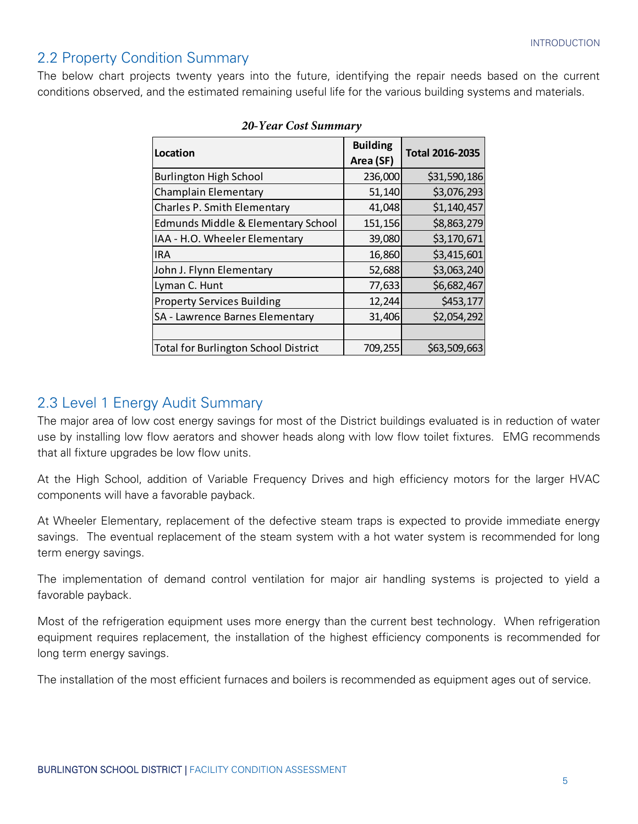#### <span id="page-6-0"></span>2.2 Property Condition Summary

The below chart projects twenty years into the future, identifying the repair needs based on the current conditions observed, and the estimated remaining useful life for the various building systems and materials.

| Location                                      | <b>Building</b><br>Area (SF) | <b>Total 2016-2035</b> |
|-----------------------------------------------|------------------------------|------------------------|
| <b>Burlington High School</b>                 | 236,000                      | \$31,590,186           |
| Champlain Elementary                          | 51,140                       | \$3,076,293            |
| Charles P. Smith Elementary                   | 41,048                       | \$1,140,457            |
| <b>Edmunds Middle &amp; Elementary School</b> | 151,156                      | \$8,863,279            |
| IAA - H.O. Wheeler Elementary                 | 39,080                       | \$3,170,671            |
| <b>IRA</b>                                    | 16,860                       | \$3,415,601            |
| John J. Flynn Elementary                      | 52,688                       | \$3,063,240            |
| Lyman C. Hunt                                 | 77,633                       | \$6,682,467            |
| <b>Property Services Building</b>             | 12,244                       | \$453,177              |
| SA - Lawrence Barnes Elementary               | 31,406                       | \$2,054,292            |
|                                               |                              |                        |
| Total for Burlington School District          | 709,255                      | \$63,509,663           |

#### 20-Year Cost Summary

#### <span id="page-6-1"></span>2.3 Level 1 Energy Audit Summary

The major area of low cost energy savings for most of the District buildings evaluated is in reduction of water use by installing low flow aerators and shower heads along with low flow toilet fixtures. EMG recommends that all fixture upgrades be low flow units.

At the High School, addition of Variable Frequency Drives and high efficiency motors for the larger HVAC components will have a favorable payback.

At Wheeler Elementary, replacement of the defective steam traps is expected to provide immediate energy savings. The eventual replacement of the steam system with a hot water system is recommended for long term energy savings.

The implementation of demand control ventilation for major air handling systems is projected to yield a favorable payback.

Most of the refrigeration equipment uses more energy than the current best technology. When refrigeration equipment requires replacement, the installation of the highest efficiency components is recommended for long term energy savings.

The installation of the most efficient furnaces and boilers is recommended as equipment ages out of service.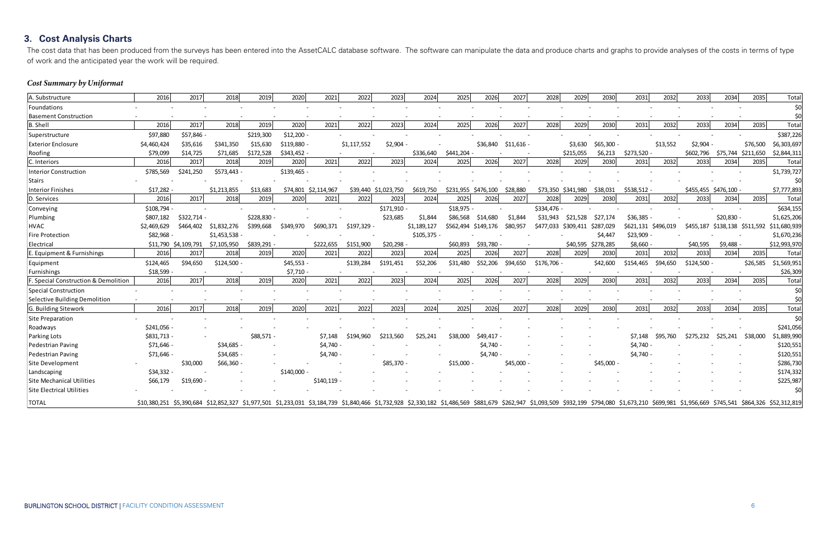### <span id="page-7-0"></span>**3. Cost Analysis Charts**

The cost data that has been produced from the surveys has been entered into the AssetCALC database software. The software can manipulate the data and produce charts and of work and the anticipated year the work will be required.

### **Cost Summary by Uniformat**

| A. Substructure                      | 2016                                                                                                                                                                                                                                             | 2017                 | 2018        | 2019       | 2020        | 2021                 | 2022        | 2023                 | 2024        | 2025                | 2026      | 2027        | 2028        | 2029               | 2030      | 2031                | 2032     | 2033        | 2034                          | 2035     | Total        |
|--------------------------------------|--------------------------------------------------------------------------------------------------------------------------------------------------------------------------------------------------------------------------------------------------|----------------------|-------------|------------|-------------|----------------------|-------------|----------------------|-------------|---------------------|-----------|-------------|-------------|--------------------|-----------|---------------------|----------|-------------|-------------------------------|----------|--------------|
| Foundations                          |                                                                                                                                                                                                                                                  |                      |             |            |             |                      |             |                      |             |                     |           |             |             |                    |           |                     |          |             |                               |          | \$0          |
| <b>Basement Construction</b>         |                                                                                                                                                                                                                                                  |                      |             |            |             |                      |             |                      |             |                     |           |             |             |                    |           |                     |          |             |                               |          | \$0          |
| <b>B.</b> Shell                      | 2016                                                                                                                                                                                                                                             | 2017                 | 2018        | 2019       | 2020        | 2021                 | 2022        | 2023                 | 2024        | 2025                | 2026      | 2027        | 2028        | 2029               | 2030      | 2031                | 2032     | 2033        | 2034                          | 2035     | Total        |
| Superstructure                       | \$97,880                                                                                                                                                                                                                                         | \$57,846 -           |             | \$219,300  | \$12,200    |                      |             |                      |             |                     |           |             |             |                    |           |                     |          |             |                               |          | \$387,226    |
| <b>Exterior Enclosure</b>            | \$4,460,424                                                                                                                                                                                                                                      | \$35,616             | \$341,350   | \$15,630   | \$119,880   |                      | \$1,117,552 | \$2,904              |             |                     | \$36,840  | $$11,616 -$ |             | \$3,630            | \$65,300  |                     | \$13,552 | \$2,904     |                               | \$76,500 | \$6,303,697  |
| Roofing                              | \$79,099                                                                                                                                                                                                                                         | \$14,725             | \$71,685    | \$172,528  | \$343,452 - |                      |             |                      | \$336,640   | \$441,204           |           |             |             | \$215,055          | \$6,213   | \$273,520           |          | \$602,796   | \$75,744 \$211,650            |          | \$2,844,311  |
| C. Interiors                         | 2016                                                                                                                                                                                                                                             | 2017                 | 2018        | 2019       | 2020        | 2021                 | 2022        | 2023                 | 2024        | 2025                | 2026      | 2027        | 2028        | 2029               | 2030      | 2031                | 2032     | 2033        | 2034                          | 2035     | Total        |
| <b>Interior Construction</b>         | \$785,569                                                                                                                                                                                                                                        | \$241,250            | \$573,443 - |            | \$139,465 - |                      |             |                      |             |                     |           |             |             |                    |           |                     |          |             |                               |          | \$1,739,727  |
| <b>Stairs</b>                        |                                                                                                                                                                                                                                                  |                      |             |            |             |                      |             |                      |             |                     |           |             |             |                    |           |                     |          |             |                               |          | \$0          |
| <b>Interior Finishes</b>             | \$17,282                                                                                                                                                                                                                                         |                      | \$1,213,855 | \$13,683   |             | \$74,801 \$2,114,967 |             | \$39,440 \$1,023,750 | \$619,750   | \$231,955 \$476,100 |           | \$28,880    |             | \$73,350 \$341,980 | \$38,031  | \$538,512 -         |          |             | \$455,455 \$476,100           |          | \$7,777,893  |
| D. Services                          | 2016                                                                                                                                                                                                                                             | 2017                 | 2018        | 2019       | 2020        | 2021                 | 2022        | 2023                 | 2024        | 2025                | 2026      | 2027        | 2028        | 2029               | 2030      | 2031                | 2032     | 2033        | 2034                          | 2035     | Total        |
| Conveying                            | \$108,794                                                                                                                                                                                                                                        |                      |             |            |             |                      |             | \$171,910 -          |             | \$18,975            |           |             | \$334,476   |                    |           |                     |          |             |                               |          | \$634,155    |
| Plumbing                             | \$807,182                                                                                                                                                                                                                                        | \$322,714            |             | \$228,830  |             |                      |             | \$23,685             | \$1,844     | \$86,568            | \$14,680  | \$1.844     | \$31,943    | \$21,528           | \$27,174  | \$36,385 -          |          |             | \$20,830 -                    |          | \$1,625,206  |
| <b>HVAC</b>                          | \$2,469,629                                                                                                                                                                                                                                      | \$464,402            | \$1,832,276 | \$399,668  | \$349,970   | \$690,371            | \$197,329   |                      | \$1,189,127 | \$562,494           | \$149,176 | \$80,957    | \$477,033   | \$309,411          | \$287,029 | \$621,131 \$496,019 |          |             | \$455,187 \$138,138 \$511,592 |          | \$11,680,939 |
| <b>Fire Protection</b>               | \$82,968                                                                                                                                                                                                                                         |                      | \$1,453,538 |            |             |                      |             |                      | \$105,375   |                     |           |             |             |                    | \$4,447   | \$23,909            |          |             |                               |          | \$1,670,236  |
| Electrical                           |                                                                                                                                                                                                                                                  | \$11,790 \$4,109,791 | \$7,105,950 | \$839,291  |             | \$222,655            | \$151,900   | \$20,298             |             | \$60,893            | \$93,780  |             |             | \$40,595           | \$278,285 | \$8,660             |          | \$40,595    | \$9,488                       |          | \$12,993,970 |
| E. Equipment & Furnishings           | 2016                                                                                                                                                                                                                                             | 2017                 | 2018        | 2019       | 2020        | 2021                 | 2022        | 2023                 | 2024        | 2025                | 2026      | 2027        | 2028        | 2029               | 2030      | 2031                | 2032     | 2033        | 2034                          | 2035     | Total        |
| Equipment                            | \$124,465                                                                                                                                                                                                                                        | \$94,650             | \$124,500   |            | \$45,553 -  |                      | \$139,284   | \$191,451            | \$52,206    | \$31,480            | \$52,206  | \$94,650    | \$176,706 - |                    | \$42,600  | \$154,465           | \$94,650 | \$124,500 - |                               | \$26,585 | \$1,569,951  |
| Furnishings                          | \$18,599                                                                                                                                                                                                                                         |                      |             |            | \$7,710     |                      |             |                      |             |                     |           |             |             |                    |           |                     |          |             |                               |          | \$26,309     |
| F. Special Construction & Demolition | 2016                                                                                                                                                                                                                                             | 2017                 | 2018        | 2019       | 2020        | 2021                 | 2022        | 2023                 | 2024        | 2025                | 2026      | 2027        | 2028        | 2029               | 2030      | 2031                | 2032     | 2033        | 2034                          | 2035     | Total        |
| Special Construction                 |                                                                                                                                                                                                                                                  |                      |             |            |             |                      |             |                      |             |                     |           |             |             |                    |           |                     |          |             |                               |          | \$0          |
| Selective Building Demolition        |                                                                                                                                                                                                                                                  |                      |             |            |             |                      |             |                      |             |                     |           |             |             |                    |           |                     |          |             |                               |          | \$0          |
| G. Building Sitework                 | 2016                                                                                                                                                                                                                                             | 2017                 | 2018        | 2019       | 2020        | 2021                 | 2022        | 2023                 | 2024        | 2025                | 2026      | 2027        | 2028        | 2029               | 2030      | 2031                | 2032     | 2033        | 2034                          | 2035     | Total        |
| Site Preparation                     |                                                                                                                                                                                                                                                  |                      |             |            |             |                      |             |                      |             |                     |           |             |             |                    |           |                     |          |             |                               |          | \$0          |
| Roadways                             | \$241,056                                                                                                                                                                                                                                        |                      |             |            |             |                      |             |                      |             |                     |           |             |             |                    |           |                     |          |             |                               |          | \$241,056    |
| Parking Lots                         | \$831,713 -                                                                                                                                                                                                                                      |                      |             | \$88,571 - |             | \$7,148              | \$194.960   | \$213.560            | \$25.241    | \$38,000            | \$49.417  |             |             |                    |           | \$7.148             | \$95,760 | \$275,232   | \$25,241                      | \$38,000 | \$1,889,990  |
| Pedestrian Paving                    | \$71,646 -                                                                                                                                                                                                                                       |                      | \$34,685 -  |            |             | \$4,740              |             |                      |             |                     | \$4,740   |             |             |                    |           | \$4,740             |          |             |                               |          | \$120,551    |
| Pedestrian Paving                    | \$71,646 -                                                                                                                                                                                                                                       |                      | \$34,685 -  |            |             | \$4,740              |             |                      |             |                     | \$4,740   |             |             |                    |           | \$4,740             |          |             |                               |          | \$120,551    |
| Site Development                     |                                                                                                                                                                                                                                                  | \$30,000             | \$66,360    |            |             |                      |             | \$85,370             |             | \$15,000            |           | $$45,000 -$ |             |                    | \$45,000  |                     |          |             |                               |          | \$286,730    |
| Landscaping                          | \$34,332 -                                                                                                                                                                                                                                       |                      |             |            | \$140,000   |                      |             |                      |             |                     |           |             |             |                    |           |                     |          |             |                               |          | \$174,332    |
| Site Mechanical Utilities            | \$66,179                                                                                                                                                                                                                                         | \$19,690             |             |            |             | \$140,119            |             |                      |             |                     |           |             |             |                    |           |                     |          |             |                               |          | \$225,987    |
| Site Electrical Utilities            |                                                                                                                                                                                                                                                  |                      |             |            |             |                      |             |                      |             |                     |           |             |             |                    |           |                     |          |             |                               |          | \$0          |
| <b>TOTAL</b>                         | \$10,380,251 \$5,390,684 \$12,852,327 \$1,977,501 \$1,233,031 \$3,184,739 \$1,840,466 \$1,732,928 \$2,330,182 \$1,486,569 \$881,679 \$262,947 \$1,093,509 \$932,199 \$794,080 \$1,673,210 \$699,981 \$1,956,669 \$745,541 \$864,326 \$52,312,819 |                      |             |            |             |                      |             |                      |             |                     |           |             |             |                    |           |                     |          |             |                               |          |              |

|  |  | d graphs to provide analyses of the costs in terms of type |  |  |  |
|--|--|------------------------------------------------------------|--|--|--|
|  |  |                                                            |  |  |  |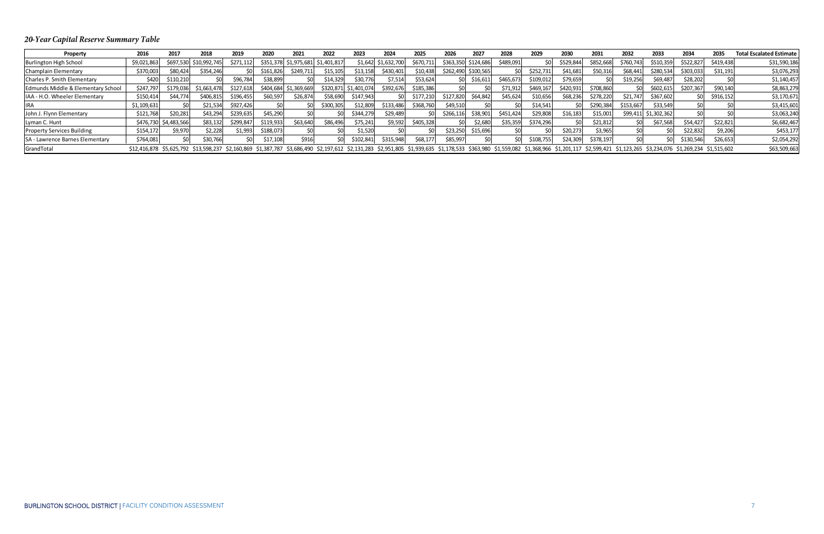### 20-Year Capital Reserve Summary Table

| Property                           | 2016        | 2017        | 2018                                                                                                                                                                                                                                            | 2019      | 2020      | 2021        | 2022        | 2023                  | 2024        | 2025      | 2026      | 2027      | 2028      | 2029      | 2030      | 2031      | 2032      | 2033                 | 2034      | 2035      | <b>Total Escalated Estimate  </b> |
|------------------------------------|-------------|-------------|-------------------------------------------------------------------------------------------------------------------------------------------------------------------------------------------------------------------------------------------------|-----------|-----------|-------------|-------------|-----------------------|-------------|-----------|-----------|-----------|-----------|-----------|-----------|-----------|-----------|----------------------|-----------|-----------|-----------------------------------|
| <b>Burlington High School</b>      | \$9,021,863 | \$697,530   | \$10,992,745                                                                                                                                                                                                                                    | \$271,112 | \$351,378 | \$1,975,681 | \$1,401,817 | \$1,642               | \$1,632,700 | \$670,711 | \$363,350 | \$124,686 | \$489,091 |           | \$529,844 | \$852,668 | \$760,743 | \$510,359            | \$522,82  | \$419,438 | \$31,590,186                      |
| Champlain Elementary               | \$370,003   | \$80,424    | \$354,246                                                                                                                                                                                                                                       |           | \$161,826 | \$249,711   | \$15,105    | \$13,158              | \$430,401   | \$10,438  | \$262,490 | \$100,565 |           | \$252,731 | \$41,681  | \$50,316  | \$68,441  | \$280,534            | \$303,033 | \$31,191  | \$3,076,293                       |
| Charles P. Smith Elementary        | \$420       | \$110,210   |                                                                                                                                                                                                                                                 | \$96,784  | \$38,899  |             | \$14,329    | \$30,776              | \$7,514     | \$53,624  |           | \$16,611  | \$465,673 | \$109,012 | \$79,659  |           | \$19,256  | \$69,487             | \$28,202  |           | \$1,140,457                       |
| Edmunds Middle & Elementary School | \$247,797   | \$179,036   | \$1,663,478                                                                                                                                                                                                                                     | \$127,618 | \$404,684 | \$1,369,669 |             | \$320,871 \$1,401,074 | \$392,676   | \$185,386 |           |           | \$71,912  | \$469,167 | \$420,931 | \$708,860 |           | \$602,61             | \$207,367 | \$90,140  | \$8,863,279                       |
| IAA - H.O. Wheeler Elementary      | \$150,414   | \$44,774    | \$406,815                                                                                                                                                                                                                                       | \$196,455 | \$60,597  | \$26,874    | \$58,690    | \$147,943             |             | \$177,210 | \$127,820 | \$64,842  | \$45,624  | \$10,656  | \$68,236  | \$278,220 | \$21,747  | \$367,602            |           | \$916,152 | \$3,170,671                       |
| <b>IIRA</b>                        | \$1,109,631 |             | \$21,534                                                                                                                                                                                                                                        | \$927,426 |           |             | \$300,305   | \$12,809              | \$133,486   | \$368,760 | \$49,510  |           |           | \$14,541  |           | \$290,384 | \$153,667 | \$33,549             |           |           | \$3,415,601                       |
| John J. Flynn Elementary           | \$121,768   | \$20,281    | \$43,294                                                                                                                                                                                                                                        | \$239,635 | \$45,290  |             |             | \$344,279             | \$29,489    |           | \$266,116 | \$38,901  | \$451,424 | \$29,808  | \$16,183  | \$15,001  |           | \$99,411 \$1,302,362 |           |           | \$3,063,240                       |
| Lyman C. Hunt                      | \$476,730   | \$4,483,566 | \$83,132                                                                                                                                                                                                                                        | \$299,847 | \$119,933 | \$63,640    | \$86,496    | \$75,241              | \$9,592     | \$405,328 |           | \$2,680   | \$35,359  | \$374,296 |           | \$21,812  |           | \$67,568             | \$54,427  | \$22,821  | \$6,682,467                       |
| <b>Property Services Building</b>  | \$154,172   | \$9,970     | \$2,228                                                                                                                                                                                                                                         | \$1,993   | \$188,073 |             |             | \$1,520               |             |           | \$23,250  | \$15,696  |           |           | \$20,273  | \$3,965   |           |                      | \$22,832  | \$9,206   | \$453,177                         |
| SA - Lawrence Barnes Elementary    | \$764,081   |             | \$30,766                                                                                                                                                                                                                                        |           | \$17,108  | \$916       |             | \$102,841             | \$315,948   | \$68,177  | \$85,997  |           |           | \$108,755 | \$24,309  | \$378,197 |           |                      | \$130,546 | \$26,653  | \$2,054,292                       |
| GrandTotal                         |             |             | \$12,416,878 \$5,625,792 \$13,598,237 \$2,160,869 \$1,387,787 \$3,686,490 \$2,197,612 \$2,131,283 \$2,951,805 \$1,378,635 \$1,178,533 \$363,980 \$1,559,082 \$1,368,966 \$1,201,117 \$2,599,421 \$1,123,265 \$3,234,076 \$1,269,234 \$1,515,602 |           |           |             |             |                       |             |           |           |           |           |           |           |           |           |                      |           |           | \$63,509,663                      |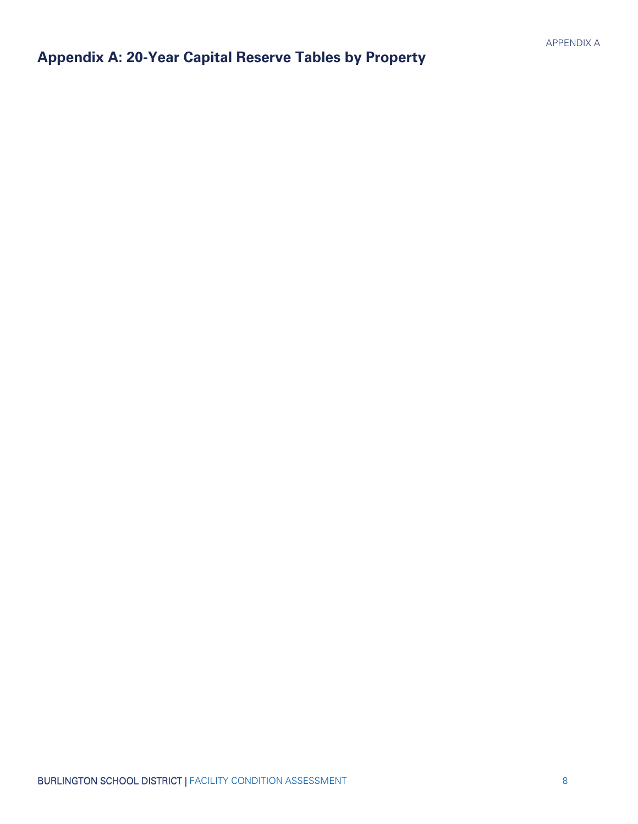## <span id="page-9-0"></span>**Appendix A: 20-Year Capital Reserve Tables by Property**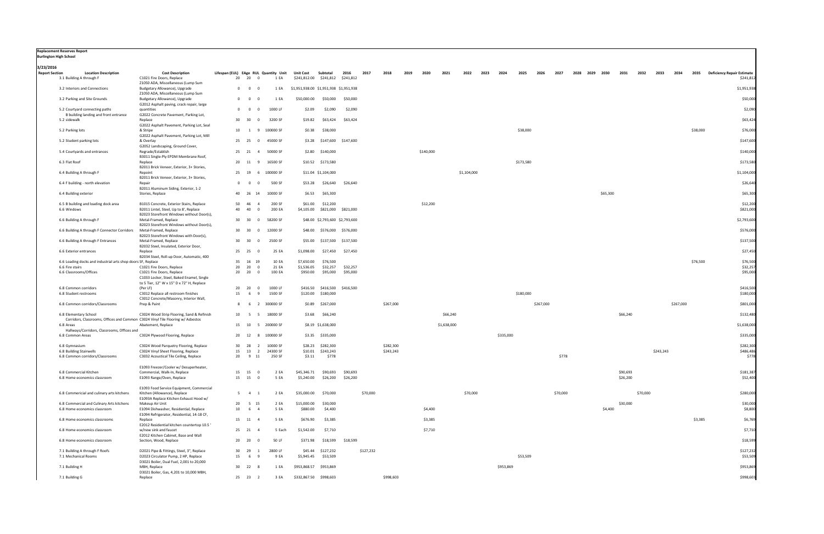| <b>Replacement Reserves Report</b><br><b>Burlington High School</b>                          |                                                                                                                     |                                       |                             |                                                |                                               |                                 |                     |           |           |      |           |             |             |      |           |           |           |          |                |          |              |           |      |           |          |                                                |
|----------------------------------------------------------------------------------------------|---------------------------------------------------------------------------------------------------------------------|---------------------------------------|-----------------------------|------------------------------------------------|-----------------------------------------------|---------------------------------|---------------------|-----------|-----------|------|-----------|-------------|-------------|------|-----------|-----------|-----------|----------|----------------|----------|--------------|-----------|------|-----------|----------|------------------------------------------------|
| 3/23/2016                                                                                    |                                                                                                                     |                                       |                             |                                                |                                               |                                 |                     |           |           |      |           |             |             |      |           |           |           |          |                |          |              |           |      |           |          |                                                |
| <b>Report Section</b><br><b>Location Description</b><br>3.1 Building A through F             | <b>Cost Description</b><br>C1021 Fire Doors, Replace<br>Z1050 ADA, Miscellaneous (Lump Sum                          | Lifespan (EUL) EAge RUL Quantity Unit | 20 20<br>$\Omega$           | 1 EA                                           | Unit Cost<br>\$241,812.00 \$241,812 \$241,812 | Subtotal                        | 2016                | 2017      | 2018      | 2019 | 2020      | 2021        | 2022        | 2023 | 2024      | 2025      | 2026      | 2027     | 2028 2029 2030 |          | 2031<br>2032 | 2033      | 2034 |           | 2035     | <b>Deficiency Repair Estimate</b><br>\$241,812 |
| 3.2 Interiors and Connections                                                                | Budgetary Allowance), Upgrade<br>Z1050 ADA, Miscellaneous (Lump Sum                                                 | $\mathbf{0}$                          | $\overline{0}$              | 1 EA                                           | \$1,951,938.00 \$1,951,938 \$1,951,938        |                                 |                     |           |           |      |           |             |             |      |           |           |           |          |                |          |              |           |      |           |          | \$1,951,938                                    |
| 3.2 Parking and Site Grounds                                                                 | Budgetary Allowance), Upgrade                                                                                       | $\overline{0}$                        | $\overline{0}$              | 1 EA                                           | \$50,000.00                                   | \$50,000                        | \$50,000            |           |           |      |           |             |             |      |           |           |           |          |                |          |              |           |      |           |          | \$50,000                                       |
| 5.2 Courtyard connecting paths                                                               | G2012 Asphalt paving, crack repair, large<br>quantities                                                             | $\mathbf{0}$                          | $\overline{0}$              | 1000 LF<br>- 0                                 | \$2.09                                        | \$2,090                         | \$2,090             |           |           |      |           |             |             |      |           |           |           |          |                |          |              |           |      |           |          | \$2,090                                        |
| B building landing and front entrance<br>5.2 sidewalk                                        | G2022 Concrete Pavement, Parking Lot,<br>Replace                                                                    | 30                                    | 30                          | 3200 SF<br>$\Omega$                            | \$19.82                                       | \$63,424                        | \$63,424            |           |           |      |           |             |             |      |           |           |           |          |                |          |              |           |      |           |          | \$63,424                                       |
| 5.2 Parking lots                                                                             | G2022 Asphalt Pavement, Parking Lot, Seal<br>& Stripe                                                               |                                       | 10 1 9                      | 100000 SF                                      | \$0.38                                        | \$38,000                        |                     |           |           |      |           |             |             |      |           | \$38,000  |           |          |                |          |              |           |      |           | \$38,000 | \$76,000                                       |
| 5.2 Student parking lots                                                                     | G2022 Asphalt Pavement, Parking Lot, Mill<br>& Overlay                                                              |                                       | 25 25                       | 45000 SF<br>$\Omega$                           | \$3.28                                        | \$147,600                       | \$147,600           |           |           |      |           |             |             |      |           |           |           |          |                |          |              |           |      |           |          | \$147,600                                      |
| 5.4 Courtyards and entrances                                                                 | G2052 Landscaping, Ground Cover,<br>Regrade/Establish                                                               |                                       | 25 21                       | $\overline{4}$<br>50000 SF                     |                                               | \$2.80 \$140,000                |                     |           |           |      | \$140,000 |             |             |      |           |           |           |          |                |          |              |           |      |           |          | \$140,000                                      |
|                                                                                              | B3011 Single-Ply EPDM Membrane Roof,                                                                                |                                       |                             |                                                |                                               |                                 |                     |           |           |      |           |             |             |      |           |           |           |          |                |          |              |           |      |           |          |                                                |
| 6.3 Flat Roof                                                                                | Replace<br>B2011 Brick Veneer, Exterior, 3+ Stories,                                                                |                                       | 20 11<br>- 9                | 16500 SF                                       |                                               | \$10.52 \$173,580               |                     |           |           |      |           |             |             |      |           | \$173,580 |           |          |                |          |              |           |      |           |          | \$173,580                                      |
| 6.4 Building A through F                                                                     | Repoint<br>B2011 Brick Veneer, Exterior, 3+ Stories,                                                                |                                       | 25 19                       | 100000 SF<br>6                                 |                                               | \$11.04 \$1,104,000             |                     |           |           |      |           |             | \$1,104,000 |      |           |           |           |          |                |          |              |           |      |           |          | \$1,104,000                                    |
| 6.4 F building - north elevation                                                             | Repair<br>B2011 Aluminum Siding, Exterior, 1-2                                                                      | $\Omega$                              | $\Omega$                    | 500 SF                                         | \$53.28                                       | \$26,640                        | \$26,640            |           |           |      |           |             |             |      |           |           |           |          |                |          |              |           |      |           |          | \$26,640                                       |
| 6.4 Building exterior                                                                        | Stories, Replace                                                                                                    | 40                                    | 26<br>14                    | 10000 SF                                       | \$6.53                                        | \$65,300                        |                     |           |           |      |           |             |             |      |           |           |           |          |                | \$65,300 |              |           |      |           |          | \$65,300                                       |
| 6.5 B building and loading dock area<br>6.6 Windows                                          | B1015 Concrete, Exterior Stairs, Replace<br>B2011 Lintel, Steel, Up to 8', Replace                                  | 50<br>40                              | 46<br>40                    | 200 SF<br>$\overline{4}$<br>200 EA<br>$\Omega$ | \$61.00<br>\$4,105.00                         | \$12,200                        | \$821,000 \$821,000 |           |           |      | \$12,200  |             |             |      |           |           |           |          |                |          |              |           |      |           |          | \$12,200<br>\$821,000                          |
| 6.6 Building A through F                                                                     | B2023 Storefront Windows without Door(s),<br>Metal-Framed, Replace                                                  |                                       | 30 30                       | 58200 SF<br>$\Omega$                           |                                               | \$48.00 \$2,793,600 \$2,793,600 |                     |           |           |      |           |             |             |      |           |           |           |          |                |          |              |           |      |           |          | \$2,793,600                                    |
| 6.6 Building A through F Connector Corridors                                                 | B2023 Storefront Windows without Door(s),<br>Metal-Framed, Replace                                                  | 30                                    | 30                          | 12000 SF<br>$\Omega$                           |                                               | \$48.00 \$576,000 \$576,000     |                     |           |           |      |           |             |             |      |           |           |           |          |                |          |              |           |      |           |          | \$576,000                                      |
| 6.6 Building A through F Entrances                                                           | B2023 Storefront Windows with Door(s),<br>Metal-Framed, Replace                                                     |                                       | 30 30                       | 2500 SF<br>$\Omega$                            | \$55.00                                       |                                 | \$137,500 \$137,500 |           |           |      |           |             |             |      |           |           |           |          |                |          |              |           |      |           |          | \$137,500                                      |
| 6.6 Exterior entrances                                                                       | B2032 Steel, Insulated, Exterior Door,<br>Replace                                                                   |                                       | 25 25<br>$\mathbf{0}$       | 25 EA                                          | \$1,098.00                                    | \$27,450                        | \$27,450            |           |           |      |           |             |             |      |           |           |           |          |                |          |              |           |      |           |          | \$27,450                                       |
| 6.6 Loading docks and industrial arts shop doors SF, Replace                                 | B2034 Steel, Roll-up Door, Automatic, 400                                                                           |                                       | 35 16<br>19                 | 10 EA                                          | \$7,650.00                                    | \$76,500                        |                     |           |           |      |           |             |             |      |           |           |           |          |                |          |              |           |      |           | \$76,500 | \$76,500                                       |
| 6.6 Fire stairs                                                                              | C1021 Fire Doors, Replace                                                                                           | 20                                    | 20<br>$\Omega$              | 21 EA                                          | \$1,536.05                                    | \$32,257                        | \$32,257            |           |           |      |           |             |             |      |           |           |           |          |                |          |              |           |      |           |          | \$32,257                                       |
| 6.6 Classrooms/Offices                                                                       | C1021 Fire Doors, Replace<br>C1033 Locker, Steel, Baked Enamel, Single<br>to 5 Tier, 12" W x 15" D x 72" H, Replace | 20                                    | 20                          | 100 EA<br>$\mathbf{0}$                         | \$950.00                                      | \$95,000                        | \$95,000            |           |           |      |           |             |             |      |           |           |           |          |                |          |              |           |      |           |          | \$95,000                                       |
| 6.8 Common corridors<br>6.8 Student restrooms                                                | (Per LF)<br>C3012 Replace all restroom finishes                                                                     | 20<br>15                              | 20<br>6                     | 1000 LF<br>$\mathbf{0}$<br>1500 SF<br>9        | \$416.50                                      | \$120.00 \$180,000              | \$416,500 \$416,500 |           |           |      |           |             |             |      |           | \$180,000 |           |          |                |          |              |           |      |           |          | \$416,500<br>\$180,000                         |
| 6.8 Common corridors/Classrooms                                                              | C3012 Concrete/Masonry, Interior Wall,<br>Prep & Paint                                                              | 8                                     | - 6                         | 300000 SF<br>$\overline{2}$                    | \$0.89                                        | \$267,000                       |                     |           | \$267,000 |      |           |             |             |      |           |           | \$267,000 |          |                |          |              |           |      | \$267,000 |          | \$801,000                                      |
| 6.8 Elementary School                                                                        | C3024 Wood Strip Flooring, Sand & Refinish                                                                          | 10                                    | - 5                         | 18000 SF<br>- 5                                | \$3.68                                        | \$66,240                        |                     |           |           |      |           | \$66,240    |             |      |           |           |           |          |                |          | \$66,240     |           |      |           |          | \$132,480                                      |
| Corridors, Classrooms, Offices and Common C3024 Vinyl Tile Flooring w/ Asbestos<br>6.8 Areas | Abatement, Replace                                                                                                  |                                       | 15 10                       | 5 200000 SF                                    |                                               | \$8.19 \$1,638,000              |                     |           |           |      |           | \$1,638,000 |             |      |           |           |           |          |                |          |              |           |      |           |          | \$1,638,000                                    |
| Hallways/Corridors, Classrooms, Offices and<br>6.8 Common Areas                              | C3024 Plywood Flooring, Replace                                                                                     |                                       | 20 12                       | 100000 SF<br>-8                                |                                               | \$3.35 \$335,000                |                     |           |           |      |           |             |             |      | \$335,000 |           |           |          |                |          |              |           |      |           |          | \$335,000                                      |
| 6.8 Gymnasium                                                                                | C3024 Wood Parquetry Flooring, Replace                                                                              |                                       | 30  28  2                   | 10000 SF                                       |                                               | \$28.23 \$282,300               |                     |           | \$282,300 |      |           |             |             |      |           |           |           |          |                |          |              |           |      |           |          | \$282,300                                      |
| 6.8 Building Stairwells                                                                      | C3024 Vinyl Sheet Flooring, Replace                                                                                 |                                       |                             | 15  13  2  24300 SF                            | \$10.01                                       | \$243,243                       |                     |           | \$243,243 |      |           |             |             |      |           |           |           |          |                |          |              | \$243,243 |      |           |          | \$486,486                                      |
| 6.8 Common corridors/Classrooms                                                              | C3032 Acoustical Tile Ceiling, Replace                                                                              |                                       | 20 9 11                     | 250 SF                                         | \$3.11                                        | \$778                           |                     |           |           |      |           |             |             |      |           |           |           | \$778    |                |          |              |           |      |           |          | \$778                                          |
| 6.8 Commercial Kitchen                                                                       | E1093 Freezer/Cooler w/ Desuperheater,<br>Commercial, Walk-In, Replace                                              |                                       | 15 15<br>- 0                | 2 EA                                           | \$45,346.71                                   | \$90,693                        | \$90,693            |           |           |      |           |             |             |      |           |           |           |          |                |          | \$90,693     |           |      |           |          | \$181,387                                      |
| 6.8 Home economics classroom                                                                 | E1093 Range/Oven, Replace                                                                                           |                                       | 15 15                       | 5 EA<br>$\mathbf{0}$                           | \$5,240.00                                    | \$26,200                        | \$26,200            |           |           |      |           |             |             |      |           |           |           |          |                |          | \$26,200     |           |      |           |          | \$52,400                                       |
| 6.8 Commericial and culinary arts kitchens                                                   | E1093 Food Service Equipment, Commercial<br>Kitchen (Allowance), Replace                                            |                                       | $5 \quad 4 \quad 1$         | 2 EA                                           | \$35,000.00                                   | \$70,000                        |                     | \$70,000  |           |      |           |             | \$70,000    |      |           |           |           | \$70,000 |                |          |              | \$70,000  |      |           |          | \$280,000                                      |
|                                                                                              | E1093A Replace Kitchen Exhaust Hood w/                                                                              |                                       |                             |                                                |                                               |                                 |                     |           |           |      |           |             |             |      |           |           |           |          |                |          |              |           |      |           |          |                                                |
| 6.8 Commercial and Culinary Arts kitchens<br>6.8 Home economics classroom                    | Makeup Air Unit<br>E1094 Dishwasher, Residential, Replace<br>E1094 Refrigerator, Residential, 14-18 CF,             | 20<br>10                              | 5 15<br>6<br>$\overline{4}$ | 2 EA<br>5 EA                                   | \$15,000.00<br>\$880.00                       | \$30,000<br>\$4,400             |                     |           |           |      | \$4,400   |             |             |      |           |           |           |          |                | \$4,400  | \$30,000     |           |      |           |          | \$30,000<br>\$8,800                            |
| 6.8 Home economics classrooms                                                                | Replace<br>E2012 Residential kitchen countertop 10.5                                                                |                                       | 15 11<br>-4                 | 5 EA                                           | \$676.90                                      | \$3,385                         |                     |           |           |      | \$3,385   |             |             |      |           |           |           |          |                |          |              |           |      |           | \$3,385  | \$6,769                                        |
| 6.8 Home economics classroom                                                                 | w/new sink and faucet<br>E2012 Kitchen Cabinet, Base and Wall                                                       |                                       | 25 21<br>$\overline{4}$     | 5 Each                                         | \$1,542.00                                    | \$7,710                         |                     |           |           |      | \$7,710   |             |             |      |           |           |           |          |                |          |              |           |      |           |          | \$7,710                                        |
| 6.8 Home economics classroom                                                                 | Section, Wood, Replace                                                                                              |                                       | 20 20                       | 50 LF                                          | \$371.98                                      | \$18,599                        | \$18,599            |           |           |      |           |             |             |      |           |           |           |          |                |          |              |           |      |           |          | \$18,599                                       |
| 7.1 Building A through F Roofs                                                               | D2021 Pipe & Fittings, Steel, 3", Replace                                                                           |                                       | 30 29                       | 2800 LF<br>1                                   | \$45.44                                       | \$127,232                       |                     | \$127,232 |           |      |           |             |             |      |           |           |           |          |                |          |              |           |      |           |          | \$127,232                                      |
| 7.1 Mechanical Rooms                                                                         | D2023 Circulator Pump, 2 HP, Replace<br>D3021 Boiler, Dual Fuel, 2,001 to 20,000                                    | 15                                    | 6<br>- 9                    | 9 EA                                           | \$5,945.45                                    | \$53,509                        |                     |           |           |      |           |             |             |      |           | \$53,509  |           |          |                |          |              |           |      |           |          | \$53,509                                       |
| 7.1 Building H                                                                               | MBH, Replace<br>D3021 Boiler, Gas, 4,201 to 10,000 MBH,                                                             |                                       | 30 22 8                     | 1 EA                                           | \$953,868.57                                  | \$953,869                       |                     |           |           |      |           |             |             |      | \$953,869 |           |           |          |                |          |              |           |      |           |          | \$953,869                                      |
| 7.1 Building G                                                                               | Replace                                                                                                             |                                       | 25 23 2                     | 3 EA                                           | \$332,867.50 \$998,603                        |                                 |                     |           | \$998,603 |      |           |             |             |      |           |           |           |          |                |          |              |           |      |           |          | \$998,603                                      |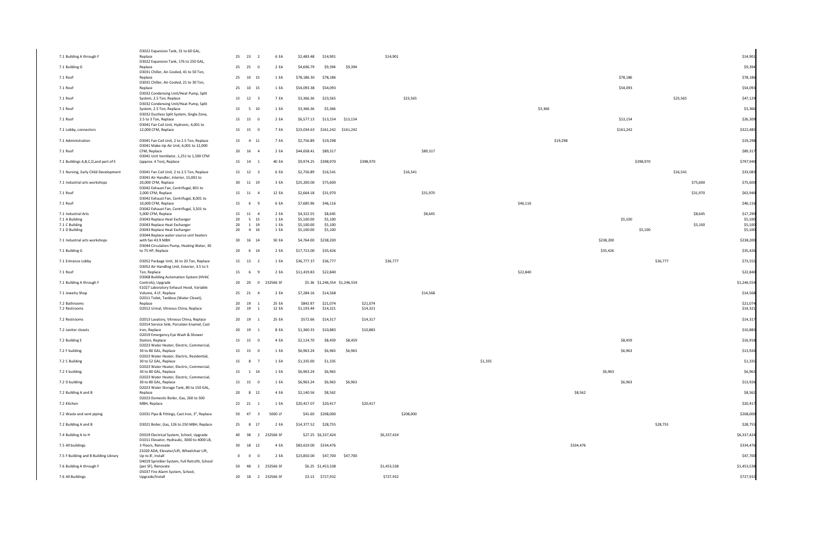|                                              | D3022 Expansion Tank, 31 to 60 GAL,                                                                             |       |                                  |                   |                               |                                |           |             |          |         |          |           |                       |          |                      |
|----------------------------------------------|-----------------------------------------------------------------------------------------------------------------|-------|----------------------------------|-------------------|-------------------------------|--------------------------------|-----------|-------------|----------|---------|----------|-----------|-----------------------|----------|----------------------|
| 7.1 Building A through F                     | Replace                                                                                                         |       | 25 23 2                          | 6 EA              | \$2,483.48                    | \$14,901                       |           | \$14,901    |          |         |          |           |                       |          | \$14,901             |
| 7.1 Building G                               | D3022 Expansion Tank, 176 to 250 GAL,<br>Replace                                                                |       | 25 25<br>$\overline{\mathbf{0}}$ | 2 EA              | \$4,696.79                    | \$9,394                        | \$9,394   |             |          |         |          |           |                       |          | \$9,394              |
| 7.1 Roof                                     | D3031 Chiller, Air-Cooled, 41 to 50 Ton,<br>Replace                                                             |       | 25 10 15                         | 1 EA              | \$78,186.30                   | \$78,186                       |           |             |          |         |          |           | \$78,186              |          | \$78,186             |
| 7.1 Roof                                     | D3031 Chiller, Air-Cooled, 21 to 30 Ton,<br>Replace                                                             |       | 25 10 15                         | 1 EA              | \$54,093.38                   | \$54,093                       |           |             |          |         |          |           | \$54,093              |          | \$54,093             |
| 7.1 Roof                                     | D3032 Condensing Unit/Heat Pump, Split<br>System, 2.5 Ton, Replace                                              |       | 15 12 3                          | 7 EA              | \$3,366.36                    | \$23,565                       |           | \$23,565    |          |         |          |           |                       | \$23,565 | \$47,129             |
| 7.1 Roof                                     | D3032 Condensing Unit/Heat Pump, Split<br>System, 2.5 Ton, Replace<br>D3032 Ductless Split System, Single Zone, |       | 15 5 10                          | 1 EA              | \$3,366.36                    | \$3,366                        |           |             |          |         | \$3,366  |           |                       |          | \$3,366              |
| 7.1 Roof                                     | 2.5 to 3 Ton, Replace<br>D3041 Fan Coil Unit, Hydronic, 4,001 to                                                |       | 15 15<br>$\overline{\mathbf{0}}$ | 2 EA              |                               | \$6,577.13 \$13,154 \$13,154   |           |             |          |         |          |           | \$13,154              |          | \$26,309             |
| 7.1 Lobby, connectors                        | 12,000 CFM, Replace                                                                                             |       | 15 15<br>$\overline{0}$          | 7 EA              | \$23,034.63                   | \$161,242 \$161,242            |           |             |          |         |          |           | \$161,242             |          | \$322,485            |
| 7.1 Administration                           | D3041 Fan Coil Unit, 2 to 2.5 Ton, Replace<br>D3041 Make-Up Air Unit, 6,001 to 12,000                           |       | 15 4 11                          | 7 EA              | \$2,756.89                    | \$19,298                       |           |             |          |         |          | \$19,298  |                       |          | \$19,298             |
| 7.1 Roof                                     | CFM, Replace<br>D3041 Unit Ventilator, 1,251 to 1,500 CFM                                                       |       | 20 16<br>-4                      | 2 EA              | \$44,658.41                   | \$89,317                       |           |             | \$89,317 |         |          |           |                       |          | \$89,317             |
| 7.1 Buildings A,B,C,D,and part of E          | (approx. 4 Ton), Replace                                                                                        | 15 14 | - 1                              | 40 EA             | \$9,974.25                    | \$398,970                      | \$398,970 |             |          |         |          |           | \$398,970             |          | \$797,940            |
| 7.1 Nursing, Early Child Development         | D3041 Fan Coil Unit, 2 to 2.5 Ton, Replace<br>D3041 Air Handler, Interior, 15,001 to                            |       | 15 12 3                          | 6 EA              | \$2,756.89                    | \$16,541                       |           | \$16,541    |          |         |          |           |                       | \$16,541 | \$33,083             |
| 7.1 Industrial arts workshops                | 20,000 CFM, Replace<br>D3042 Exhaust Fan, Centrifugal, 801 to                                                   |       | 30 11 19                         | 3 EA              | \$25,200.00                   | \$75,600                       |           |             |          |         |          |           |                       | \$75,600 | \$75,600             |
| 7.1 Roof                                     | 2,000 CFM, Replace<br>D3042 Exhaust Fan, Centrifugal, 8,001 to                                                  |       | 15 11<br>$\overline{4}$          | 12 EA             | \$2,664.18                    | \$31,970                       |           |             | \$31,970 |         |          |           |                       | \$31,970 | \$63,940             |
| 7.1 Roof                                     | 10,000 CFM, Replace<br>D3042 Exhaust Fan, Centrifugal, 3,501 to                                                 | 15    | $6^{\circ}$<br>-9                | 6 EA              | \$7,685.96                    | \$46,116                       |           |             |          |         | \$46,116 |           |                       |          | \$46,116             |
| 7.1 Industrial Arts                          | 5,000 CFM, Replace                                                                                              |       | 15 11 4                          | 2 EA              | \$4,322.55                    | \$8,645                        |           |             | \$8,645  |         |          |           |                       | \$8,645  | \$17,290             |
| 7.1 A Building                               | D3043 Replace Heat Exchanger                                                                                    | 20    | 5 15                             | 1 EA              | \$5,100.00                    | \$5,100                        |           |             |          |         |          |           | \$5,100               |          | \$5,100              |
| 7.1 C Building                               | D3043 Replace Heat Exchanger                                                                                    | 20    | 1 19                             | 1 EA              | \$5,100.00                    | \$5,100                        |           |             |          |         |          |           |                       | \$5,100  | \$5,100              |
| 7.1 D Building                               | D3043 Replace Heat Exchanger<br>D3044 Replace water source unit heaters                                         | 20    | 4 16                             | 1 EA              | \$5,100.00                    | \$5,100                        |           |             |          |         |          |           | \$5,100               |          | \$5,100              |
| 7.1 Industrial arts workshops                | with fan 43.9 MBH<br>D3044 Circulation Pump, Heating Water, 30                                                  | 20    | 30  16  14                       | 50 EA             |                               | \$4,764.00 \$238,200           |           |             |          |         |          |           | \$238,200<br>\$35,426 |          | \$238,200            |
| 7.1 Building G<br>7.1 Entrance Lobby         | to 75 HP, Replace<br>D3052 Package Unit, 16 to 20 Ton, Replace                                                  |       | 6<br>14<br>15 13 2               | 2 EA<br>1 EA      | \$17,713.00<br>\$36,777.37    | \$35,426<br>\$36,777           |           | \$36,777    |          |         |          |           |                       | \$36,777 | \$35,426<br>\$73,555 |
| 7.1 Roof                                     | D3052 Air Handling Unit, Exterior, 3.5 to 5<br>Ton, Replace                                                     | 15    | $6^{\circ}$<br>$\mathbf{q}$      | 2 EA              | \$11,419.83                   | \$22,840                       |           |             |          |         | \$22,840 |           |                       |          | \$22,840             |
|                                              | D3068 Building Automation System (HVAC                                                                          | 20    | 20<br>$\overline{0}$             | 232566 SF         |                               | \$5.36 \$1,246,554 \$1,246,554 |           |             |          |         |          |           |                       |          | \$1,246,554          |
| 7.1 Building A through F<br>7.1 Jewelry Shop | Controls), Upgrade<br>E1027 Laboratory Exhaust Hood, Variable<br>Volume, 4 LF, Replace                          | 25 21 | -4                               | 2 EA              | \$7,284.16                    | \$14,568                       |           |             | \$14,568 |         |          |           |                       |          | \$14,568             |
| 7.2 Bathrooms                                | D2011 Toilet, Tankless (Water Closet),<br>Replace                                                               | 20    | 19                               | 25 EA             | \$842.97                      | \$21,074                       | \$21,074  |             |          |         |          |           |                       |          | \$21,074             |
| 7.2 Restrooms                                | D2012 Urinal, Vitreous China, Replace                                                                           |       | 20 19<br>$\overline{1}$          | 12 EA             | \$1,193.44                    | \$14,321                       | \$14,321  |             |          |         |          |           |                       |          | \$14,321             |
| 7.2 Restrooms                                | D2013 Lavatory, Vitreous China, Replace<br>D2014 Service Sink, Porcelain Enamel, Cast                           | 20 19 |                                  | 25 EA             | \$572.66                      | \$14,317                       | \$14,317  |             |          |         |          |           |                       |          | \$14,317             |
| 7.2 Janitor closets                          | Iron, Replace<br>D2019 Emergency Eye Wash & Shower                                                              | 20 19 |                                  | 8 EA              | \$1,360.33                    | \$10,883                       | \$10,883  |             |          |         |          |           |                       |          | \$10,883             |
| 7.2 Building E                               | Station, Replace<br>D2023 Water Heater, Electric, Commercial,                                                   |       | 15 15<br>$\Omega$                | 4 EA              | \$2,114.70                    | \$8,459                        | \$8,459   |             |          |         |          |           | \$8,459               |          | \$16,918             |
| 7.2 F building                               | 30 to 80 GAL, Replace<br>D2023 Water Heater, Electric, Residential,                                             |       | 15 15 0                          | 1 EA              | \$6,963.24                    | \$6,963                        | \$6,963   |             |          |         |          |           | \$6,963               |          | \$13,926             |
| 7.2 C Building                               | 30 to 52 GAL, Replace<br>D2023 Water Heater, Electric, Commercial,                                              |       | 15 8 7                           | 1 EA              | \$1,335.00                    | \$1,335                        |           |             |          | \$1,335 |          |           |                       |          | \$1,335              |
| 7.2 E building                               | 30 to 80 GAL, Replace<br>D2023 Water Heater, Electric, Commercial,                                              |       | 15 1 14                          | 1 EA              | \$6,963.24                    | \$6,963                        |           |             |          |         |          |           | \$6,963               |          | \$6,963              |
| 7.2 D building                               | 30 to 80 GAL, Replace<br>D2023 Water Storage Tank, 80 to 150 GAL,                                               |       | 15 15 0                          | 1 EA              | \$6,963.24                    | \$6,963                        | \$6,963   |             |          |         |          |           | \$6,963               |          | \$13,926             |
| 7.2 Building A and B                         | Replace<br>D2023 Domestic Boiler, Gas, 260 to 500                                                               |       | 20 8 12                          | 4 EA              | \$2,140.56                    | \$8,562                        |           |             |          |         |          | \$8,562   |                       |          | \$8,562              |
| 7.2 Kitchen                                  | MBH, Replace                                                                                                    |       | 22 21 1                          | 1 EA              | \$20,417.07                   | \$20,417                       | \$20,417  |             |          |         |          |           |                       |          | \$20,417             |
| 7.2 Waste and vent piping                    | D2031 Pipe & Fittings, Cast Iron, 3", Replace                                                                   |       | 50 47<br>$\overline{\mathbf{3}}$ | 5000 LF           |                               | \$41.60 \$208,000              |           | \$208,000   |          |         |          |           |                       |          | \$208,000            |
| 7.2 Building A and B                         | D3021 Boiler, Gas, 126 to 250 MBH, Replace                                                                      |       | 25 8 17                          | 2 EA              | \$14,377.52                   | \$28,755                       |           |             |          |         |          |           |                       | \$28,755 | \$28,755             |
| 7.4 Building A to H                          | D5019 Electrical System, School, Upgrade<br>D1011 Elevator, Hydraulic, 3000 to 4000 LB,                         |       |                                  | 40 38 2 232566 SF |                               | \$27.25 \$6,337,424            |           | \$6,337,424 |          |         |          |           |                       |          | \$6,337,424          |
| 7.5 All buildings                            | 3 Floors, Renovate<br>Z1020 ADA, Elevator/Lift, Wheelchair Lift,                                                |       | 30 18 12                         | 4 EA              | \$83,619.00 \$334,476         |                                |           |             |          |         |          | \$334,476 |                       |          | \$334,476            |
| 7.5 F Building and B Building Library        | Up to 8', Install<br>D4019 Sprinkler System, Full Retrofit, School                                              |       | $0\qquad 0$<br>$\overline{0}$    | 2 EA              | \$23,850.00 \$47,700 \$47,700 |                                |           |             |          |         |          |           |                       |          | \$47,700             |
| 7.6 Building A through F                     | (per SF), Renovate<br>D5037 Fire Alarm System, School,                                                          |       | 50 48                            | 2 232566 SF       |                               | \$6.25 \$1,453,538             |           | \$1,453,538 |          |         |          |           |                       |          | \$1,453,538          |
| 7.6 All Buildings                            | Upgrade/Install                                                                                                 |       |                                  | 20 18 2 232566 SF |                               | \$3.13 \$727,932               |           | \$727,932   |          |         |          |           |                       |          | \$727,932            |

|    |           |           |          |          |          | \$14,901    |                    |
|----|-----------|-----------|----------|----------|----------|-------------|--------------------|
|    |           |           |          |          |          |             | \$9,394            |
|    | \$78,186  |           |          |          |          | \$78,186    |                    |
|    | \$54,093  |           |          |          |          | \$54,093    |                    |
|    |           |           |          | \$23,565 |          | \$47,129    |                    |
|    |           |           |          |          |          |             | \$3,366            |
|    | \$13,154  |           |          |          |          | \$26,309    |                    |
|    | \$161,242 |           |          |          |          | \$322,485   |                    |
|    |           |           |          |          |          | \$19,298    |                    |
|    |           |           |          |          |          | \$89,317    |                    |
|    |           | \$398,970 |          |          |          | \$797,940   |                    |
|    |           |           |          | \$16,541 |          | \$33,083    |                    |
|    |           |           |          |          | \$75,600 |             | \$75,600           |
|    |           |           |          |          | \$31,970 | \$63,940    |                    |
|    |           |           |          |          |          | \$46,116    |                    |
|    |           |           |          |          | \$8,645  | \$17,290    |                    |
|    | \$5,100   |           |          |          |          |             | \$5,100            |
|    |           | \$5,100   |          |          | \$5,100  |             | \$5,100<br>\$5,100 |
| 00 |           |           |          |          |          | \$238,200   |                    |
| 26 |           |           |          |          |          | \$35,426    |                    |
|    |           |           | \$36,777 |          |          | \$73,555    |                    |
|    |           |           |          |          |          | \$22,840    |                    |
|    |           |           |          |          |          | \$1,246,554 |                    |
|    |           |           |          |          |          | \$14,568    |                    |
|    |           |           |          |          |          |             | \$21,074           |
|    |           |           |          |          |          | \$14,321    |                    |
|    |           |           |          |          |          | \$14,317    |                    |
|    |           |           |          |          |          | \$10,883    |                    |
|    | \$8,459   |           |          |          |          |             | \$16,918           |
|    | \$6,963   |           |          |          |          |             | \$13,926           |
|    |           |           |          |          |          |             | \$1,335            |
| 63 |           |           |          |          |          |             | \$6,963            |
|    | \$6,963   |           |          |          |          |             | \$13,926           |
|    |           |           |          |          |          |             | \$8,562            |
|    |           |           |          |          |          | \$20,417    |                    |
|    |           |           |          |          |          | \$208,000   |                    |
|    |           |           | \$28,755 |          |          | \$28,755    |                    |
|    |           |           |          |          |          | \$6,337,424 |                    |
|    |           |           |          |          |          | \$334,476   |                    |
|    |           |           |          |          |          |             | \$47,700           |
|    |           |           |          |          |          | \$1,453,538 |                    |
|    |           |           |          |          |          | \$727,932   |                    |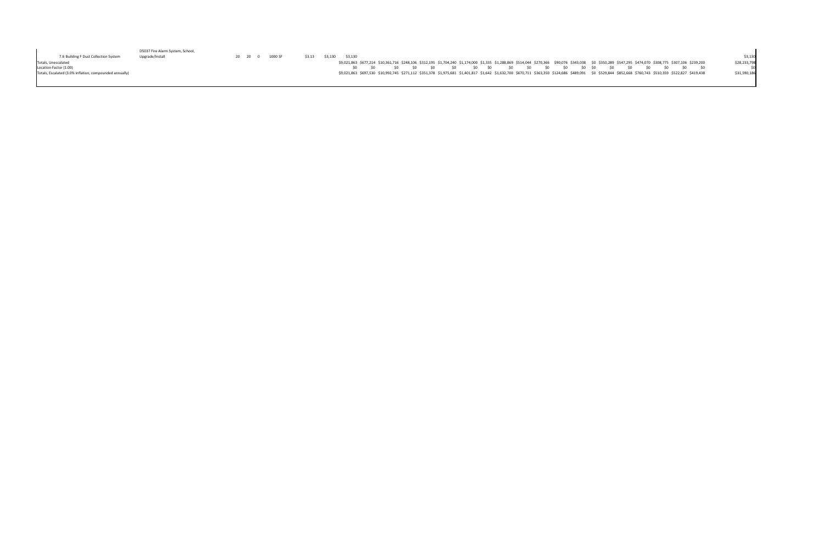|                                                         | D5037 Fire Alarm System, School, |  |         |        |         |         |  |  |           |       |       |  |                                                                                                                                                                                                            |  |  |  |              |
|---------------------------------------------------------|----------------------------------|--|---------|--------|---------|---------|--|--|-----------|-------|-------|--|------------------------------------------------------------------------------------------------------------------------------------------------------------------------------------------------------------|--|--|--|--------------|
| 7.6 Building F Dust Collection System                   | Upgrade/Install                  |  | 1000 SF | \$3.13 | \$3,130 | \$3.130 |  |  |           |       |       |  |                                                                                                                                                                                                            |  |  |  | \$3,130      |
| Totals, Unescalated                                     |                                  |  |         |        |         |         |  |  |           |       |       |  | \$9,021,863 \$677,214 \$10,361,716 \$248,106 \$312,195 \$1,704,240 \$1,174,000 \$1,335 \$1,288,869 \$514,044 \$270,366 \$90,076 \$343,038 \$0 \$350,289 \$547,295 \$474,070 \$308,775 \$307,106 \$239,200  |  |  |  | \$28,233,798 |
| Location Factor (1.00)                                  |                                  |  |         |        |         |         |  |  | <b>SO</b> | SO SO | SO(2) |  | \$0 \$0 \$0 \$0                                                                                                                                                                                            |  |  |  |              |
| Totals, Escalated (3.0% inflation, compounded annually) |                                  |  |         |        |         |         |  |  |           |       |       |  | \$9,021,863 \$697,530 \$10,992,745 \$271,112 \$351,378 \$1,975,681 \$1,401,817 \$1,642 \$1,632,700 \$670,711 \$363,350 \$124,686 \$489,091 \$0 \$529,844 \$852,668 \$760,743 \$510,359 \$522,827 \$419,438 |  |  |  | \$31,590,186 |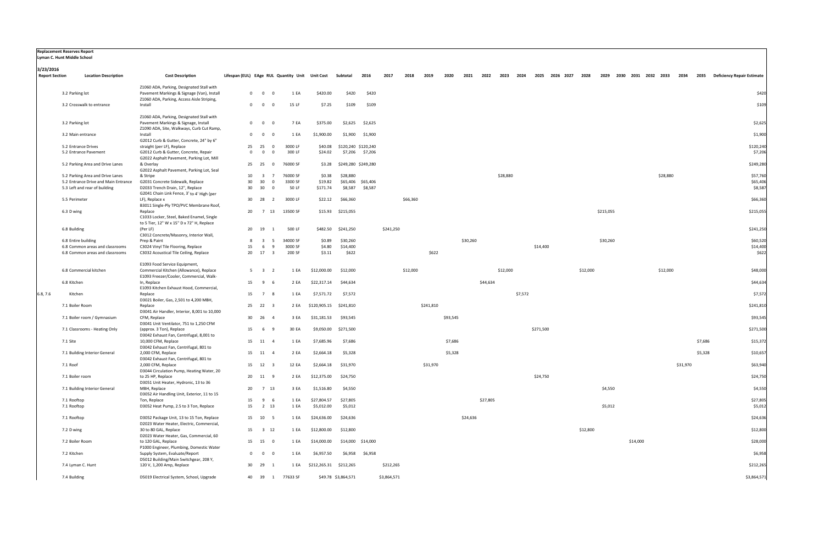|                       | <b>Replacement Reserves Report</b><br>Lyman C. Hunt Middle School        |                                                                                                                                       |          |                                |                                                 |                        |                     |                   |             |          |           |          |          |          |          |         |           |                |          |           |                          |          |          |         |                                 |
|-----------------------|--------------------------------------------------------------------------|---------------------------------------------------------------------------------------------------------------------------------------|----------|--------------------------------|-------------------------------------------------|------------------------|---------------------|-------------------|-------------|----------|-----------|----------|----------|----------|----------|---------|-----------|----------------|----------|-----------|--------------------------|----------|----------|---------|---------------------------------|
| 3/23/2016             |                                                                          |                                                                                                                                       |          |                                |                                                 |                        |                     |                   |             |          |           |          |          |          |          |         |           |                |          |           |                          |          |          |         |                                 |
| <b>Report Section</b> | <b>Location Description</b>                                              | <b>Cost Description</b>                                                                                                               |          |                                | Lifespan (EUL) EAge RUL Quantity Unit Unit Cost |                        | Subtotal            | 2016              | 2017        | 2018     | 2019      | 2020     | 2021     | 2022     | 2023     | 2024    |           | 2025 2026 2027 | 2028     |           | 2029 2030 2031 2032 2033 |          | 2034     |         | 2035 Deficiency Repair Estimate |
|                       | 3.2 Parking lot                                                          | Z1060 ADA, Parking, Designated Stall with<br>Pavement Markings & Signage (Van), Install<br>Z1060 ADA, Parking, Access Aisle Striping, |          | $\overline{0}$<br>$\mathbf{0}$ | 1 EA<br>$\overline{0}$                          | \$420.00               | \$420               | \$420             |             |          |           |          |          |          |          |         |           |                |          |           |                          |          |          |         | \$420                           |
|                       | 3.2 Crosswalk to entrance                                                | Install                                                                                                                               |          | $\overline{0}$<br>$\mathbf{0}$ | 15 LF<br>$\overline{0}$                         | \$7.25                 | \$109               | \$109             |             |          |           |          |          |          |          |         |           |                |          |           |                          |          |          |         | \$109                           |
|                       |                                                                          | Z1060 ADA, Parking, Designated Stall with                                                                                             |          |                                |                                                 |                        |                     |                   |             |          |           |          |          |          |          |         |           |                |          |           |                          |          |          |         |                                 |
|                       | 3.2 Parking lot                                                          | Pavement Markings & Signage, Install                                                                                                  |          | $0\qquad 0$                    | 7 EA<br>$\overline{0}$                          | \$375.00               | \$2,625             | \$2,625           |             |          |           |          |          |          |          |         |           |                |          |           |                          |          |          |         | \$2,625                         |
|                       | 3.2 Main entrance                                                        | Z1090 ADA, Site, Walkways, Curb Cut Ramp,<br>Install                                                                                  | 0        | $\mathbf 0$<br>- 0             | 1 EA                                            | \$1,900.00             | \$1,900             | \$1,900           |             |          |           |          |          |          |          |         |           |                |          |           |                          |          |          |         | \$1,900                         |
|                       | 5.2 Entrance Drives                                                      | G2012 Curb & Gutter, Concrete, 24" by 6"<br>straight (per LF), Replace                                                                | 25       | 25                             | 3000 LF<br>$\overline{0}$                       | \$40.08                | \$120,240 \$120,240 |                   |             |          |           |          |          |          |          |         |           |                |          |           |                          |          |          |         | \$120,240                       |
|                       | 5.2 Entrance Pavement                                                    | G2012 Curb & Gutter, Concrete, Repair                                                                                                 | $\Omega$ | $\overline{0}$                 | 300 LF<br>$\overline{0}$                        | \$24.02                |                     | \$7,206 \$7,206   |             |          |           |          |          |          |          |         |           |                |          |           |                          |          |          |         | \$7,206                         |
|                       | 5.2 Parking Area and Drive Lanes                                         | G2022 Asphalt Pavement, Parking Lot, Mill<br>& Overlay                                                                                |          | 25 25 0                        | 76000 SF                                        | \$3.28                 | \$249,280 \$249,280 |                   |             |          |           |          |          |          |          |         |           |                |          |           |                          |          |          |         | \$249,280                       |
|                       |                                                                          | G2022 Asphalt Pavement, Parking Lot, Seal                                                                                             |          |                                |                                                 |                        |                     |                   |             |          |           |          |          |          |          |         |           |                |          |           |                          |          |          |         |                                 |
|                       | 5.2 Parking Area and Drive Lanes<br>5.2 Entrance Drive and Main Entrance | & Stripe<br>G2031 Concrete Sidewalk, Replace                                                                                          | 10<br>30 | 3 7<br>30                      | 76000 SF<br>3300 SF<br>$\overline{0}$           | \$0.38<br>\$19.82      | \$28,880            | \$65,406 \$65,406 |             |          |           |          |          |          | \$28,880 |         |           |                |          |           |                          | \$28,880 |          |         | \$57,760<br>\$65,406            |
|                       | 5.3 Left and rear of building                                            | D2033 Trench Drain, 12", Replace<br>G2041 Chain Link Fence, 3' to 4' High (per                                                        | 30       | 30                             | 50 LF<br>$\overline{0}$                         | \$171.74               | \$8,587             | \$8,587           |             |          |           |          |          |          |          |         |           |                |          |           |                          |          |          |         | \$8,587                         |
|                       | 5.5 Perimeter                                                            | LF), Replace x<br>B3011 Single-Ply TPO/PVC Membrane Roof,                                                                             | 30       | 28                             | 3000 LF<br>$\overline{2}$                       | \$22.12                | \$66,360            |                   |             | \$66,360 |           |          |          |          |          |         |           |                |          |           |                          |          |          |         | \$66,360                        |
|                       | 6.3 D wing                                                               | Replace<br>C1033 Locker, Steel, Baked Enamel, Single                                                                                  | 20       | 13<br>7                        | 13500 SF                                        |                        | \$15.93 \$215,055   |                   |             |          |           |          |          |          |          |         |           |                |          | \$215,055 |                          |          |          |         | \$215,055                       |
|                       | 6.8 Building                                                             | to 5 Tier, 12" W x 15" D x 72" H, Replace<br>(Per LF)<br>C3012 Concrete/Masonry, Interior Wall,                                       |          | 20 19<br>$\mathbf{1}$          | 500 LF                                          | \$482.50               | \$241,250           |                   | \$241,250   |          |           |          |          |          |          |         |           |                |          |           |                          |          |          |         | \$241,250                       |
|                       | 6.8 Entire building                                                      | Prep & Paint                                                                                                                          |          | $\overline{\mathbf{3}}$        | 34000 SF<br>5                                   | \$0.89                 | \$30,260            |                   |             |          |           |          | \$30,260 |          |          |         |           |                |          | \$30,260  |                          |          |          |         | \$60,520                        |
|                       | 6.8 Common areas and classrooms<br>6.8 Common areas and classrooms       | C3024 Vinyl Tile Flooring, Replace<br>C3032 Acoustical Tile Ceiling, Replace                                                          | 15       | 6<br>20 17 3                   | 3000 SF<br>9<br>200 SF                          | \$4.80<br>\$3.11       | \$14,400<br>\$622   |                   |             |          | \$622     |          |          |          |          |         | \$14,400  |                |          |           |                          |          |          |         | \$14,400<br>\$622               |
|                       |                                                                          |                                                                                                                                       |          |                                |                                                 |                        |                     |                   |             |          |           |          |          |          |          |         |           |                |          |           |                          |          |          |         |                                 |
|                       | 6.8 Commercial kitchen                                                   | E1093 Food Service Equipment,<br>Commercial Kitchen (Allowance), Replace                                                              |          | $5 \quad 3 \quad 2$            | 1 EA                                            | \$12,000.00            | \$12,000            |                   |             | \$12,000 |           |          |          |          | \$12,000 |         |           |                | \$12,000 |           |                          | \$12,000 |          |         | \$48,000                        |
|                       | 6.8 Kitchen                                                              | E1093 Freezer/Cooler, Commercial, Walk-<br>In, Replace                                                                                | 15       | 9                              | 2 EA                                            | \$22,317.14            | \$44,634            |                   |             |          |           |          |          | \$44,634 |          |         |           |                |          |           |                          |          |          |         | \$44,634                        |
|                       | Kitchen                                                                  | E1093 Kitchen Exhaust Hood, Commercial,                                                                                               | 15       | 7 8                            |                                                 | \$7,571.72             |                     |                   |             |          |           |          |          |          |          | \$7,572 |           |                |          |           |                          |          |          |         | \$7,572                         |
| 6.8, 7.6              |                                                                          | Replace<br>D3021 Boiler, Gas, 2,501 to 4,200 MBH,                                                                                     |          |                                | 1 EA                                            |                        | \$7,572             |                   |             |          |           |          |          |          |          |         |           |                |          |           |                          |          |          |         |                                 |
|                       | 7.1 Boiler Room                                                          | Replace<br>D3041 Air Handler, Interior, 8,001 to 10,000                                                                               |          | 25 22<br>- 3                   | 2 EA                                            | \$120,905.15           | \$241,810           |                   |             |          | \$241,810 |          |          |          |          |         |           |                |          |           |                          |          |          |         | \$241,810                       |
|                       | 7.1 Boiler room / Gymnasium                                              | CFM, Replace<br>D3041 Unit Ventilator, 751 to 1,250 CFM                                                                               |          | 30 26<br>$\overline{4}$        | 3 EA                                            | \$31,181.53            | \$93,545            |                   |             |          |           | \$93,545 |          |          |          |         |           |                |          |           |                          |          |          |         | \$93,545                        |
|                       | 7.1 Classrooms - Heating Only                                            | (approx. 3 Ton), Replace                                                                                                              | 15       | 6<br><b>q</b>                  | 30 EA                                           | \$9,050.00             | \$271,500           |                   |             |          |           |          |          |          |          |         | \$271,500 |                |          |           |                          |          |          |         | \$271,500                       |
|                       | 7.1 Site                                                                 | D3042 Exhaust Fan, Centrifugal, 8,001 to<br>10,000 CFM, Replace                                                                       |          | 15 11 4                        | 1 EA                                            | \$7,685.96             | \$7,686             |                   |             |          |           | \$7,686  |          |          |          |         |           |                |          |           |                          |          |          | \$7,686 | \$15,372                        |
|                       |                                                                          | D3042 Exhaust Fan, Centrifugal, 801 to                                                                                                |          |                                |                                                 |                        |                     |                   |             |          |           |          |          |          |          |         |           |                |          |           |                          |          |          |         |                                 |
|                       | 7.1 Building Interior General                                            | 2,000 CFM, Replace<br>D3042 Exhaust Fan, Centrifugal, 801 to                                                                          | 15       | 11                             | 2 EA                                            | \$2,664.18             | \$5,328             |                   |             |          |           | \$5,328  |          |          |          |         |           |                |          |           |                          |          |          | \$5,328 | \$10,657                        |
|                       | 7.1 Roof                                                                 | 2,000 CFM, Replace<br>D3044 Circulation Pump, Heating Water, 20                                                                       |          | 15 12 3                        | 12 EA                                           | \$2,664.18             | \$31,970            |                   |             |          | \$31,970  |          |          |          |          |         |           |                |          |           |                          |          | \$31,970 |         | \$63,940                        |
|                       | 7.1 Boiler room                                                          | to 25 HP, Replace<br>D3051 Unit Heater, Hydronic, 13 to 36                                                                            |          | 20 11 9                        | 2 EA                                            | \$12,375.00            | \$24,750            |                   |             |          |           |          |          |          |          |         | \$24,750  |                |          |           |                          |          |          |         | \$24,750                        |
|                       | 7.1 Building Interior General                                            | MBH, Replace                                                                                                                          | 20       | 7 13                           | 3 EA                                            | \$1,516.80             | \$4,550             |                   |             |          |           |          |          |          |          |         |           |                |          | \$4,550   |                          |          |          |         | \$4,550                         |
|                       | 7.1 Rooftop                                                              | D3052 Air Handling Unit, Exterior, 11 to 15<br>Ton, Replace                                                                           | 15       | 9                              | 1 EA<br>- 6                                     | \$27,804.57            | \$27,805            |                   |             |          |           |          |          | \$27,805 |          |         |           |                |          |           |                          |          |          |         | \$27,805                        |
|                       | 7.1 Rooftop                                                              | D3052 Heat Pump, 2.5 to 3 Ton, Replace                                                                                                | 15       | 2 13                           | 1 EA                                            | \$5,012.00             | \$5,012             |                   |             |          |           |          |          |          |          |         |           |                |          | \$5,012   |                          |          |          |         | \$5,012                         |
|                       | 7.1 Rooftop                                                              | D3052 Package Unit, 13 to 15 Ton, Replace<br>D2023 Water Heater, Electric, Commercial,                                                |          | 15 10                          | 1 EA<br>5                                       | \$24,636.00            | \$24,636            |                   |             |          |           |          | \$24,636 |          |          |         |           |                |          |           |                          |          |          |         | \$24,636                        |
|                       | 7.2 D wing                                                               | 30 to 80 GAL, Replace<br>D2023 Water Heater, Gas, Commercial, 60                                                                      |          | 15 3 12                        | 1 EA                                            | \$12,800.00            | \$12,800            |                   |             |          |           |          |          |          |          |         |           |                | \$12,800 |           |                          |          |          |         | \$12,800                        |
|                       | 7.2 Boiler Room                                                          | to 120 GAL, Replace                                                                                                                   |          | 15 15                          | 1 EA<br>$\overline{\mathbf{0}}$                 | \$14,000.00            |                     | \$14,000 \$14,000 |             |          |           |          |          |          |          |         |           |                |          |           | \$14,000                 |          |          |         | \$28,000                        |
|                       | 7.2 Kitchen                                                              | P1000 Engineer, Plumbing, Domestic Water<br>Supply System, Evaluate/Report                                                            |          | $\mathbf{0}$<br>$\mathbf{0}$   | 1 EA<br>$\overline{0}$                          | \$6,957.50             | \$6,958             | \$6,958           |             |          |           |          |          |          |          |         |           |                |          |           |                          |          |          |         | \$6,958                         |
|                       | 7.4 Lyman C. Hunt                                                        | D5012 Building/Main Switchgear, 208 Y,<br>120 V, 1,200 Amp, Replace                                                                   |          | 30 29                          | 1 EA                                            | \$212,265.31 \$212,265 |                     |                   | \$212,265   |          |           |          |          |          |          |         |           |                |          |           |                          |          |          |         | \$212,265                       |
|                       |                                                                          |                                                                                                                                       |          |                                |                                                 |                        |                     |                   |             |          |           |          |          |          |          |         |           |                |          |           |                          |          |          |         |                                 |
|                       | 7.4 Building                                                             | D5019 Electrical System, School, Upgrade                                                                                              |          |                                | 40 39 1 77633 SF                                |                        | \$49.78 \$3,864,571 |                   | \$3,864,571 |          |           |          |          |          |          |         |           |                |          |           |                          |          |          |         | \$3,864,571                     |

| <b>Replacement Reserves Report</b> |  |  |
|------------------------------------|--|--|
| <b>Luman C. Hunt Middle Cchool</b> |  |  |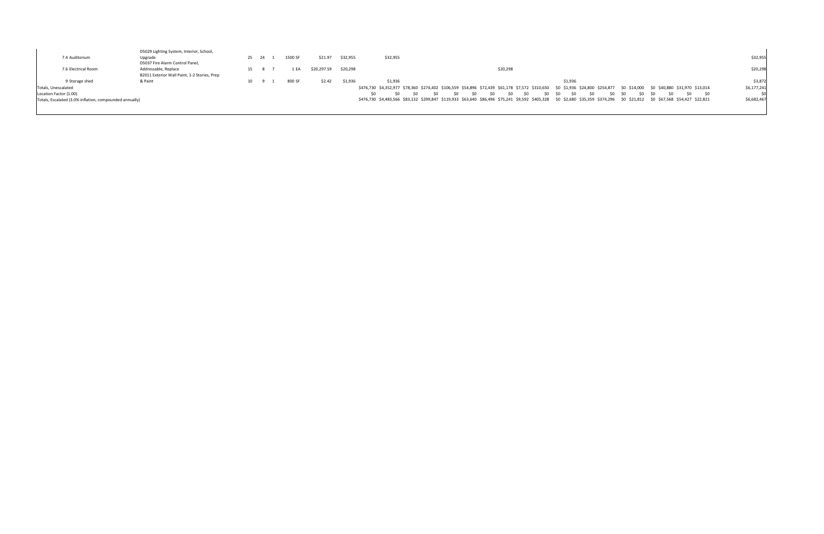| 7.4 Auditorium                                                                                           | D5029 Lighting System, Interior, School,<br>Upgrade<br>D5037 Fire Alarm Control Panel, | 25 24 | 1500 SF | \$21.97     | \$32,955 | \$32,955                                                                                                                                                                                                                                                                                                                                                                                                                  | \$32,955                   |
|----------------------------------------------------------------------------------------------------------|----------------------------------------------------------------------------------------|-------|---------|-------------|----------|---------------------------------------------------------------------------------------------------------------------------------------------------------------------------------------------------------------------------------------------------------------------------------------------------------------------------------------------------------------------------------------------------------------------------|----------------------------|
| 7.6 Electrical Room                                                                                      | Addressable, Replace<br>B2011 Exterior Wall Paint, 1-2 Stories, Prep                   | 15 8  | 1 EA    | \$20,297.59 | \$20,298 | \$20,298                                                                                                                                                                                                                                                                                                                                                                                                                  | \$20,298                   |
| 9 Storage shed                                                                                           | & Paint                                                                                | 10    | 800 SF  | \$2.42      | \$1,936  | \$1,936<br>\$1,936                                                                                                                                                                                                                                                                                                                                                                                                        | \$3,872                    |
| Totals, Unescalated<br>Location Factor (1.00)<br>Totals, Escalated (3.0% inflation, compounded annually) |                                                                                        |       |         |             |          | \$476,730 \$4,352,977 \$78,360 \$274,402 \$106,559 \$54,896 \$72,439 \$61,178 \$7,572 \$310,650 \$0 \$1,936 \$24,800 \$24,877 \$0 \$14,000 \$0 \$40,880 \$31,970 \$13,014<br>\$0<br>- SO<br>\$0<br>SO.<br>-SO<br>\$0<br>S0<br>⊂∩<br>\$0 \$0<br>\$476,730 \$4,483,566 \$83,132 \$299,847 \$119,933 \$63,640 \$86,496 \$75,241 \$9,592 \$405,328 \$0 \$2,680 \$35,359 \$374,296 \$0 \$21,812 \$0 \$67,568 \$54,427 \$22,821 | \$6,177,241<br>\$6,682,467 |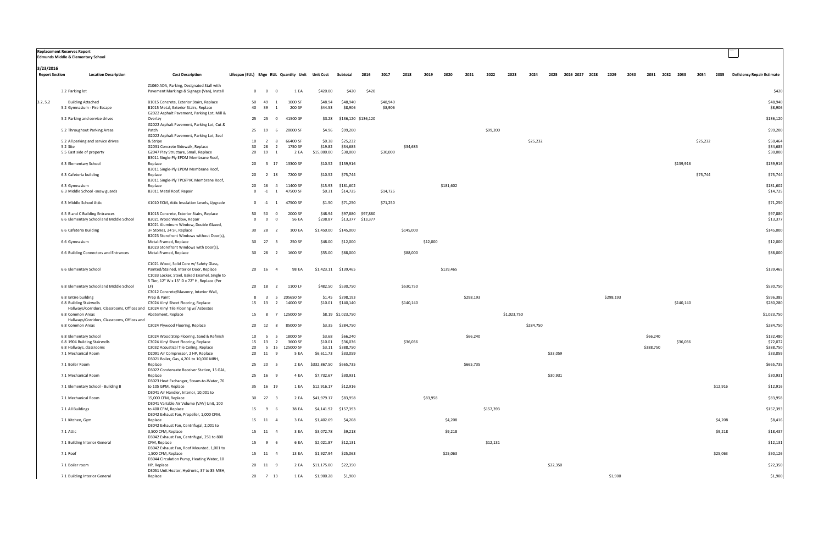|                                    | Replacement Reserves Report<br>Edmunds Middle & Elementary School                                     |                                                                                                                                                                                   |                                             |                                                      |                        |                                       |          |                     |           |          |           |           |           |             |           |          |                |           |      |           |      |           |          |          |                                 |
|------------------------------------|-------------------------------------------------------------------------------------------------------|-----------------------------------------------------------------------------------------------------------------------------------------------------------------------------------|---------------------------------------------|------------------------------------------------------|------------------------|---------------------------------------|----------|---------------------|-----------|----------|-----------|-----------|-----------|-------------|-----------|----------|----------------|-----------|------|-----------|------|-----------|----------|----------|---------------------------------|
| 3/23/2016<br><b>Report Section</b> | <b>Location Description</b>                                                                           | <b>Cost Description</b>                                                                                                                                                           |                                             | Lifespan (EUL) EAge RUL Quantity Unit Unit Cost      |                        | Subtotal                              | 2016     | 2017                | 2018      | 2019     | 2020      | 2021      | 2022      | 2023        | 2024      | 2025     | 2026 2027 2028 | 2029      | 2030 | 2031      | 2032 | 2033      | 2034     |          | 2035 Deficiency Repair Estimate |
|                                    | 3.2 Parking lot                                                                                       | Z1060 ADA, Parking, Designated Stall with<br>Pavement Markings & Signage (Van), Install                                                                                           | $0\qquad 0$                                 | 1 EA<br>$\overline{0}$                               | \$420.00               | \$420                                 | \$420    |                     |           |          |           |           |           |             |           |          |                |           |      |           |      |           |          |          | \$420                           |
| 3.2, 5.2                           | <b>Building Attached</b><br>5.2 Gymnasium - Fire Escape                                               | B1015 Concrete, Exterior Stairs, Replace<br>B1015 Metal, Exterior Stairs, Replace                                                                                                 | 50<br>49<br>39<br>40                        | 1000 SF<br>200 SF<br>-1                              | \$48.94<br>\$44.53     | \$48,940<br>\$8,906                   |          | \$48,940<br>\$8,906 |           |          |           |           |           |             |           |          |                |           |      |           |      |           |          |          | \$48,940<br>\$8,906             |
|                                    | 5.2 Parking and service drives                                                                        | G2022 Asphalt Pavement, Parking Lot, Mill &<br>Overlay                                                                                                                            | 25<br>25                                    | 41500 SF<br>$\overline{0}$                           |                        | \$3.28 \$136,120 \$136,120            |          |                     |           |          |           |           |           |             |           |          |                |           |      |           |      |           |          |          | \$136,120                       |
|                                    | 5.2 Throughout Parking Areas                                                                          | G2022 Asphalt Pavement, Parking Lot, Cut &<br>Patch                                                                                                                               | 19<br>25                                    | 20000 SF                                             | \$4.96                 | \$99,200                              |          |                     |           |          |           |           | \$99,200  |             |           |          |                |           |      |           |      |           |          |          | \$99,200                        |
|                                    | 5.2 All parking and service drives                                                                    | G2022 Asphalt Pavement, Parking Lot, Seal<br>& Stripe                                                                                                                             | 10                                          | 66400 SF<br>$\overline{z}$<br>-8                     | \$0.38                 | \$25,232                              |          |                     |           |          |           |           |           |             | \$25,232  |          |                |           |      |           |      |           | \$25,232 |          | \$50,464                        |
|                                    | 5.2 Site                                                                                              | G2031 Concrete Sidewalk, Replace                                                                                                                                                  | 30<br>28                                    | 1750 SF<br>$\overline{2}$                            | \$19.82                | \$34,685                              |          |                     | \$34,685  |          |           |           |           |             |           |          |                |           |      |           |      |           |          |          | \$34,685                        |
|                                    | 5.5 East side of property                                                                             | G2047 Play Structure, Small, Replace<br>B3011 Single-Ply EPDM Membrane Roof,                                                                                                      | 20<br>19                                    | 2 EA                                                 | \$15,000.00            | \$30,000                              |          | \$30,000            |           |          |           |           |           |             |           |          |                |           |      |           |      |           |          |          | \$30,000                        |
|                                    | 6.3 Elementary School                                                                                 | Replace<br>B3011 Single-Ply EPDM Membrane Roof,                                                                                                                                   | 20                                          | 13300 SF<br>3 17                                     |                        | \$10.52 \$139,916                     |          |                     |           |          |           |           |           |             |           |          |                |           |      |           |      | \$139,916 |          |          | \$139,916                       |
|                                    | 6.3 Cafeteria building                                                                                | Replace<br>B3011 Single-Ply TPO/PVC Membrane Roof,                                                                                                                                | 20<br>2                                     | 7200 SF<br>18                                        | \$10.52                | \$75,744                              |          |                     |           |          |           |           |           |             |           |          |                |           |      |           |      |           | \$75,744 |          | \$75,744                        |
|                                    | 6.3 Gymnasium<br>6.3 Middle School -snow guards                                                       | Replace<br>B3011 Metal Roof, Repair                                                                                                                                               | 20<br>16<br>$\overline{\mathbf{0}}$<br>$-1$ | 11400 SF<br>4<br>47500 SF<br>$\overline{1}$          | \$0.31                 | \$15.93 \$181,602<br>\$14,725         |          | \$14,725            |           |          | \$181,602 |           |           |             |           |          |                |           |      |           |      |           |          |          | \$181,602<br>\$14,725           |
|                                    | 6.3 Middle School Attic                                                                               | X1010 ECM, Attic Insulation Levels, Upgrade                                                                                                                                       | $0 \quad -1$                                | 47500 SF<br>- 1                                      | \$1.50                 | \$71,250                              |          | \$71,250            |           |          |           |           |           |             |           |          |                |           |      |           |      |           |          |          | \$71,250                        |
|                                    | 6.5 B and C Building Entrances                                                                        | B1015 Concrete, Exterior Stairs, Replace                                                                                                                                          | 50<br>50                                    | 2000 SF                                              | \$48.94                | \$97,880                              | \$97,880 |                     |           |          |           |           |           |             |           |          |                |           |      |           |      |           |          |          | \$97,880                        |
|                                    | 6.6 Elementary School and Middle School                                                               | B2021 Wood Window, Repair<br>B2021 Aluminum Window, Double Glazed,                                                                                                                | $\overline{0}$                              | 56 EA<br>$\overline{0}$                              | \$238.87               | \$13,377 \$13,377                     |          |                     |           |          |           |           |           |             |           |          |                |           |      |           |      |           |          |          | \$13,377                        |
|                                    | 6.6 Cafeteria Building                                                                                | 3+ Stories, 24 SF, Replace<br>B2023 Storefront Windows without Door(s),                                                                                                           | 30<br>- 28                                  | 100 EA<br>- 2                                        | \$1,450.00             | \$145,000                             |          |                     | \$145,000 |          |           |           |           |             |           |          |                |           |      |           |      |           |          |          | \$145,000                       |
|                                    | 6.6 Gymnasium                                                                                         | Metal-Framed, Replace<br>B2023 Storefront Windows with Door(s),                                                                                                                   | 30 27                                       | 250 SF<br>- 3                                        | \$48.00                | \$12,000                              |          |                     |           | \$12,000 |           |           |           |             |           |          |                |           |      |           |      |           |          |          | \$12,000                        |
|                                    | 6.6 Building Connectors and Entrances                                                                 | Metal-Framed, Replace                                                                                                                                                             | 30<br>28                                    | 1600 SF<br>$\overline{2}$                            | \$55.00                | \$88,000                              |          |                     | \$88,000  |          |           |           |           |             |           |          |                |           |      |           |      |           |          |          | \$88,000                        |
|                                    | 6.6 Elementary School                                                                                 | C1021 Wood, Solid Core w/ Safety Glass,<br>Painted/Stained, Interior Door, Replace<br>C1033 Locker, Steel, Baked Enamel, Single to<br>5 Tier, 12" W x 15" D x 72" H, Replace (Per | 20 16                                       | 98 EA<br>$\overline{a}$                              |                        | \$1,423.11 \$139,465                  |          |                     |           |          | \$139,465 |           |           |             |           |          |                |           |      |           |      |           |          |          | \$139,465                       |
|                                    | 6.8 Elementary School and Middle School                                                               | LF)<br>C3012 Concrete/Masonry, Interior Wall,                                                                                                                                     | 18<br>20                                    | 1100 LF<br>$\overline{2}$                            |                        | \$482.50 \$530,750                    |          |                     | \$530,750 |          |           |           |           |             |           |          |                |           |      |           |      |           |          |          | \$530,750                       |
|                                    | 6.8 Entire building<br>6.8 Building Stairwells                                                        | Prep & Paint<br>C3024 Vinyl Sheet Flooring, Replace                                                                                                                               | 8<br>15<br>13                               | 205650 SF<br>-3<br>- 5<br>14000 SF<br>$\overline{2}$ |                        | \$1.45 \$298,193<br>\$10.01 \$140,140 |          |                     | \$140,140 |          |           | \$298,193 |           |             |           |          |                | \$298,193 |      |           |      | \$140,140 |          |          | \$596,385<br>\$280,280          |
|                                    | Hallways/Corridors, Classrooms, Offices and C3024 Vinyl Tile Flooring w/ Asbestos<br>6.8 Common Areas | Abatement, Replace                                                                                                                                                                | 15                                          | 125000 SF<br>$\overline{7}$                          |                        | \$8.19 \$1,023,750                    |          |                     |           |          |           |           |           | \$1,023,750 |           |          |                |           |      |           |      |           |          |          | \$1,023,750                     |
|                                    | Hallways/Corridors, Classrooms, Offices and<br>6.8 Common Areas                                       | C3024 Plywood Flooring, Replace                                                                                                                                                   | 20<br>12                                    | 85000 SF<br>8                                        |                        | \$3.35 \$284,750                      |          |                     |           |          |           |           |           |             | \$284,750 |          |                |           |      |           |      |           |          |          | \$284,750                       |
|                                    | 6.8 Elementary School                                                                                 | C3024 Wood Strip Flooring, Sand & Refinish                                                                                                                                        | 10                                          | 18000 SF<br>5<br>5                                   | \$3.68                 | \$66,240                              |          |                     |           |          |           | \$66,240  |           |             |           |          |                |           |      | \$66,240  |      |           |          |          | \$132,480                       |
|                                    | 6.8 1904 Building Stairwells                                                                          | C3024 Vinyl Sheet Flooring, Replace                                                                                                                                               | 15                                          | 3600 SF<br>13 2                                      | \$10.01                | \$36,036                              |          |                     | \$36,036  |          |           |           |           |             |           |          |                |           |      |           |      | \$36,036  |          |          | \$72,072                        |
|                                    | 6.8 Hallways, classrooms                                                                              | C3032 Acoustical Tile Ceiling, Replace                                                                                                                                            | 20                                          | 5 15 125000 SF                                       |                        | \$3.11 \$388,750                      |          |                     |           |          |           |           |           |             |           |          |                |           |      | \$388,750 |      |           |          |          | \$388,750                       |
|                                    | 7.1 Mechanical Room                                                                                   | D2091 Air Compressor, 2 HP, Replace<br>D3021 Boiler, Gas, 4,201 to 10,000 MBH,                                                                                                    | 20 11 9                                     | 5 EA                                                 |                        | \$6,611.73 \$33,059                   |          |                     |           |          |           |           |           |             |           | \$33,059 |                |           |      |           |      |           |          |          | \$33,059                        |
|                                    | 7.1 Boiler Room                                                                                       | Replace<br>D3022 Condensate Receiver Station, 15 GAL,                                                                                                                             | 25 20 5                                     | 2 EA                                                 | \$332,867.50 \$665,735 |                                       |          |                     |           |          |           | \$665,735 |           |             |           |          |                |           |      |           |      |           |          |          | \$665,735                       |
|                                    | 7.1 Mechanical Room                                                                                   | Replace<br>D3023 Heat Exchanger, Steam-to-Water, 76                                                                                                                               | 25 16 9                                     | 4 EA                                                 | \$7,732.67             | \$30,931                              |          |                     |           |          |           |           |           |             |           | \$30,931 |                |           |      |           |      |           |          |          | \$30,931                        |
|                                    | 7.1 Elementary School - Building B                                                                    | to 105 GPM, Replace<br>D3041 Air Handler, Interior, 10,001 to                                                                                                                     | 35 16 19                                    | 1 EA                                                 | \$12,916.17 \$12,916   |                                       |          |                     |           |          |           |           |           |             |           |          |                |           |      |           |      |           |          | \$12,916 | \$12,916                        |
|                                    | 7.1 Mechanical Room                                                                                   | 15,000 CFM, Replace<br>D3041 Variable Air Volume (VAV) Unit, 100                                                                                                                  | 30 27 3                                     | 2 EA                                                 |                        | \$41,979.17 \$83,958                  |          |                     |           | \$83,958 |           |           |           |             |           |          |                |           |      |           |      |           |          |          | \$83,958                        |
|                                    | 7.1 All Buildings                                                                                     | to 400 CFM, Replace<br>D3042 Exhaust Fan, Propeller, 1,000 CFM,                                                                                                                   | 15<br>- 9                                   | 38 EA                                                |                        | \$4,141.92 \$157,393                  |          |                     |           |          |           |           | \$157,393 |             |           |          |                |           |      |           |      |           |          |          | \$157,393                       |
|                                    | 7.1 Kitchen, Gym                                                                                      | Replace<br>D3042 Exhaust Fan, Centrifugal, 2,001 to                                                                                                                               | 15 11 4                                     | 3 EA                                                 | \$1,402.69             | \$4,208                               |          |                     |           |          | \$4,208   |           |           |             |           |          |                |           |      |           |      |           |          | \$4,208  | \$8,416                         |
|                                    | 7.1 Attic                                                                                             | 3,500 CFM, Replace<br>D3042 Exhaust Fan, Centrifugal, 251 to 800                                                                                                                  | 15 11 4                                     | 3 EA                                                 | \$3,072.78             | \$9,218                               |          |                     |           |          | \$9,218   |           |           |             |           |          |                |           |      |           |      |           |          | \$9,218  | \$18,437                        |
|                                    | 7.1 Building Interior General                                                                         | CFM, Replace<br>D3042 Exhaust Fan, Roof Mounted, 1,001 to                                                                                                                         | 15                                          | 6 EA<br>$9\quad 6$                                   | \$2,021.87             | \$12,131                              |          |                     |           |          |           |           | \$12,131  |             |           |          |                |           |      |           |      |           |          |          | \$12,131                        |
|                                    | 7.1 Roof                                                                                              | 1,500 CFM, Replace<br>D3044 Circulation Pump, Heating Water, 10                                                                                                                   | 15 11 4                                     | 13 EA                                                | \$1,927.94             | \$25,063                              |          |                     |           |          | \$25,063  |           |           |             |           |          |                |           |      |           |      |           |          | \$25,063 | \$50,126                        |
|                                    | 7.1 Boiler room                                                                                       | HP, Replace<br>D3051 Unit Heater, Hydronic, 37 to 85 MBH,                                                                                                                         | 20 11 9                                     | 2 EA                                                 | \$11,175.00            | \$22,350                              |          |                     |           |          |           |           |           |             |           | \$22,350 |                |           |      |           |      |           |          |          | \$22,350                        |
|                                    | 7.1 Building Interior General                                                                         | Replace                                                                                                                                                                           | 20 7 13                                     | 1 EA                                                 | \$1,900.28             | \$1,900                               |          |                     |           |          |           |           |           |             |           |          |                | \$1,900   |      |           |      |           |          |          | \$1,900                         |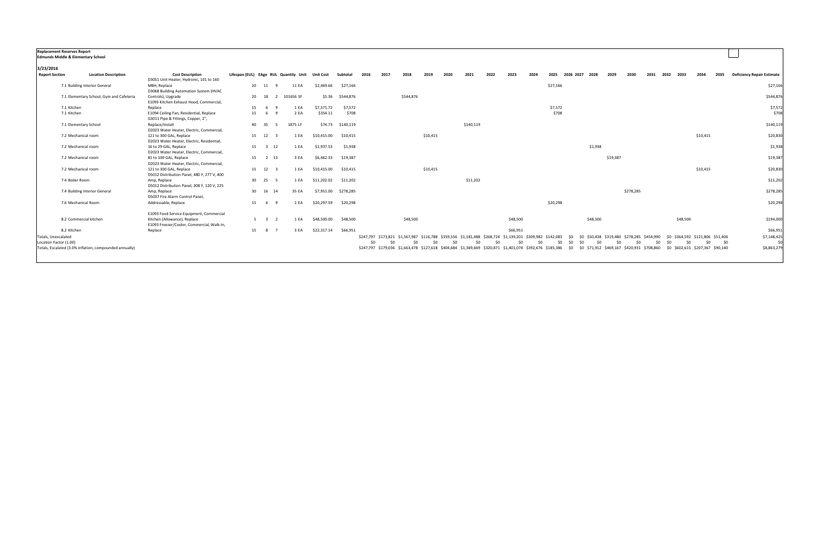| <b>Replacement Reserves Report</b>            |                                                         |                                                               |    |                     |                                                 |             |                      |      |                                                                                                           |           |          |      |           |      |          |      |          |            |                                            |          |           |      |            |                                                                             |      |                                   |
|-----------------------------------------------|---------------------------------------------------------|---------------------------------------------------------------|----|---------------------|-------------------------------------------------|-------------|----------------------|------|-----------------------------------------------------------------------------------------------------------|-----------|----------|------|-----------|------|----------|------|----------|------------|--------------------------------------------|----------|-----------|------|------------|-----------------------------------------------------------------------------|------|-----------------------------------|
| <b>Edmunds Middle &amp; Elementary School</b> |                                                         |                                                               |    |                     |                                                 |             |                      |      |                                                                                                           |           |          |      |           |      |          |      |          |            |                                            |          |           |      |            |                                                                             |      |                                   |
|                                               |                                                         |                                                               |    |                     |                                                 |             |                      |      |                                                                                                           |           |          |      |           |      |          |      |          |            |                                            |          |           |      |            |                                                                             |      |                                   |
| 3/23/2016                                     |                                                         |                                                               |    |                     |                                                 |             |                      |      |                                                                                                           |           |          |      |           |      |          |      |          |            |                                            |          |           |      |            |                                                                             |      |                                   |
| <b>Report Section</b>                         | <b>Location Description</b>                             | <b>Cost Description</b>                                       |    |                     | Lifespan (EUL) EAge RUL Quantity Unit Unit Cost |             | Subtotal             | 2016 | 2017                                                                                                      | 2018      | 2019     | 2020 | 2021      | 2022 | 2023     | 2024 | 2025     | 2026 2027  | 2028                                       | 2029     | 2030      | 2031 | 2032       | 2034<br>2033                                                                | 2035 | <b>Deficiency Repair Estimate</b> |
|                                               |                                                         | D3051 Unit Heater, Hydronic, 101 to 160                       |    |                     |                                                 |             |                      |      |                                                                                                           |           |          |      |           |      |          |      |          |            |                                            |          |           |      |            |                                                                             |      |                                   |
|                                               | 7.1 Building Interior General                           | MBH, Replace                                                  |    | 20 11               | 11 EA                                           | \$2,469.66  | \$27,166             |      |                                                                                                           |           |          |      |           |      |          |      | \$27,166 |            |                                            |          |           |      |            |                                                                             |      | \$27,166                          |
|                                               |                                                         | D3068 Building Automation System (HVAC                        |    | 20 18               |                                                 |             |                      |      |                                                                                                           | \$544,876 |          |      |           |      |          |      |          |            |                                            |          |           |      |            |                                                                             |      |                                   |
|                                               | 7.1 Elementary School, Gym and Cafeteria                | Controls), Upgrade<br>E1093 Kitchen Exhaust Hood, Commercial, |    |                     | 101656 SF<br>$\overline{2}$                     |             | \$5.36 \$544,876     |      |                                                                                                           |           |          |      |           |      |          |      |          |            |                                            |          |           |      |            |                                                                             |      | \$544,876                         |
| 7.1 Kitchen                                   |                                                         | Replace                                                       | 15 | 69                  | 1 EA                                            | \$7,571.72  | \$7,572              |      |                                                                                                           |           |          |      |           |      |          |      | \$7,572  |            |                                            |          |           |      |            |                                                                             |      | \$7,572                           |
| 7.1 Kitchen                                   |                                                         | E1094 Ceiling Fan, Residential, Replace                       | 15 | - 6                 | 2 EA                                            | \$354.11    | \$708                |      |                                                                                                           |           |          |      |           |      |          |      | \$708    |            |                                            |          |           |      |            |                                                                             |      | \$708                             |
|                                               |                                                         | G3011 Pipe & Fittings, Copper, 2",                            |    |                     |                                                 |             |                      |      |                                                                                                           |           |          |      |           |      |          |      |          |            |                                            |          |           |      |            |                                                                             |      |                                   |
|                                               | 7.1 Elementary School                                   | Replace/Install                                               |    | 40 35               | 1875 LF                                         |             | \$74.73 \$140,119    |      |                                                                                                           |           |          |      | \$140,119 |      |          |      |          |            |                                            |          |           |      |            |                                                                             |      | \$140,119                         |
|                                               |                                                         | D2023 Water Heater, Electric, Commercial,                     |    |                     |                                                 |             |                      |      |                                                                                                           |           |          |      |           |      |          |      |          |            |                                            |          |           |      |            |                                                                             |      |                                   |
|                                               | 7.2 Mechanical room                                     | 121 to 300 GAL, Replace                                       |    | 15 12 3             | 1 EA                                            | \$10,415.00 | \$10,415             |      |                                                                                                           |           | \$10,415 |      |           |      |          |      |          |            |                                            |          |           |      |            | \$10,415                                                                    |      | \$20,830                          |
|                                               |                                                         | D2023 Water Heater, Electric, Residential,                    |    |                     |                                                 |             |                      |      |                                                                                                           |           |          |      |           |      |          |      |          |            |                                            |          |           |      |            |                                                                             |      |                                   |
|                                               | 7.2 Mechanical room                                     | 16 to 29 GAL, Replace                                         |    | 15 3 12             | 1 EA                                            | \$1,937.53  | \$1,938              |      |                                                                                                           |           |          |      |           |      |          |      |          |            | \$1,938                                    |          |           |      |            |                                                                             |      | \$1,938                           |
|                                               |                                                         | D2023 Water Heater, Electric, Commercial                      |    |                     |                                                 |             |                      |      |                                                                                                           |           |          |      |           |      |          |      |          |            |                                            |          |           |      |            |                                                                             |      |                                   |
|                                               | 7.2 Mechanical room                                     | 81 to 100 GAL, Replace                                        |    | 15 2 13             | 3 EA                                            | \$6,462.33  | \$19,387             |      |                                                                                                           |           |          |      |           |      |          |      |          |            |                                            | \$19,387 |           |      |            |                                                                             |      | \$19,387                          |
|                                               |                                                         | D2023 Water Heater, Electric, Commercial                      |    |                     |                                                 |             |                      |      |                                                                                                           |           |          |      |           |      |          |      |          |            |                                            |          |           |      |            |                                                                             |      |                                   |
|                                               | 7.2 Mechanical room                                     | 121 to 300 GAL, Replace                                       |    | 15 12 3             | 1 EA                                            | \$10,415.00 | \$10,415             |      |                                                                                                           |           | \$10,415 |      |           |      |          |      |          |            |                                            |          |           |      |            | \$10,415                                                                    |      | \$20,830                          |
|                                               |                                                         | D5012 Distribution Panel, 480 Y, 277 V, 400                   |    |                     |                                                 |             |                      |      |                                                                                                           |           |          |      |           |      |          |      |          |            |                                            |          |           |      |            |                                                                             |      |                                   |
|                                               | 7.4 Boiler Room                                         | Amp, Replace                                                  |    | 30 25 5             | 1 EA                                            | \$11,202.02 | \$11,202             |      |                                                                                                           |           |          |      | \$11,202  |      |          |      |          |            |                                            |          |           |      |            |                                                                             |      | \$11,202                          |
|                                               |                                                         | D5012 Distribution Panel, 208 Y, 120 V, 225                   |    |                     |                                                 |             |                      |      |                                                                                                           |           |          |      |           |      |          |      |          |            |                                            |          |           |      |            |                                                                             |      |                                   |
|                                               | 7.4 Building Interior General                           | Amp, Replace                                                  |    | 30 16 14            | 35 EA                                           |             | \$7,951.00 \$278,285 |      |                                                                                                           |           |          |      |           |      |          |      |          |            |                                            |          | \$278,285 |      |            |                                                                             |      | \$278,285                         |
|                                               |                                                         | D5037 Fire Alarm Control Panel,                               |    |                     |                                                 |             |                      |      |                                                                                                           |           |          |      |           |      |          |      |          |            |                                            |          |           |      |            |                                                                             |      |                                   |
|                                               | 7.6 Mechanical Room                                     | Addressable, Replace                                          |    | 15 6 9              | 1 EA                                            | \$20,297.59 | \$20,298             |      |                                                                                                           |           |          |      |           |      |          |      | \$20,298 |            |                                            |          |           |      |            |                                                                             |      | \$20,298                          |
|                                               |                                                         | E1093 Food Service Equipment, Commercial                      |    |                     |                                                 |             |                      |      |                                                                                                           |           |          |      |           |      |          |      |          |            |                                            |          |           |      |            |                                                                             |      |                                   |
|                                               | 8.2 Commercial kitchen                                  | Kitchen (Allowance), Replace                                  |    | $5 \quad 3 \quad 2$ | 1 EA                                            | \$48,500.00 | \$48,500             |      |                                                                                                           | \$48,500  |          |      |           |      | \$48,500 |      |          |            | \$48,500                                   |          |           |      |            | \$48,500                                                                    |      | \$194,000                         |
|                                               |                                                         | E1093 Freezer/Cooler, Commercial, Walk-In,                    |    |                     |                                                 |             |                      |      |                                                                                                           |           |          |      |           |      |          |      |          |            |                                            |          |           |      |            |                                                                             |      |                                   |
| 8.2 Kitchen                                   |                                                         | Replace                                                       |    | 15 8 7              | 3 EA                                            | \$22,317.14 | \$66,951             |      |                                                                                                           |           |          |      |           |      | \$66,951 |      |          |            |                                            |          |           |      |            |                                                                             |      | \$66,951                          |
| Totals, Unescalated                           |                                                         |                                                               |    |                     |                                                 |             |                      |      | \$247,797 \$173,821 \$1,567,987 \$116,788 \$359,556 \$1,181,488 \$268,724 \$1,139,201 \$309,982 \$142,083 |           |          |      |           |      |          |      |          | \$0        | \$0 \$50,438 \$319,480 \$278,285 \$454,990 |          |           |      |            | \$0 \$364,592 \$121,806 \$51,406                                            |      | \$7,148,425                       |
| Location Factor (1.00)                        |                                                         |                                                               |    |                     |                                                 |             |                      | \$0  | \$0                                                                                                       | \$0       | \$0      | \$0  | \$0       | \$0  | -SO      | \$0  |          | \$0<br>\$0 | \$0<br>\$0                                 | \$0      |           | \$0  | \$0<br>\$0 | \$0                                                                         | \$0  | \$0<br>\$0                        |
|                                               |                                                         |                                                               |    |                     |                                                 |             |                      |      |                                                                                                           |           |          |      |           |      |          |      |          |            |                                            |          |           |      |            |                                                                             |      | \$8,863,279                       |
|                                               | Totals, Escalated (3.0% inflation, compounded annually) |                                                               |    |                     |                                                 |             |                      |      | \$247,797 \$179,036 \$1,663,478 \$127,618 \$404,684 \$1,369,669 \$320,871 \$1,401,074 \$392,676 \$185,386 |           |          |      |           |      |          |      |          | \$0        |                                            |          |           |      |            | \$0 \$71,912 \$469,167 \$420,931 \$708,860 \$0 \$602,615 \$207,367 \$90,140 |      |                                   |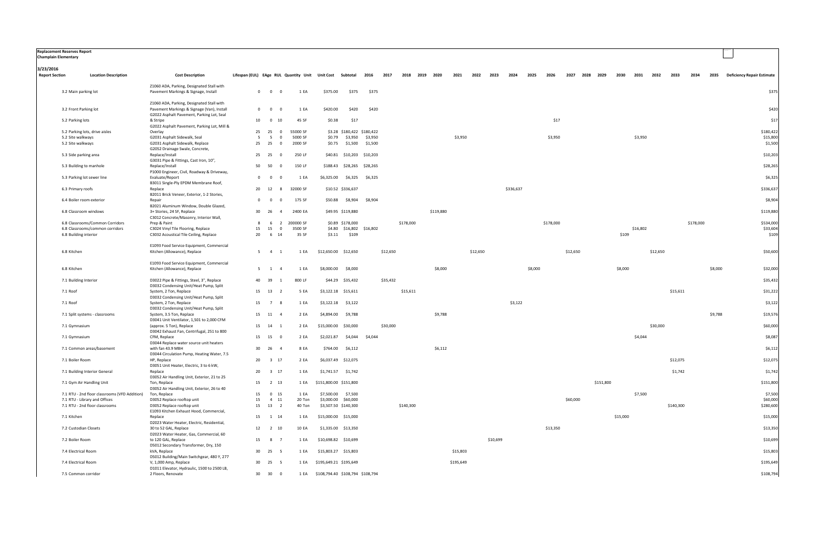| <b>Replacement Reserves Report</b><br>Champlain Elementary |                                               |                                                                                         |                                                                    |                                          |           |                                       |                   |                            |          |           |                |           |           |          |          |           |         |           |          |                |          |          |          |           |           |         |                                   |
|------------------------------------------------------------|-----------------------------------------------|-----------------------------------------------------------------------------------------|--------------------------------------------------------------------|------------------------------------------|-----------|---------------------------------------|-------------------|----------------------------|----------|-----------|----------------|-----------|-----------|----------|----------|-----------|---------|-----------|----------|----------------|----------|----------|----------|-----------|-----------|---------|-----------------------------------|
| 3/23/2016<br><b>Report Section</b>                         | <b>Location Description</b>                   | <b>Cost Description</b>                                                                 | Lifespan (EUL) EAge RUL Quantity Unit Unit Cost Subtotal 2016 2017 |                                          |           |                                       |                   |                            |          |           | 2018 2019 2020 |           | 2021      | 2022     | 2023     | 2024      | 2025    | 2026      |          | 2027 2028 2029 | 2030     | 2031     | 2032     | 2033      | 2034      | 2035    | <b>Deficiency Repair Estimate</b> |
|                                                            | 3.2 Main parking lot                          | Z1060 ADA, Parking, Designated Stall with<br>Pavement Markings & Signage, Install       | $\overline{0}$                                                     | $\overline{0}$<br>$\overline{0}$         | 1 EA      | \$375.00                              | \$375             | \$375                      |          |           |                |           |           |          |          |           |         |           |          |                |          |          |          |           |           |         | \$375                             |
|                                                            |                                               | Z1060 ADA, Parking, Designated Stall with                                               |                                                                    |                                          |           |                                       |                   |                            |          |           |                |           |           |          |          |           |         |           |          |                |          |          |          |           |           |         |                                   |
|                                                            | 3.2 Front Parking lot                         | Pavement Markings & Signage (Van), Install<br>G2022 Asphalt Pavement, Parking Lot, Seal | $\overline{0}$                                                     | $\overline{0}$<br>$\overline{0}$         | 1 EA      | \$420.00                              | \$420             | \$420                      |          |           |                |           |           |          |          |           |         |           |          |                |          |          |          |           |           |         | \$420                             |
|                                                            | 5.2 Parking lots                              | & Stripe<br>G2022 Asphalt Pavement, Parking Lot, Mill &                                 | 10                                                                 | $\overline{0}$<br>10                     | 45 SF     | \$0.38                                | \$17              |                            |          |           |                |           |           |          |          |           |         | \$17      |          |                |          |          |          |           |           |         | \$17                              |
|                                                            | 5.2 Parking lots, drive aisles                | Overlay                                                                                 |                                                                    | 25 25<br>$\overline{\mathbf{0}}$         | 55000 SF  |                                       |                   | \$3.28 \$180,422 \$180,422 |          |           |                |           |           |          |          |           |         |           |          |                |          |          |          |           |           |         | \$180,422                         |
|                                                            | 5.2 Site walkways                             | G2031 Asphalt Sidewalk, Seal                                                            | 5                                                                  | $\overline{\phantom{0}}$<br>$\mathbf{0}$ | 5000 SF   | \$0.79                                | \$3,950           | \$3,950                    |          |           |                |           | \$3,950   |          |          |           |         | \$3,950   |          |                |          | \$3,950  |          |           |           |         | \$15,800                          |
|                                                            | 5.2 Site walkways                             | G2031 Asphalt Sidewalk, Replace<br>G2052 Drainage Swale, Concrete,                      |                                                                    | 25 25<br>$\overline{0}$                  | 2000 SF   | \$0.75                                | \$1,500           | \$1,500                    |          |           |                |           |           |          |          |           |         |           |          |                |          |          |          |           |           |         | \$1,500                           |
|                                                            | 5.3 Side parking area                         | Replace/Install<br>G3031 Pipe & Fittings, Cast Iron, 10",                               |                                                                    | 25 25<br>$\Omega$                        | 250 LF    | \$40.81                               |                   | \$10,203 \$10,203          |          |           |                |           |           |          |          |           |         |           |          |                |          |          |          |           |           |         | \$10,203                          |
|                                                            | 5.3 Building to manhole                       | Replace/Install<br>P1000 Engineer, Civil, Roadway & Driveway,                           | 50                                                                 | 50<br>- 0                                | 150 LF    |                                       |                   | \$188.43 \$28,265 \$28,265 |          |           |                |           |           |          |          |           |         |           |          |                |          |          |          |           |           |         | \$28,265                          |
|                                                            | 5.3 Parking lot sewer line                    | Evaluate/Report<br>B3011 Single-Ply EPDM Membrane Roof,                                 | $\overline{0}$                                                     | $\overline{\mathbf{0}}$                  | 1 EA      | \$6,325.00                            | \$6,325           | \$6,325                    |          |           |                |           |           |          |          |           |         |           |          |                |          |          |          |           |           |         | \$6,325                           |
|                                                            | 6.3 Primary roofs                             | Replace                                                                                 |                                                                    | 20 12<br>8                               | 32000 SF  |                                       | \$10.52 \$336,637 |                            |          |           |                |           |           |          |          | \$336,637 |         |           |          |                |          |          |          |           |           |         | \$336,637                         |
|                                                            | 6.4 Boiler room exterior                      | B2011 Brick Veneer, Exterior, 1-2 Stories,<br>Repair                                    | $\overline{0}$                                                     | $\mathbf{0}$                             | 175 SF    | \$50.88                               | \$8,904           | \$8,904                    |          |           |                |           |           |          |          |           |         |           |          |                |          |          |          |           |           |         | \$8,904                           |
|                                                            | 6.8 Classroom windows                         | B2021 Aluminum Window, Double Glazed,<br>3+ Stories, 24 SF, Replace                     |                                                                    | 30 26<br>$\overline{4}$                  | 2400 EA   |                                       | \$49.95 \$119,880 |                            |          |           |                | \$119,880 |           |          |          |           |         |           |          |                |          |          |          |           |           |         | \$119,880                         |
|                                                            | 6.8 Classrooms/Common Corridors               | C3012 Concrete/Masonry, Interior Wall,<br>Prep & Paint                                  | 8                                                                  | 6<br>$\overline{2}$                      | 200000 SF |                                       | \$0.89 \$178,000  |                            |          | \$178,000 |                |           |           |          |          |           |         | \$178,000 |          |                |          |          |          |           | \$178,000 |         | \$534,000                         |
|                                                            | 6.8 Classrooms/common corridors               | C3024 Vinyl Tile Flooring, Replace                                                      | 15                                                                 | 15<br>$\overline{0}$                     | 3500 SF   |                                       |                   | \$4.80 \$16,802 \$16,802   |          |           |                |           |           |          |          |           |         |           |          |                |          | \$16,802 |          |           |           |         | \$33,604                          |
|                                                            | 6.8 Building interior                         | C3032 Acoustical Tile Ceiling, Replace                                                  | 20                                                                 | 6 14                                     | 35 SF     | \$3.11                                | \$109             |                            |          |           |                |           |           |          |          |           |         |           |          |                | \$109    |          |          |           |           |         | \$109                             |
|                                                            |                                               | E1093 Food Service Equipment, Commercial                                                |                                                                    |                                          |           |                                       |                   |                            |          |           |                |           |           |          |          |           |         |           |          |                |          |          |          |           |           |         |                                   |
| 6.8 Kitchen                                                |                                               | Kitchen (Allowance), Replace                                                            | 5                                                                  | 4 1                                      | 1 EA      | \$12,650.00 \$12,650                  |                   |                            | \$12,650 |           |                |           |           | \$12,650 |          |           |         |           | \$12,650 |                |          |          | \$12,650 |           |           |         | \$50,600                          |
| 6.8 Kitchen                                                |                                               | E1093 Food Service Equipment, Commercial<br>Kitchen (Allowance), Replace                |                                                                    | $5 \quad 1 \quad 4$                      | 1 EA      | \$8,000.00                            | \$8,000           |                            |          |           |                | \$8,000   |           |          |          |           | \$8,000 |           |          |                | \$8,000  |          |          |           |           | \$8,000 | \$32,000                          |
|                                                            | 7.1 Building Interior                         | D3022 Pipe & Fittings, Steel, 3", Replace<br>D3032 Condensing Unit/Heat Pump, Split     | 40                                                                 | 39                                       | 800 LF    |                                       | \$44.29 \$35,432  |                            | \$35,432 |           |                |           |           |          |          |           |         |           |          |                |          |          |          |           |           |         | \$35,432                          |
| 7.1 Roof                                                   |                                               | System, 2 Ton, Replace<br>D3032 Condensing Unit/Heat Pump, Split                        |                                                                    | 15 13<br>$\overline{\mathbf{2}}$         | 5 EA      | \$3,122.18                            | \$15,611          |                            |          | \$15,611  |                |           |           |          |          |           |         |           |          |                |          |          |          | \$15,611  |           |         | \$31,222                          |
| 7.1 Roof                                                   |                                               | System, 2 Ton, Replace                                                                  | 15                                                                 | $\overline{7}$<br>- 8                    | 1 EA      | \$3,122.18                            | \$3,122           |                            |          |           |                |           |           |          |          | \$3,122   |         |           |          |                |          |          |          |           |           |         | \$3,122                           |
|                                                            | 7.1 Split systems - classrooms                | D3032 Condensing Unit/Heat Pump, Split<br>System, 3.5 Ton, Replace                      |                                                                    | 15 11 4                                  | 2 EA      | \$4,894.00                            | \$9,788           |                            |          |           |                | \$9,788   |           |          |          |           |         |           |          |                |          |          |          |           |           | \$9,788 | \$19,576                          |
|                                                            | 7.1 Gymnasium                                 | D3041 Unit Ventilator, 1,501 to 2,000 CFM<br>(approx. 5 Ton), Replace                   |                                                                    | 15 14<br>$\overline{1}$                  | 2 EA      | \$15,000.00 \$30,000                  |                   |                            | \$30,000 |           |                |           |           |          |          |           |         |           |          |                |          |          | \$30,000 |           |           |         | \$60,000                          |
|                                                            | 7.1 Gymnasium                                 | D3042 Exhaust Fan, Centrifugal, 251 to 800<br>CFM, Replace                              |                                                                    | 15 15<br>- 0                             | 2 EA      | \$2,021.87                            | \$4,044           | \$4,044                    |          |           |                |           |           |          |          |           |         |           |          |                |          | \$4,044  |          |           |           |         | \$8,087                           |
|                                                            | 7.1 Common areas/basement                     | D3044 Replace water source unit heaters<br>with fan 43.9 MBH                            |                                                                    | 30  26  4                                | 8 EA      | \$764.00 \$6,112                      |                   |                            |          |           |                | \$6,112   |           |          |          |           |         |           |          |                |          |          |          |           |           |         | \$6,112                           |
|                                                            |                                               | D3044 Circulation Pump, Heating Water, 7.5                                              |                                                                    |                                          |           |                                       |                   |                            |          |           |                |           |           |          |          |           |         |           |          |                |          |          |          |           |           |         |                                   |
|                                                            | 7.1 Boiler Room                               | HP, Replace<br>D3051 Unit Heater, Electric, 3 to 6 kW,                                  |                                                                    | 20 3 17                                  | 2 EA      | \$6,037.49 \$12,075                   |                   |                            |          |           |                |           |           |          |          |           |         |           |          |                |          |          |          | \$12,075  |           |         | \$12,075                          |
|                                                            | 7.1 Building Interior General                 | Replace<br>D3052 Air Handling Unit, Exterior, 21 to 25                                  | 20                                                                 | $3 \quad 17$                             | 1 EA      | \$1,741.57 \$1,742                    |                   |                            |          |           |                |           |           |          |          |           |         |           |          |                |          |          |          | \$1,742   |           |         | \$1,742                           |
|                                                            | 7.1 Gym Air Handling Unit                     | Ton, Replace                                                                            |                                                                    | 15 2 13                                  |           | 1 EA \$151,800.00 \$151,800           |                   |                            |          |           |                |           |           |          |          |           |         |           |          | \$151,800      |          |          |          |           |           |         | \$151,800                         |
|                                                            | 7.1 RTU - 2nd floor classrooms (VFD Addition) | D3052 Air Handling Unit, Exterior, 26 to 40                                             | 15                                                                 | $0$ 15                                   | 1 EA      | \$7,500.00 \$7,500                    |                   |                            |          |           |                |           |           |          |          |           |         |           |          |                |          | \$7,500  |          |           |           |         | \$7,500                           |
|                                                            | 7.1 RTU - Library and Offices                 | Ton, Replace<br>D3052 Replace rooftop unit                                              | 15                                                                 | 4 11                                     | 20 Ton    | \$3,000.00 \$60,000                   |                   |                            |          |           |                |           |           |          |          |           |         |           | \$60,000 |                |          |          |          |           |           |         | \$60,000                          |
|                                                            | 7.1 RTU - 2nd floor classrooms                | D3052 Replace rooftop unit                                                              |                                                                    | 15 13 2                                  | 40 Ton    | \$3,507.50 \$140,300                  |                   |                            |          | \$140,300 |                |           |           |          |          |           |         |           |          |                |          |          |          | \$140,300 |           |         | \$280,600                         |
|                                                            |                                               | E1093 Kitchen Exhaust Hood, Commercial,                                                 |                                                                    |                                          |           |                                       |                   |                            |          |           |                |           |           |          |          |           |         |           |          |                |          |          |          |           |           |         |                                   |
| 7.1 Kitchen                                                |                                               | Replace<br>D2023 Water Heater, Electric, Residential,                                   |                                                                    | 15  1  14                                | 1 EA      | \$15,000.00 \$15,000                  |                   |                            |          |           |                |           |           |          |          |           |         |           |          |                | \$15,000 |          |          |           |           |         | \$15,000                          |
|                                                            | 7.2 Custodian Closets                         | 30 to 52 GAL, Replace<br>D2023 Water Heater, Gas, Commercial, 60                        |                                                                    | 12  2  10                                | 10 EA     | \$1,335.00 \$13,350                   |                   |                            |          |           |                |           |           |          |          |           |         | \$13,350  |          |                |          |          |          |           |           |         | \$13,350                          |
|                                                            | 7.2 Boiler Room                               | to 120 GAL, Replace                                                                     |                                                                    | 15 8 7                                   | 1 EA      | \$10,698.82 \$10,699                  |                   |                            |          |           |                |           |           |          | \$10,699 |           |         |           |          |                |          |          |          |           |           |         | \$10,699                          |
|                                                            | 7.4 Electrical Room                           | D5012 Secondary Transformer, Dry, 150<br>kVA, Replace                                   |                                                                    | 30 25 5                                  | 1 EA      | \$15,803.27 \$15,803                  |                   |                            |          |           |                |           | \$15,803  |          |          |           |         |           |          |                |          |          |          |           |           |         | \$15,803                          |
|                                                            | 7.4 Electrical Room                           | D5012 Building/Main Switchgear, 480 Y, 277<br>V, 1,000 Amp, Replace                     |                                                                    | 30 25 5                                  |           | 1 EA \$195,649.21 \$195,649           |                   |                            |          |           |                |           | \$195,649 |          |          |           |         |           |          |                |          |          |          |           |           |         | \$195,649                         |
|                                                            | 7.5 Common corridor                           | D1011 Elevator, Hydraulic, 1500 to 2500 LB,<br>2 Floors, Renovate                       |                                                                    | 30 30 0                                  |           | 1 EA \$108,794.40 \$108,794 \$108,794 |                   |                            |          |           |                |           |           |          |          |           |         |           |          |                |          |          |          |           |           |         | \$108,794                         |
|                                                            |                                               |                                                                                         |                                                                    |                                          |           |                                       |                   |                            |          |           |                |           |           |          |          |           |         |           |          |                |          |          |          |           |           |         |                                   |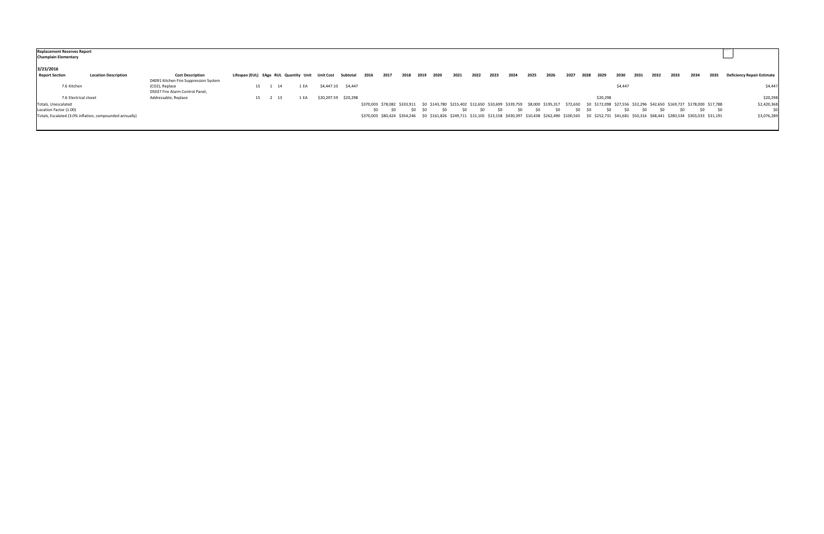| <b>Replacement Reserves Report</b><br><b>Champlain Elementary</b> |                                                         |                                       |                                       |         |      |           |                      |                                                                                                                                                                                     |      |      |         |                |      |      |      |      |      |      |      |      |          |         |      |      |      |      |            |                                   |
|-------------------------------------------------------------------|---------------------------------------------------------|---------------------------------------|---------------------------------------|---------|------|-----------|----------------------|-------------------------------------------------------------------------------------------------------------------------------------------------------------------------------------|------|------|---------|----------------|------|------|------|------|------|------|------|------|----------|---------|------|------|------|------|------------|-----------------------------------|
| 3/23/2016                                                         |                                                         |                                       |                                       |         |      |           |                      |                                                                                                                                                                                     |      |      |         |                |      |      |      |      |      |      |      |      |          |         |      |      |      |      |            |                                   |
| <b>Report Section</b>                                             | <b>Location Description</b>                             | <b>Cost Description</b>               | Lifespan (EUL) EAge RUL Quantity Unit |         |      | Unit Cost | Subtotal             | 2016                                                                                                                                                                                | 2017 | 2018 | 2019    | 2020           | 2021 | 2022 | 2023 | 2024 | 2025 | 2026 | 2027 | 2028 | 2029     | 2030    | 2031 | 2032 | 2033 | 2034 | 2035       | <b>Deficiency Repair Estimate</b> |
|                                                                   |                                                         | D4091 Kitchen Fire Suppression System |                                       |         |      |           |                      |                                                                                                                                                                                     |      |      |         |                |      |      |      |      |      |      |      |      |          |         |      |      |      |      |            |                                   |
| 7.6 Kitchen                                                       |                                                         | (CO2), Replace                        |                                       | 15 1 14 | 1 EA |           | \$4,447.10 \$4,447   |                                                                                                                                                                                     |      |      |         |                |      |      |      |      |      |      |      |      |          | \$4,447 |      |      |      |      |            | \$4,447                           |
|                                                                   |                                                         | D5037 Fire Alarm Control Panel,       |                                       |         |      |           |                      |                                                                                                                                                                                     |      |      |         |                |      |      |      |      |      |      |      |      |          |         |      |      |      |      |            |                                   |
| 7.6 Electrical closet                                             |                                                         | Addressable, Replace                  |                                       | 15 2 13 | 1 EA |           | \$20,297.59 \$20,298 |                                                                                                                                                                                     |      |      |         |                |      |      |      |      |      |      |      |      | \$20,298 |         |      |      |      |      |            | \$20,298                          |
| Totals, Unescalated                                               |                                                         |                                       |                                       |         |      |           |                      | \$370,003 \$78,082 \$333,911 \$0 \$143,780 \$215,402 \$12,650 \$10,699 \$339,759 \$8,000 \$195,317 \$72,650 \$0 \$172,098 \$27,556 \$32,296 \$42,650 \$169,727 \$178,000 \$17,788   |      |      |         |                |      |      |      |      |      |      |      |      |          |         |      |      |      |      |            | \$2,420,368                       |
| Location Factor (1.00)                                            |                                                         |                                       |                                       |         |      |           |                      | \$0                                                                                                                                                                                 |      |      | \$0 \$0 | S <sub>0</sub> | SO.  | \$0  | \$0  | -SO  | -SO  | \$0  |      | SO.  |          | SO.     | -SO  | SO.  | SO.  |      | \$0<br>\$0 | \$0                               |
|                                                                   | Totals, Escalated (3.0% inflation, compounded annually) |                                       |                                       |         |      |           |                      | \$370,003 \$80,424 \$354,246 \$0 \$161,826 \$249,711 \$15,105 \$13,158 \$430,397 \$10,438 \$262,490 \$100,565 \$0 \$252,731 \$41,681 \$50,316 \$68,441 \$280,534 \$303,033 \$31,191 |      |      |         |                |      |      |      |      |      |      |      |      |          |         |      |      |      |      |            | \$3,076,289                       |
|                                                                   |                                                         |                                       |                                       |         |      |           |                      |                                                                                                                                                                                     |      |      |         |                |      |      |      |      |      |      |      |      |          |         |      |      |      |      |            |                                   |
|                                                                   |                                                         |                                       |                                       |         |      |           |                      |                                                                                                                                                                                     |      |      |         |                |      |      |      |      |      |      |      |      |          |         |      |      |      |      |            |                                   |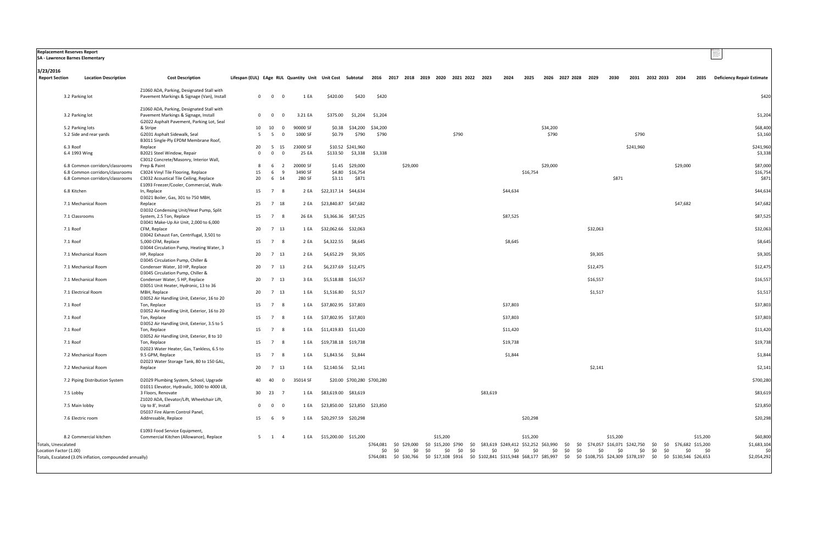|                                    | <b>Replacement Reserves Report</b><br>SA - Lawrence Barnes Elementary |                                                                                                              |                                                                                                  |                                           |                     |                               |                                    |                   |                                                                                                                                                                       |          |                |          |          |          |                     |            |          |          |           |                     |          |            | company<br>System and<br>System and the<br>System and company<br>System and company |
|------------------------------------|-----------------------------------------------------------------------|--------------------------------------------------------------------------------------------------------------|--------------------------------------------------------------------------------------------------|-------------------------------------------|---------------------|-------------------------------|------------------------------------|-------------------|-----------------------------------------------------------------------------------------------------------------------------------------------------------------------|----------|----------------|----------|----------|----------|---------------------|------------|----------|----------|-----------|---------------------|----------|------------|-------------------------------------------------------------------------------------|
| 3/23/2016<br><b>Report Section</b> | <b>Location Description</b>                                           | <b>Cost Description</b>                                                                                      | Lifespan (EUL) EAge RUL Quantity Unit Unit Cost Subtotal 2016 2017 2018 2019 2020 2021 2022 2023 |                                           |                     |                               |                                    |                   |                                                                                                                                                                       |          |                |          | 2024     | 2025     | 2026 2027 2028 2029 |            |          | 2030     |           | 2031 2032 2033 2034 |          | 2035       | <b>Deficiency Repair Estimate</b>                                                   |
|                                    | 3.2 Parking lot                                                       | Z1060 ADA, Parking, Designated Stall with<br>Pavement Markings & Signage (Van), Install                      | $\mathbf{0}$                                                                                     | $\overline{\mathbf{0}}$<br>- 0            | 1 EA                | \$420.00                      | \$420                              | \$420             |                                                                                                                                                                       |          |                |          |          |          |                     |            |          |          |           |                     |          |            | \$420                                                                               |
|                                    | 3.2 Parking lot                                                       | Z1060 ADA, Parking, Designated Stall with<br>Pavement Markings & Signage, Install                            | $\mathbf{0}$                                                                                     | $\overline{\mathbf{0}}$<br>$\overline{0}$ | 3.21 EA             | \$375.00                      |                                    | \$1,204 \$1,204   |                                                                                                                                                                       |          |                |          |          |          |                     |            |          |          |           |                     |          |            | \$1,204                                                                             |
|                                    | 5.2 Parking lots                                                      | G2022 Asphalt Pavement, Parking Lot, Seal<br>& Stripe                                                        | 10                                                                                               | 10<br>$\mathbf{0}$                        | 90000 SF            | \$0.38                        |                                    | \$34,200 \$34,200 |                                                                                                                                                                       |          |                |          |          |          | \$34,200            |            |          |          |           |                     |          |            | \$68,400                                                                            |
|                                    | 5.2 Side and rear yards                                               | G2031 Asphalt Sidewalk, Seal<br>B3011 Single-Ply EPDM Membrane Roof,                                         | 5                                                                                                | $5^{\circ}$<br>$\overline{0}$             | 1000 SF             | \$0.79                        | \$790                              | \$790             |                                                                                                                                                                       |          | \$790          |          |          |          | \$790               |            |          |          | \$790     |                     |          |            | \$3,160                                                                             |
|                                    | 6.3 Roof                                                              | Replace                                                                                                      | 20                                                                                               | 5 15                                      | 23000 SF            |                               | \$10.52 \$241,960                  |                   |                                                                                                                                                                       |          |                |          |          |          |                     |            |          |          | \$241,960 |                     |          |            | \$241,960                                                                           |
|                                    | 6.4 1993 Wing                                                         | B2021 Steel Window, Repair<br>C3012 Concrete/Masonry, Interior Wall,                                         | $\Omega$                                                                                         | $\mathbf 0$<br>$\Omega$                   | 25 EA               | \$133.50                      | \$3,338                            | \$3,338           |                                                                                                                                                                       |          |                |          |          |          |                     |            |          |          |           |                     |          |            | \$3,338                                                                             |
|                                    | 6.8 Common corridors/classrooms<br>6.8 Common corridors/classrooms    | Prep & Paint<br>C3024 Vinyl Tile Flooring, Replace                                                           | 8<br>15                                                                                          | $\overline{2}$<br>- 6<br>6<br>- 9         | 20000 SF<br>3490 SF |                               | \$1.45 \$29,000<br>\$4.80 \$16,754 |                   | \$29,000                                                                                                                                                              |          |                |          |          | \$16,754 | \$29,000            |            |          |          |           |                     | \$29,000 |            | \$87,000<br>\$16,754                                                                |
|                                    | 6.8 Common corridors/classrooms                                       | C3032 Acoustical Tile Ceiling, Replace<br>E1093 Freezer/Cooler, Commercial, Walk-                            | 20                                                                                               | 6 14                                      | 280 SF              | \$3.11                        | \$871                              |                   |                                                                                                                                                                       |          |                |          |          |          |                     |            |          | \$871    |           |                     |          |            | \$871                                                                               |
|                                    | 6.8 Kitchen                                                           | In, Replace<br>D3021 Boiler, Gas, 301 to 750 MBH,                                                            | 15                                                                                               | $7\overline{ }$                           | 2 EA                | \$22,317.14 \$44,634          |                                    |                   |                                                                                                                                                                       |          |                |          | \$44,634 |          |                     |            |          |          |           |                     |          |            | \$44,634                                                                            |
|                                    | 7.1 Mechanical Room                                                   | Replace                                                                                                      | 25                                                                                               | 7 18                                      | 2 EA                | \$23,840.87 \$47,682          |                                    |                   |                                                                                                                                                                       |          |                |          |          |          |                     |            |          |          |           |                     | \$47,682 |            | \$47,682                                                                            |
|                                    | 7.1 Classrooms                                                        | D3032 Condensing Unit/Heat Pump, Split<br>System, 2.5 Ton, Replace<br>D3041 Make-Up Air Unit, 2,000 to 6,000 | 15                                                                                               | 7 8                                       | 26 EA               | \$3,366.36 \$87,525           |                                    |                   |                                                                                                                                                                       |          |                |          | \$87,525 |          |                     |            |          |          |           |                     |          |            | \$87,525                                                                            |
|                                    | 7.1 Roof                                                              | CFM, Replace<br>D3042 Exhaust Fan, Centrifugal, 3,501 to                                                     | 20                                                                                               | 7 13                                      | 1 EA                | \$32,062.66 \$32,063          |                                    |                   |                                                                                                                                                                       |          |                |          |          |          |                     |            | \$32,063 |          |           |                     |          |            | \$32,063                                                                            |
|                                    | 7.1 Roof                                                              | 5,000 CFM, Replace<br>D3044 Circulation Pump, Heating Water, 3                                               | 15                                                                                               | $\overline{7}$                            | 2 EA                | \$4,322.55                    | \$8,645                            |                   |                                                                                                                                                                       |          |                |          | \$8,645  |          |                     |            |          |          |           |                     |          |            | \$8,645                                                                             |
|                                    | 7.1 Mechanical Room                                                   | HP, Replace<br>D3045 Circulation Pump, Chiller &                                                             | 20                                                                                               | 7 13                                      | 2 EA                | \$4,652.29                    | \$9,305                            |                   |                                                                                                                                                                       |          |                |          |          |          |                     |            | \$9,305  |          |           |                     |          |            | \$9,305                                                                             |
|                                    | 7.1 Mechanical Room                                                   | Condenser Water, 10 HP, Replace<br>D3045 Circulation Pump, Chiller &                                         | 20                                                                                               | 7 13                                      | 2 EA                | \$6,237.69 \$12,475           |                                    |                   |                                                                                                                                                                       |          |                |          |          |          |                     |            | \$12,475 |          |           |                     |          |            | \$12,475                                                                            |
|                                    | 7.1 Mechanical Room                                                   | Condenser Water, 5 HP, Replace<br>D3051 Unit Heater, Hydronic, 13 to 36                                      | 20                                                                                               | 7 13                                      | 3 EA                | \$5,518.88 \$16,557           |                                    |                   |                                                                                                                                                                       |          |                |          |          |          |                     |            | \$16,557 |          |           |                     |          |            | \$16,557                                                                            |
|                                    | 7.1 Electrical Room                                                   | MBH, Replace<br>D3052 Air Handling Unit, Exterior, 16 to 20                                                  | 20                                                                                               | 7 13                                      | 1 EA                | \$1,516.80                    | \$1,517                            |                   |                                                                                                                                                                       |          |                |          |          |          |                     |            | \$1,517  |          |           |                     |          |            | \$1,517                                                                             |
|                                    | 7.1 Roof                                                              | Ton, Replace<br>D3052 Air Handling Unit, Exterior, 16 to 20                                                  | 15                                                                                               | $\overline{7}$                            | 1 EA                | \$37,802.95 \$37,803          |                                    |                   |                                                                                                                                                                       |          |                |          | \$37,803 |          |                     |            |          |          |           |                     |          |            | \$37,803                                                                            |
|                                    | 7.1 Roof                                                              | Ton, Replace<br>D3052 Air Handling Unit, Exterior, 3.5 to 5                                                  | 15                                                                                               | 7 8                                       | 1 EA                | \$37,802.95 \$37,803          |                                    |                   |                                                                                                                                                                       |          |                |          | \$37,803 |          |                     |            |          |          |           |                     |          |            | \$37,803                                                                            |
|                                    | 7.1 Roof                                                              | Ton, Replace<br>D3052 Air Handling Unit, Exterior, 8 to 10                                                   | 15                                                                                               | 7 8                                       | 1 EA                | \$11,419.83 \$11,420          |                                    |                   |                                                                                                                                                                       |          |                |          | \$11,420 |          |                     |            |          |          |           |                     |          |            | \$11,420                                                                            |
|                                    | 7.1 Roof                                                              | Ton, Replace<br>D2023 Water Heater, Gas, Tankless, 6.5 to                                                    |                                                                                                  | 15 7 8                                    |                     | 1 EA \$19,738.18 \$19,738     |                                    |                   |                                                                                                                                                                       |          |                |          | \$19,738 |          |                     |            |          |          |           |                     |          |            | \$19,738                                                                            |
|                                    | 7.2 Mechanical Room                                                   | 9.5 GPM, Replace<br>D2023 Water Storage Tank, 80 to 150 GAL,                                                 | 15                                                                                               | 7 8                                       | 1 EA                | \$1,843.56                    | \$1,844                            |                   |                                                                                                                                                                       |          |                |          | \$1,844  |          |                     |            |          |          |           |                     |          |            | \$1,844                                                                             |
|                                    | 7.2 Mechanical Room                                                   | Replace                                                                                                      |                                                                                                  | 20 7 13                                   | 1 EA                | $$2,140.56$ $$2,141$          |                                    |                   |                                                                                                                                                                       |          |                |          |          |          |                     |            | \$2,141  |          |           |                     |          |            | \$2,141                                                                             |
|                                    | 7.2 Piping Distribution System                                        | D2029 Plumbing System, School, Upgrade<br>D1011 Elevator, Hydraulic, 3000 to 4000 LB,                        | 40                                                                                               | 40<br>$\overline{0}$                      | 35014 SF            |                               | \$20.00 \$700,280 \$700,280        |                   |                                                                                                                                                                       |          |                |          |          |          |                     |            |          |          |           |                     |          |            | \$700,280                                                                           |
|                                    | 7.5 Lobby                                                             | 3 Floors, Renovate<br>Z1020 ADA, Elevator/Lift, Wheelchair Lift,                                             |                                                                                                  | 30 23 7                                   | 1 EA                | \$83,619.00 \$83,619          |                                    |                   |                                                                                                                                                                       |          |                | \$83,619 |          |          |                     |            |          |          |           |                     |          |            | \$83,619                                                                            |
|                                    | 7.5 Main lobby                                                        | Up to 8', Install<br>D5037 Fire Alarm Control Panel,                                                         | $\mathbf{0}$                                                                                     | $\overline{\mathbf{0}}$<br>$\overline{0}$ | 1 EA                | \$23,850.00 \$23,850 \$23,850 |                                    |                   |                                                                                                                                                                       |          |                |          |          |          |                     |            |          |          |           |                     |          |            | \$23,850                                                                            |
|                                    | 7.6 Electric room                                                     | Addressable, Replace                                                                                         | 15                                                                                               | 6 9                                       |                     | 1 EA \$20,297.59 \$20,298     |                                    |                   |                                                                                                                                                                       |          |                |          |          | \$20,298 |                     |            |          |          |           |                     |          |            | \$20,298                                                                            |
|                                    | 8.2 Commercial kitchen                                                | E1093 Food Service Equipment,<br>Commercial Kitchen (Allowance), Replace                                     |                                                                                                  | $5 \quad 1 \quad 4$                       |                     | 1 EA \$15,200.00 \$15,200     |                                    |                   |                                                                                                                                                                       | \$15,200 |                |          |          | \$15,200 |                     |            |          | \$15,200 |           |                     |          | \$15,200   | \$60,800                                                                            |
| Totals, Unescalated                |                                                                       |                                                                                                              |                                                                                                  |                                           |                     |                               |                                    |                   | \$764,081 \$0 \$29,000 \$0 \$15,200 \$790 \$0 \$83,619 \$249,412 \$52,252 \$63,990 \$0 \$0 \$74,057 \$16,071 \$242,750 \$0 \$0 \$76,682 \$15,200                      |          |                |          |          |          |                     |            |          |          |           |                     |          |            | \$1,683,104                                                                         |
| Location Factor (1.00)             | Totals, Escalated (3.0% inflation, compounded annually)               |                                                                                                              |                                                                                                  |                                           |                     |                               |                                    |                   | \$0 \$0<br>\$0<br>\$764,081 \$0 \$30,766 \$0 \$17,108 \$916 \$0 \$102,841 \$315,948 \$68,177 \$85,997 \$0 \$0 \$108,755 \$24,309 \$378,197 \$0 \$0 \$130,546 \$26,653 | \$0      | \$0<br>\$0 \$0 | \$0      | \$0      | \$0      | \$0                 | \$0<br>\$0 | \$0      | \$0      | \$0       | \$0 \$0             | \$0      | $\sim$ \$0 | \$2,054,292                                                                         |
|                                    |                                                                       |                                                                                                              |                                                                                                  |                                           |                     |                               |                                    |                   |                                                                                                                                                                       |          |                |          |          |          |                     |            |          |          |           |                     |          |            |                                                                                     |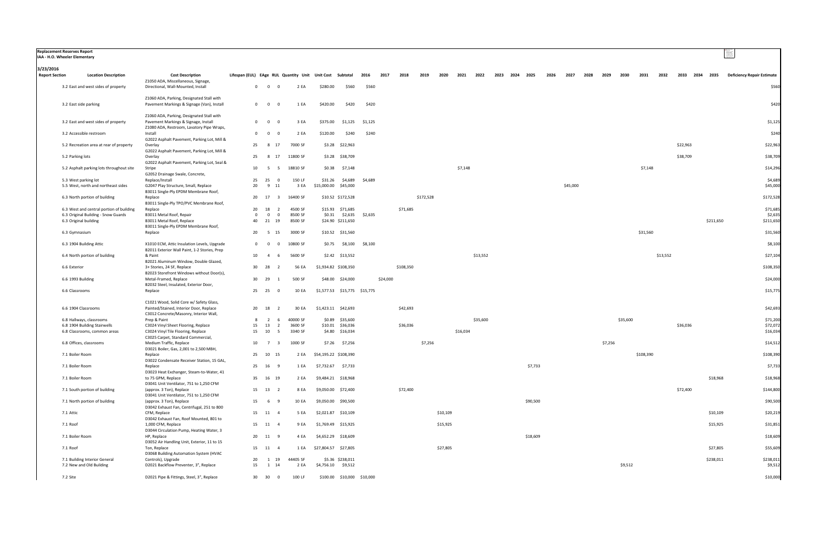|                                    | Replacement Reserves Report<br>IAA - H.O. Wheeler Elementary |                                                                                                                              |                                                          |                                           |                    |                            |                                     |         |          |           |           |          |          |          |      |      |          |      |          |      |         |          |           |          |          |                |           |                                   |
|------------------------------------|--------------------------------------------------------------|------------------------------------------------------------------------------------------------------------------------------|----------------------------------------------------------|-------------------------------------------|--------------------|----------------------------|-------------------------------------|---------|----------|-----------|-----------|----------|----------|----------|------|------|----------|------|----------|------|---------|----------|-----------|----------|----------|----------------|-----------|-----------------------------------|
| 3/23/2016<br><b>Report Section</b> | <b>Location Description</b>                                  | <b>Cost Description</b>                                                                                                      | Lifespan (EUL) EAge RUL Quantity Unit Unit Cost Subtotal |                                           |                    |                            |                                     | 2016    | 2017     | 2018      | 2019      | 2020     | 2021     | 2022     | 2023 | 2024 | 2025     | 2026 | 2027     | 2028 | 2029    | 2030     | 2031      | 2032     |          | 2033 2034 2035 |           | <b>Deficiency Repair Estimate</b> |
|                                    | 3.2 East and west sides of property                          | Z1050 ADA, Miscellaneous, Signage,<br>Directional, Wall-Mounted, Install                                                     | $\overline{0}$                                           | $\overline{0}$<br>$\overline{0}$          | 2 EA               | \$280.00                   | \$560                               | \$560   |          |           |           |          |          |          |      |      |          |      |          |      |         |          |           |          |          |                |           | \$560                             |
|                                    |                                                              | Z1060 ADA, Parking, Designated Stall with                                                                                    |                                                          |                                           |                    |                            |                                     |         |          |           |           |          |          |          |      |      |          |      |          |      |         |          |           |          |          |                |           |                                   |
|                                    | 3.2 East side parking                                        | Pavement Markings & Signage (Van), Install                                                                                   |                                                          | $0\qquad 0$<br>- 0                        | 1 EA               | \$420.00                   | \$420                               | \$420   |          |           |           |          |          |          |      |      |          |      |          |      |         |          |           |          |          |                |           | \$420                             |
|                                    | 3.2 East and west sides of property                          | Z1060 ADA, Parking, Designated Stall with<br>Pavement Markings & Signage, Install                                            | $\mathbf{0}$                                             | $\overline{0}$<br>$\Omega$                | 3 EA               | \$375.00                   | \$1,125                             | \$1,125 |          |           |           |          |          |          |      |      |          |      |          |      |         |          |           |          |          |                |           | \$1,125                           |
|                                    | 3.2 Accessible restroom                                      | Z1080 ADA, Restroom, Lavatory Pipe Wraps,<br>Install                                                                         | $\mathbf{O}$                                             | $\overline{\mathbf{0}}$<br>$\Omega$       | 2 EA               | \$120.00                   | \$240                               | \$240   |          |           |           |          |          |          |      |      |          |      |          |      |         |          |           |          |          |                |           | \$240                             |
|                                    | 5.2 Recreation area at rear of property                      | G2022 Asphalt Pavement, Parking Lot, Mill &<br>Overlay                                                                       | 25                                                       | 17<br>- 8                                 | 7000 SF            |                            | \$3.28 \$22,963                     |         |          |           |           |          |          |          |      |      |          |      |          |      |         |          |           |          | \$22,963 |                |           | \$22,963                          |
|                                    |                                                              | G2022 Asphalt Pavement, Parking Lot, Mill &                                                                                  |                                                          |                                           |                    |                            |                                     |         |          |           |           |          |          |          |      |      |          |      |          |      |         |          |           |          |          |                |           |                                   |
|                                    | 5.2 Parking lots                                             | Overlay<br>G2022 Asphalt Pavement, Parking Lot, Seal &                                                                       | 25                                                       | 17<br>- 8                                 | 11800 SF           |                            | \$3.28 \$38,709                     |         |          |           |           |          |          |          |      |      |          |      |          |      |         |          |           |          | \$38,709 |                |           | \$38,709                          |
|                                    | 5.2 Asphalt parking lots throughout site                     | Stripe<br>G2052 Drainage Swale, Concrete,                                                                                    | 10                                                       | - 5<br>- 5                                | 18810 SF           | \$0.38                     | \$7,148                             |         |          |           |           |          | \$7,148  |          |      |      |          |      |          |      |         |          | \$7,148   |          |          |                |           | \$14,296                          |
|                                    | 5.3 West parking lot<br>5.5 West, north and northeast sides  | Replace/Install<br>G2047 Play Structure, Small, Replace                                                                      | 25<br>20                                                 | 25<br>$\overline{0}$<br>11<br>9           | 150 LF<br>3 EA     | \$31.26<br>\$15,000.00     | \$4,689<br>\$45,000                 | \$4,689 |          |           |           |          |          |          |      |      |          |      | \$45,000 |      |         |          |           |          |          |                |           | \$4,689<br>\$45,000               |
|                                    |                                                              | B3011 Single-Ply EPDM Membrane Roof,                                                                                         |                                                          |                                           |                    |                            |                                     |         |          |           |           |          |          |          |      |      |          |      |          |      |         |          |           |          |          |                |           |                                   |
|                                    | 6.3 North portion of building                                | Replace<br>B3011 Single-Ply TPO/PVC Membrane Roof,                                                                           | 20                                                       | 17                                        | 16400 SF           |                            | \$10.52 \$172,528                   |         |          |           | \$172,528 |          |          |          |      |      |          |      |          |      |         |          |           |          |          |                |           | \$172,528                         |
|                                    | 6.3 West and central portion of building                     | Replace                                                                                                                      | 20                                                       | 18<br>$\overline{2}$                      | 4500 SF            |                            | \$15.93 \$71,685                    |         |          | \$71,685  |           |          |          |          |      |      |          |      |          |      |         |          |           |          |          |                |           | \$71,685                          |
|                                    | 6.3 Original Building - Snow Guards<br>6.3 Original building | B3011 Metal Roof, Repair<br>B3011 Metal Roof, Replace                                                                        | $\Omega$<br>40                                           | $\Omega$<br>$\Omega$<br>21 19             | 8500 SF<br>8500 SF |                            | \$0.31 \$2,635<br>\$24.90 \$211,650 | \$2,635 |          |           |           |          |          |          |      |      |          |      |          |      |         |          |           |          |          |                | \$211,650 | \$2,63<br>\$211,650               |
|                                    | 6.3 Gymnasium                                                | B3011 Single-Ply EPDM Membrane Roof,<br>Replace                                                                              | 20                                                       | 5 15                                      | 3000 SF            |                            | \$10.52 \$31,560                    |         |          |           |           |          |          |          |      |      |          |      |          |      |         |          | \$31,560  |          |          |                |           | \$31,560                          |
|                                    | 6.3 1904 Building Attic                                      | X1010 ECM, Attic Insulation Levels, Upgrade                                                                                  | $\mathbf{O}$                                             | $\mathbf{0}$<br>$\mathbf{0}$              | 10800 SF           | \$0.75                     | \$8,100                             | \$8,100 |          |           |           |          |          |          |      |      |          |      |          |      |         |          |           |          |          |                |           | \$8,100                           |
|                                    | 6.4 North portion of building                                | B2011 Exterior Wall Paint, 1-2 Stories, Prep<br>& Paint                                                                      | 10                                                       | $\overline{4}$<br>- 6                     | 5600 SF            |                            | \$2.42 \$13,552                     |         |          |           |           |          |          | \$13,552 |      |      |          |      |          |      |         |          |           | \$13,552 |          |                |           | \$27,104                          |
|                                    | 6.6 Exterior                                                 | B2021 Aluminum Window, Double Glazed,<br>3+ Stories, 24 SF, Replace                                                          | 30                                                       | 28<br>2                                   | 56 EA              |                            | \$1,934.82 \$108,350                |         |          | \$108,350 |           |          |          |          |      |      |          |      |          |      |         |          |           |          |          |                |           | \$108,350                         |
|                                    | 6.6 1993 Building                                            | B2023 Storefront Windows without Door(s),<br>Metal-Framed, Replace                                                           | 30                                                       | 29                                        | 500 SF             |                            | \$48.00 \$24,000                    |         | \$24,000 |           |           |          |          |          |      |      |          |      |          |      |         |          |           |          |          |                |           | \$24,000                          |
|                                    | 6.6 Classrooms                                               | B2032 Steel, Insulated, Exterior Door,<br>Replace                                                                            |                                                          | 25 25<br>- 0                              | 10 EA              |                            | \$1,577.53 \$15,775 \$15,775        |         |          |           |           |          |          |          |      |      |          |      |          |      |         |          |           |          |          |                |           | \$15,775                          |
|                                    |                                                              |                                                                                                                              |                                                          |                                           |                    |                            |                                     |         |          |           |           |          |          |          |      |      |          |      |          |      |         |          |           |          |          |                |           |                                   |
|                                    | 6.6 1904 Classrooms                                          | C1021 Wood, Solid Core w/ Safety Glass,<br>Painted/Stained, Interior Door, Replace<br>C3012 Concrete/Masonry, Interior Wall, |                                                          | 20 18<br>$\overline{\mathbf{2}}$          | 30 EA              |                            | \$1,423.11 \$42,693                 |         |          | \$42,693  |           |          |          |          |      |      |          |      |          |      |         |          |           |          |          |                |           | \$42,693                          |
|                                    | 6.8 Hallways, classrooms                                     | Prep & Paint                                                                                                                 |                                                          | $\overline{2}$<br>6                       | 40000 SF           |                            | \$0.89 \$35,600                     |         |          |           |           |          |          | \$35,600 |      |      |          |      |          |      |         | \$35,600 |           |          |          |                |           | \$71,200                          |
|                                    | 6.8 1904 Building Stairwells<br>6.8 Classrooms, common areas | C3024 Vinyl Sheet Flooring, Replace<br>C3024 Vinyl Tile Flooring, Replace                                                    | 15<br>15                                                 | 13<br>$\overline{2}$<br>10<br>- 5         | 3600 SF<br>3340 SF |                            | \$10.01 \$36,036<br>\$4.80 \$16,034 |         |          | \$36,036  |           |          | \$16,034 |          |      |      |          |      |          |      |         |          |           |          | \$36,036 |                |           | \$72,07<br>\$16,034               |
|                                    |                                                              | C3025 Carpet, Standard Commercial,                                                                                           |                                                          |                                           |                    |                            |                                     |         |          |           |           |          |          |          |      |      |          |      |          |      |         |          |           |          |          |                |           |                                   |
|                                    | 6.8 Offices, classrooms                                      | Medium Traffic, Replace<br>D3021 Boiler, Gas, 2,001 to 2,500 MBH,                                                            | 10                                                       | $\overline{7}$<br>$\overline{\mathbf{3}}$ | 1000 SF            | \$7.26                     | \$7,256                             |         |          |           | \$7,256   |          |          |          |      |      |          |      |          |      | \$7,256 |          |           |          |          |                |           | \$14,512                          |
|                                    | 7.1 Boiler Room                                              | Replace<br>D3022 Condensate Receiver Station, 15 GAL,                                                                        |                                                          | 25 10 15                                  |                    | 2 EA \$54,195.22 \$108,390 |                                     |         |          |           |           |          |          |          |      |      |          |      |          |      |         |          | \$108,390 |          |          |                |           | \$108,390                         |
|                                    | 7.1 Boiler Room                                              | Replace<br>D3023 Heat Exchanger, Steam-to-Water, 41                                                                          |                                                          | 25 16 9                                   | 1 EA               |                            | \$7,732.67 \$7,733                  |         |          |           |           |          |          |          |      |      | \$7,733  |      |          |      |         |          |           |          |          |                |           | \$7,733                           |
|                                    | 7.1 Boiler Room                                              | to 75 GPM, Replace<br>D3041 Unit Ventilator, 751 to 1,250 CFM                                                                |                                                          | 35 16 19                                  | 2 EA               |                            | \$9,484.21 \$18,968                 |         |          |           |           |          |          |          |      |      |          |      |          |      |         |          |           |          |          |                | \$18,968  | \$18,968                          |
|                                    | 7.1 South portion of building                                | (approx. 3 Ton), Replace                                                                                                     |                                                          | 15 13 2                                   | 8 EA               |                            | \$9,050.00 \$72,400                 |         |          | \$72,400  |           |          |          |          |      |      |          |      |          |      |         |          |           |          | \$72,400 |                |           | \$144,800                         |
|                                    | 7.1 North portion of building                                | D3041 Unit Ventilator, 751 to 1,250 CFM<br>(approx. 3 Ton), Replace<br>D3042 Exhaust Fan, Centrifugal, 251 to 800            |                                                          | 15 6 9                                    | 10 EA              |                            | \$9,050.00 \$90,500                 |         |          |           |           |          |          |          |      |      | \$90,500 |      |          |      |         |          |           |          |          |                |           | \$90,500                          |
|                                    | 7.1 Attic                                                    | CFM, Replace<br>D3042 Exhaust Fan, Roof Mounted, 801 to                                                                      |                                                          | 15 11 4                                   | 5 EA               |                            | \$2,021.87 \$10,109                 |         |          |           |           | \$10,109 |          |          |      |      |          |      |          |      |         |          |           |          |          |                | \$10,109  | \$20,219                          |
|                                    | 7.1 Roof                                                     | 1,000 CFM, Replace<br>D3044 Circulation Pump, Heating Water, 3                                                               |                                                          | 15 11 4                                   | 9 EA               |                            | \$1,769.49 \$15,925                 |         |          |           |           | \$15,925 |          |          |      |      |          |      |          |      |         |          |           |          |          |                | \$15,925  | \$31,851                          |
|                                    | 7.1 Boiler Room                                              | HP, Replace<br>D3052 Air Handling Unit, Exterior, 11 to 15                                                                   |                                                          | 20 11 9                                   | 4 EA               |                            | \$4,652.29 \$18,609                 |         |          |           |           |          |          |          |      |      | \$18,609 |      |          |      |         |          |           |          |          |                |           | \$18,609                          |
|                                    | 7.1 Roof                                                     | Ton, Replace<br>D3068 Building Automation System (HVAC                                                                       |                                                          | 15 11 4                                   | 1 EA               | \$27,804.57 \$27,805       |                                     |         |          |           |           | \$27,805 |          |          |      |      |          |      |          |      |         |          |           |          |          |                | \$27,805  | \$55,609                          |
|                                    | 7.1 Building Interior General                                | Controls), Upgrade                                                                                                           | 20                                                       | 1 19                                      | 44405 SF           |                            | \$5.36 \$238,011                    |         |          |           |           |          |          |          |      |      |          |      |          |      |         |          |           |          |          |                | \$238,011 | \$238,011                         |
|                                    | 7.2 New and Old Building                                     | D2021 Backflow Preventer, 3", Replace                                                                                        | 15                                                       | 1 14                                      | 2 EA               |                            | \$4,756.10 \$9,512                  |         |          |           |           |          |          |          |      |      |          |      |          |      |         | \$9,512  |           |          |          |                |           | \$9,512                           |
|                                    | 7.2 Site                                                     | D2021 Pipe & Fittings, Steel, 3", Replace                                                                                    |                                                          | 30 30<br>$\overline{0}$                   | 100 LF             |                            | \$100.00 \$10,000 \$10,000          |         |          |           |           |          |          |          |      |      |          |      |          |      |         |          |           |          |          |                |           | \$10,000                          |

|  | 3/23/2016 |
|--|-----------|
|--|-----------|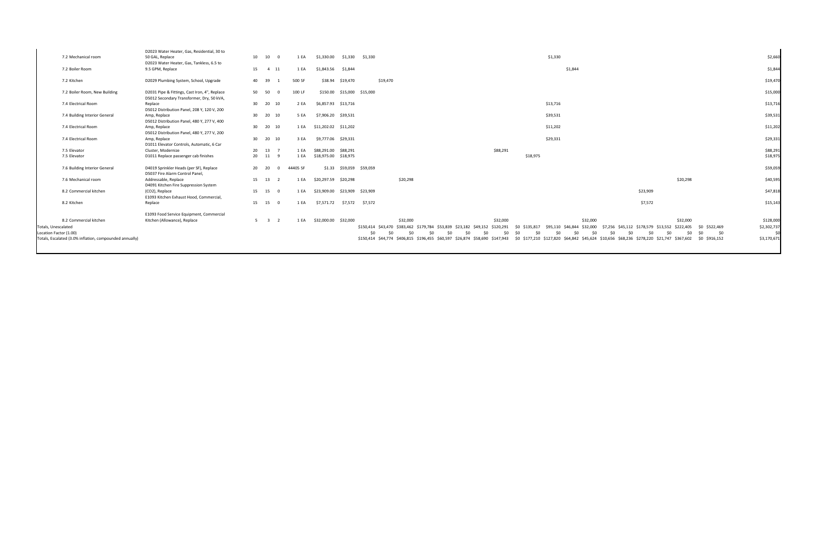|                                                         | D2023 Water Heater, Gas, Residential, 30 to                                                |    |                                   |                            |                               |          |                            |                                                                                                                     |                                                                               |                                                                                                               |                    |
|---------------------------------------------------------|--------------------------------------------------------------------------------------------|----|-----------------------------------|----------------------------|-------------------------------|----------|----------------------------|---------------------------------------------------------------------------------------------------------------------|-------------------------------------------------------------------------------|---------------------------------------------------------------------------------------------------------------|--------------------|
| 7.2 Mechanical room                                     | 50 GAL, Replace                                                                            | 10 | 10<br>$\Omega$                    | 1 EA                       | \$1,330.00                    | \$1,330  | \$1,330                    |                                                                                                                     | \$1,330                                                                       |                                                                                                               | \$2,660            |
|                                                         | D2023 Water Heater, Gas, Tankless, 6.5 to                                                  |    |                                   |                            |                               |          |                            |                                                                                                                     |                                                                               |                                                                                                               |                    |
| 7.2 Boiler Room                                         | 9.5 GPM, Replace                                                                           |    | 15 4 11                           | 1 EA                       | \$1,843.56                    | \$1,844  |                            |                                                                                                                     | \$1,844                                                                       |                                                                                                               | \$1,844            |
| 7.2 Kitchen                                             | D2029 Plumbing System, School, Upgrade                                                     |    | 40 39<br>$\overline{1}$           | 500 SF                     | \$38.94                       | \$19,470 | \$19,470                   |                                                                                                                     |                                                                               |                                                                                                               | \$19,470           |
| 7.2 Boiler Room, New Building                           | D2031 Pipe & Fittings, Cast Iron, 4", Replace<br>D5012 Secondary Transformer, Dry, 50 kVA, |    | 50 50<br>$\Omega$                 | 100 LF                     |                               |          | \$150.00 \$15,000 \$15,000 |                                                                                                                     |                                                                               |                                                                                                               | \$15,000           |
| 7.4 Electrical Room                                     | Replace<br>D5012 Distribution Panel, 208 Y, 120 V, 200                                     |    | 30 20 10                          | 2 EA                       | \$6,857.93 \$13,716           |          |                            |                                                                                                                     | \$13,716                                                                      |                                                                                                               | \$13,716           |
| 7.4 Building Interior General                           | Amp, Replace<br>D5012 Distribution Panel, 480 Y, 277 V, 400                                |    | 30 20 10                          | 5 EA                       | \$7,906.20                    | \$39,531 |                            |                                                                                                                     | \$39,531                                                                      |                                                                                                               | \$39,531           |
| 7.4 Electrical Room                                     | Amp, Replace<br>D5012 Distribution Panel, 480 Y, 277 V, 200                                |    | 30  20  10                        | 1 EA                       | \$11,202.02 \$11,202          |          |                            |                                                                                                                     | \$11,202                                                                      |                                                                                                               | \$11,202           |
| 7.4 Electrical Room                                     | Amp, Replace<br>D1011 Elevator Controls, Automatic, 6 Car                                  |    | 30 20 10                          | 3 EA                       | \$9,777.06 \$29,331           |          |                            |                                                                                                                     | \$29,331                                                                      |                                                                                                               | \$29,331           |
| 7.5 Elevator                                            | Cluster, Modernize                                                                         |    | 20 13<br>$\overline{7}$           | 1 FA                       | \$88,291.00                   | \$88,291 |                            | \$88,291                                                                                                            |                                                                               |                                                                                                               | \$88,291           |
| 7.5 Elevator                                            | D1011 Replace passenger cab finishes                                                       |    | 20 11<br>- 9                      | 1 EA                       | \$18,975.00 \$18,975          |          |                            |                                                                                                                     | \$18,975                                                                      |                                                                                                               | \$18,975           |
| 7.6 Building Interior General                           | D4019 Sprinkler Heads (per SF), Replace<br>D5037 Fire Alarm Control Panel,                 |    | 20 20                             | $\overline{0}$<br>44405 SF |                               |          | \$1.33 \$59,059 \$59,059   |                                                                                                                     |                                                                               |                                                                                                               | \$59,059           |
| 7.6 Mechanical room                                     | Addressable, Replace<br>D4091 Kitchen Fire Suppression System                              |    | 15 13<br>$\overline{\phantom{a}}$ | 1 EA                       | \$20,297.59 \$20,298          |          |                            | \$20,298                                                                                                            |                                                                               | \$20,298                                                                                                      | \$40,595           |
| 8.2 Commercial kitchen                                  | (CO2), Replace<br>E1093 Kitchen Exhaust Hood, Commercial,                                  |    | 15 15 0                           | 1 EA                       | \$23,909.00 \$23,909 \$23,909 |          |                            |                                                                                                                     |                                                                               | \$23,909                                                                                                      | \$47,818           |
| 8.2 Kitchen                                             | Replace                                                                                    |    | 15 15 0                           | 1 EA                       |                               |          | \$7,571.72 \$7,572 \$7,572 |                                                                                                                     |                                                                               | \$7,572                                                                                                       | \$15,143           |
|                                                         | E1093 Food Service Equipment, Commercial                                                   |    |                                   |                            |                               |          |                            |                                                                                                                     |                                                                               |                                                                                                               |                    |
| 8.2 Commercial kitchen                                  | Kitchen (Allowance), Replace                                                               |    | $5 \quad 3 \quad 2$               | 1 EA                       | \$32,000.00 \$32,000          |          |                            | \$32,000<br>\$32,000                                                                                                | \$32,000                                                                      | \$32,000                                                                                                      | \$128,000          |
| Totals, Unescalated<br>Location Factor (1.00)           |                                                                                            |    |                                   |                            |                               |          | 50<br>\$0                  | \$150,414 \$43,470 \$383,462 \$179,784 \$53,839 \$23,182 \$49,152 \$120,291<br>50<br>\$0<br>\$0<br>\$0<br>50<br>\$0 | \$95,110 \$46,844 \$32,000<br>\$0 \$135,817<br>\$0<br>50<br>\$0<br>\$0<br>\$0 | \$0 \$522,469<br>\$7,256 \$45,112 \$178,579 \$13,552 \$222,405<br>\$0<br>\$0<br>\$0<br>50<br>50<br>SO.<br>\$0 | \$2,302,737<br>\$C |
| Totals, Escalated (3.0% inflation, compounded annually) |                                                                                            |    |                                   |                            |                               |          |                            | \$150,414 \$44,774 \$406,815 \$196,455 \$60,597 \$26,874 \$58,690 \$147,943                                         |                                                                               | \$0 \$177,210 \$127,820 \$64,842 \$45,624 \$10,656 \$68,236 \$278,220 \$21,747 \$367,602 \$0 \$916,152        | \$3,170,671        |
|                                                         |                                                                                            |    |                                   |                            |                               |          |                            |                                                                                                                     |                                                                               |                                                                                                               |                    |

| \$2,660              |               |     |           |     |                                       |          |      |
|----------------------|---------------|-----|-----------|-----|---------------------------------------|----------|------|
| \$1,844              |               |     |           |     |                                       |          |      |
| \$19,470             |               |     |           |     |                                       |          |      |
| \$15,000             |               |     |           |     |                                       |          |      |
| \$13,716             |               |     |           |     |                                       |          |      |
| \$39,531             |               |     |           |     |                                       |          |      |
| \$11,202             |               |     |           |     |                                       |          |      |
| \$29,331             |               |     |           |     |                                       |          |      |
| \$88,291<br>\$18,975 |               |     |           |     |                                       |          |      |
| \$59,059             |               |     |           |     |                                       |          |      |
| \$40,595             |               |     | \$20,298  |     |                                       |          |      |
| \$47,818             |               |     |           |     | \$23,909                              |          |      |
| \$15,143             |               |     |           |     | \$7,572                               |          |      |
|                      |               |     |           |     |                                       |          |      |
| \$128,000            |               |     | \$32,000  |     |                                       |          |      |
| \$2,302,737          | \$0 \$522,469 |     | \$222,405 |     | \$178,579 \$13,552                    | \$45,112 | ,256 |
| \$0                  | \$0           | \$0 | \$0       | \$0 | \$0                                   | \$0      | \$0  |
| \$3,170,671          | \$0 \$916,152 |     |           |     | \$68,236 \$278,220 \$21,747 \$367,602 |          | ,656 |
|                      |               |     |           |     |                                       |          |      |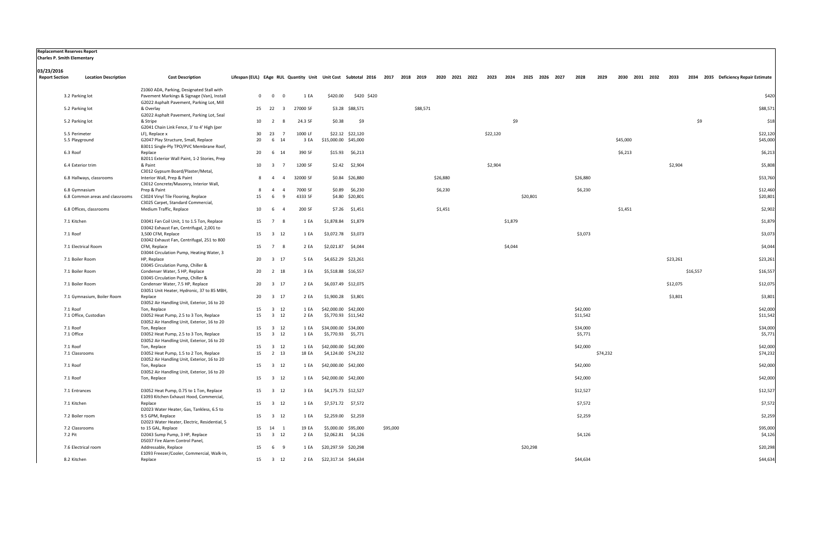| <b>Charles P. Smith Elementary</b> | <b>Replacement Reserves Report</b>               |                                                                                                                     |                                                                                             |                                             |                    |                           |                                     |          |          |         |          |         |          |                     |          |          |          |                |      |          |          |                                      |
|------------------------------------|--------------------------------------------------|---------------------------------------------------------------------------------------------------------------------|---------------------------------------------------------------------------------------------|---------------------------------------------|--------------------|---------------------------|-------------------------------------|----------|----------|---------|----------|---------|----------|---------------------|----------|----------|----------|----------------|------|----------|----------|--------------------------------------|
| 03/23/2016                         |                                                  |                                                                                                                     |                                                                                             |                                             |                    |                           |                                     |          |          |         |          |         |          |                     |          |          |          |                |      |          |          |                                      |
| <b>Report Section</b>              | <b>Location Description</b>                      | <b>Cost Description</b>                                                                                             | Lifespan (EUL) EAge RUL Quantity Unit Unit Cost Subtotal 2016 2017 2018 2019 2020 2021 2022 |                                             |                    |                           |                                     |          |          |         | 2023     |         |          | 2024 2025 2026 2027 | 2028     | 2029     |          | 2030 2031 2032 | 2033 |          |          | 2034 2035 Deficiency Repair Estimate |
|                                    |                                                  | Z1060 ADA, Parking, Designated Stall with                                                                           |                                                                                             |                                             |                    |                           |                                     |          |          |         |          |         |          |                     |          |          |          |                |      |          |          |                                      |
|                                    | 3.2 Parking lot                                  | Pavement Markings & Signage (Van), Install<br>G2022 Asphalt Pavement, Parking Lot, Mill                             |                                                                                             | $0\qquad 0$<br>$\overline{\mathbf{0}}$      | 1 EA               | \$420.00                  | \$420 \$420                         |          |          |         |          |         |          |                     |          |          |          |                |      |          |          | \$420                                |
|                                    | 5.2 Parking lot                                  | & Overlay                                                                                                           |                                                                                             | 25 22<br>$\overline{\mathbf{3}}$            | 27000 SF           |                           | \$3.28 \$88,571                     |          | \$88,571 |         |          |         |          |                     |          |          |          |                |      |          |          | \$88,571                             |
|                                    | 5.2 Parking lot                                  | G2022 Asphalt Pavement, Parking Lot, Seal<br>& Stripe<br>G2041 Chain Link Fence, 3' to 4' High (per                 | 10                                                                                          | $\overline{2}$<br>-8                        | 24.3 SF            | \$0.38                    | \$9                                 |          |          |         |          | \$9     |          |                     |          |          |          |                |      |          | \$9      | \$18                                 |
|                                    | 5.5 Perimeter                                    | LF), Replace x                                                                                                      | 30                                                                                          | 23<br>- 7                                   | 1000 LF            |                           | \$22.12 \$22,120                    |          |          |         | \$22,120 |         |          |                     |          |          |          |                |      |          |          | \$22,120                             |
|                                    | 5.5 Playground                                   | G2047 Play Structure, Small, Replace<br>B3011 Single-Ply TPO/PVC Membrane Roof,                                     | 20                                                                                          | 14<br>6                                     | 3 EA               | \$15,000.00 \$45,000      |                                     |          |          |         |          |         |          |                     |          |          | \$45,000 |                |      |          |          | \$45,000                             |
|                                    | 6.3 Roof                                         | Replace<br>B2011 Exterior Wall Paint, 1-2 Stories, Prep                                                             | 20                                                                                          | 6<br>14                                     | 390 SF             |                           | $$15.93$ $$6,213$                   |          |          |         |          |         |          |                     |          |          | \$6,213  |                |      |          |          | \$6,213                              |
|                                    | 6.4 Exterior trim                                | & Paint                                                                                                             | 10                                                                                          | $\overline{\mathbf{3}}$<br>- 7              | 1200 SF            |                           | $$2.42$ $$2,904$                    |          |          |         | \$2,904  |         |          |                     |          |          |          |                |      | \$2,904  |          | \$5,808                              |
|                                    | 6.8 Hallways, classrooms                         | C3012 Gypsum Board/Plaster/Metal,<br>Interior Wall, Prep & Paint                                                    |                                                                                             | 8 4<br>$\overline{4}$                       | 32000 SF           |                           | \$0.84 \$26,880                     |          | \$26,880 |         |          |         |          |                     | \$26,880 |          |          |                |      |          |          | \$53,760                             |
|                                    |                                                  | C3012 Concrete/Masonry, Interior Wall,                                                                              |                                                                                             |                                             |                    |                           |                                     |          |          |         |          |         |          |                     |          |          |          |                |      |          |          |                                      |
|                                    | 6.8 Gymnasium<br>6.8 Common areas and classrooms | Prep & Paint<br>C3024 Vinyl Tile Flooring, Replace<br>C3025 Carpet, Standard Commercial,                            | 8<br>15                                                                                     | $\overline{4}$<br>$\overline{a}$<br>-9<br>6 | 7000 SF<br>4333 SF |                           | $$0.89$ $$6,230$<br>\$4.80 \$20,801 |          |          | \$6,230 |          |         | \$20,801 |                     | \$6,230  |          |          |                |      |          |          | \$12,460<br>\$20,801                 |
|                                    | 6.8 Offices, classrooms                          | Medium Traffic, Replace                                                                                             | 10                                                                                          | 6<br>-4                                     | 200 SF             |                           | \$7.26 \$1,451                      |          |          | \$1,451 |          |         |          |                     |          |          | \$1,451  |                |      |          |          | \$2,902                              |
|                                    | 7.1 Kitchen                                      | D3041 Fan Coil Unit, 1 to 1.5 Ton, Replace                                                                          | 15                                                                                          | $\overline{7}$<br>-8                        | 1 EA               | \$1,878.84 \$1,879        |                                     |          |          |         |          | \$1,879 |          |                     |          |          |          |                |      |          |          | \$1,879                              |
|                                    | 7.1 Roof                                         | D3042 Exhaust Fan, Centrifugal, 2,001 to<br>3,500 CFM, Replace<br>D3042 Exhaust Fan, Centrifugal, 251 to 800        | 15                                                                                          | $\overline{\mathbf{3}}$<br>12               | 1 EA               | \$3,072.78 \$3,073        |                                     |          |          |         |          |         |          |                     | \$3,073  |          |          |                |      |          |          | \$3,073                              |
|                                    | 7.1 Electrical Room                              | CFM, Replace<br>D3044 Circulation Pump, Heating Water, 3                                                            | 15                                                                                          | $\overline{7}$                              | 2 EA               | \$2,021.87                | \$4,044                             |          |          |         |          | \$4,044 |          |                     |          |          |          |                |      |          |          | \$4,044                              |
|                                    | 7.1 Boiler Room                                  | HP, Replace                                                                                                         | 20                                                                                          | $\overline{\mathbf{3}}$<br>17               | 5 EA               | \$4,652.29 \$23,261       |                                     |          |          |         |          |         |          |                     |          |          |          |                |      | \$23,261 |          | \$23,261                             |
|                                    | 7.1 Boiler Room                                  | D3045 Circulation Pump, Chiller &<br>Condenser Water, 5 HP, Replace                                                 | 20                                                                                          | $\overline{2}$<br>18                        | 3 EA               | \$5,518.88 \$16,557       |                                     |          |          |         |          |         |          |                     |          |          |          |                |      |          | \$16,557 | \$16,557                             |
|                                    | 7.1 Boiler Room                                  | D3045 Circulation Pump, Chiller &<br>Condenser Water, 7.5 HP, Replace<br>D3051 Unit Heater, Hydronic, 37 to 85 MBH, | 20                                                                                          | $\overline{\mathbf{3}}$<br>17               | 2 EA               | \$6,037.49 \$12,075       |                                     |          |          |         |          |         |          |                     |          |          |          |                |      | \$12,075 |          | \$12,075                             |
|                                    | 7.1 Gymnasium, Boiler Room                       | Replace<br>D3052 Air Handling Unit, Exterior, 16 to 20                                                              | 20                                                                                          | 3 17                                        | 2 EA               | \$1,900.28 \$3,801        |                                     |          |          |         |          |         |          |                     |          |          |          |                |      | \$3,801  |          | \$3,801                              |
|                                    | 7.1 Roof                                         | Ton, Replace                                                                                                        | 15                                                                                          | 3 12                                        | 1 EA               | \$42,000.00 \$42,000      |                                     |          |          |         |          |         |          |                     | \$42,000 |          |          |                |      |          |          | \$42,000                             |
|                                    | 7.1 Office, Custodian                            | D3052 Heat Pump, 2.5 to 3 Ton, Replace<br>D3052 Air Handling Unit, Exterior, 16 to 20                               | 15                                                                                          | $3 \quad 12$                                | 2 EA               | \$5,770.93 \$11,542       |                                     |          |          |         |          |         |          |                     | \$11,542 |          |          |                |      |          |          | \$11,542                             |
|                                    | 7.1 Roof                                         | Ton, Replace                                                                                                        | 15                                                                                          | $\overline{\mathbf{3}}$<br>12               | 1 EA               | \$34,000.00 \$34,000      |                                     |          |          |         |          |         |          |                     | \$34,000 |          |          |                |      |          |          | \$34,000                             |
|                                    | 7.1 Office                                       | D3052 Heat Pump, 2.5 to 3 Ton, Replace<br>D3052 Air Handling Unit, Exterior, 16 to 20                               | 15                                                                                          | 3 12                                        | 1 EA               | \$5,770.93 \$5,771        |                                     |          |          |         |          |         |          |                     | \$5,771  |          |          |                |      |          |          | \$5,771                              |
|                                    | 7.1 Roof                                         | Ton, Replace                                                                                                        | 15                                                                                          | $3 \quad 12$                                | 1 EA               | \$42,000.00 \$42,000      |                                     |          |          |         |          |         |          |                     | \$42,000 |          |          |                |      |          |          | \$42,000                             |
|                                    | 7.1 Classrooms                                   | D3052 Heat Pump, 1.5 to 2 Ton, Replace<br>D3052 Air Handling Unit, Exterior, 16 to 20                               | 15                                                                                          | 2 13                                        | 18 EA              | \$4,124.00 \$74,232       |                                     |          |          |         |          |         |          |                     |          | \$74,232 |          |                |      |          |          | \$74,232                             |
|                                    | 7.1 Roof                                         | Ton, Replace<br>D3052 Air Handling Unit, Exterior, 16 to 20                                                         |                                                                                             | 15 3 12                                     | 1 EA               | \$42,000.00 \$42,000      |                                     |          |          |         |          |         |          |                     | \$42,000 |          |          |                |      |          |          | \$42,000                             |
|                                    | 7.1 Roof                                         | Ton, Replace                                                                                                        |                                                                                             | 15 3 12                                     | 1 EA               | \$42,000.00 \$42,000      |                                     |          |          |         |          |         |          |                     | \$42,000 |          |          |                |      |          |          | \$42,000                             |
|                                    | 7.1 Entrances                                    | D3052 Heat Pump, 0.75 to 1 Ton, Replace<br>E1093 Kitchen Exhaust Hood, Commercial,                                  |                                                                                             | 15 3 12                                     | 3 EA               | \$4,175.73 \$12,527       |                                     |          |          |         |          |         |          |                     | \$12,527 |          |          |                |      |          |          | \$12,527                             |
|                                    | 7.1 Kitchen                                      | Replace<br>D2023 Water Heater, Gas, Tankless, 6.5 to                                                                |                                                                                             | 15 3 12                                     | 1 EA               | \$7,571.72 \$7,572        |                                     |          |          |         |          |         |          |                     | \$7,572  |          |          |                |      |          |          | \$7,572                              |
|                                    | 7.2 Boiler room                                  | 9.5 GPM, Replace<br>D2023 Water Heater, Electric, Residential, 5                                                    |                                                                                             | 15 3 12                                     | 1 EA               | \$2,259.00 \$2,259        |                                     |          |          |         |          |         |          |                     | \$2,259  |          |          |                |      |          |          | \$2,259                              |
|                                    | 7.2 Classrooms                                   | to 15 GAL, Replace                                                                                                  | 15                                                                                          | 14 1                                        | 19 EA              | \$5,000.00 \$95,000       |                                     | \$95,000 |          |         |          |         |          |                     |          |          |          |                |      |          |          | \$95,000                             |
|                                    | 7.2 Pit                                          | D2043 Sump Pump, 3 HP, Replace<br>D5037 Fire Alarm Control Panel,                                                   |                                                                                             | 15 3 12                                     | 2 EA               | \$2,062.81 \$4,126        |                                     |          |          |         |          |         |          |                     | \$4,126  |          |          |                |      |          |          | \$4,126                              |
|                                    | 7.6 Electrical room                              | Addressable, Replace<br>E1093 Freezer/Cooler, Commercial, Walk-In,                                                  | 15                                                                                          | 6 9                                         | 1 EA               | \$20,297.59 \$20,298      |                                     |          |          |         |          |         | \$20,298 |                     |          |          |          |                |      |          |          | \$20,298                             |
|                                    | 8.2 Kitchen                                      | Replace                                                                                                             |                                                                                             | 15 3 12                                     |                    | 2 EA \$22,317.14 \$44,634 |                                     |          |          |         |          |         |          |                     | \$44,634 |          |          |                |      |          |          | \$44,634                             |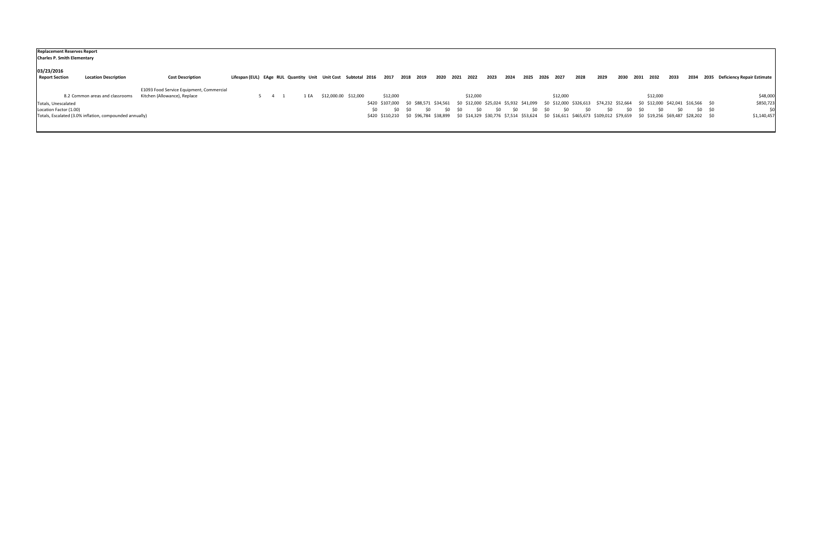| <b>Replacement Reserves Report</b><br><b>Charles P. Smith Elementary</b> |                                          |                                                                              |      |                      |          |                  |    |                |           |          |              |     |             |                |      |      |      |                                                                                                                                                           |      |      |         |                                 |
|--------------------------------------------------------------------------|------------------------------------------|------------------------------------------------------------------------------|------|----------------------|----------|------------------|----|----------------|-----------|----------|--------------|-----|-------------|----------------|------|------|------|-----------------------------------------------------------------------------------------------------------------------------------------------------------|------|------|---------|---------------------------------|
| 03/23/2016<br><b>Report Section</b><br><b>Location Description</b>       | <b>Cost Description</b>                  | Lifespan (EUL) EAge RUL Quantity Unit Unit Cost Subtotal 2016 2017 2018 2019 |      |                      |          |                  |    | 2020 2021 2022 |           |          | 2024<br>2023 |     |             | 2025 2026 2027 | 2028 | 2029 | 2030 | 2032<br>2031                                                                                                                                              | 2033 | 2034 |         | 2035 Deficiency Repair Estimate |
|                                                                          | E1093 Food Service Equipment, Commercial |                                                                              |      |                      |          |                  |    |                |           |          |              |     |             |                |      |      |      |                                                                                                                                                           |      |      |         |                                 |
| 8.2 Common areas and classrooms                                          | Kitchen (Allowance), Replace             |                                                                              | 1 EA | \$12,000.00 \$12,000 | \$12,000 |                  |    |                |           | \$12,000 |              |     |             | \$12,000       |      |      |      | \$12,000                                                                                                                                                  |      |      |         | \$48,000                        |
| Totals, Unescalated                                                      |                                          |                                                                              |      |                      |          |                  |    |                |           |          |              |     |             |                |      |      |      | \$420 \$107,000 \$0 \$88,571 \$34,561 \$0 \$12,000 \$25,024 \$5,932 \$41,099 \$0 \$12,000 \$326,613 \$74,232 \$52,664 \$0 \$12,000 \$42,041 \$16,566 \$0  |      |      |         | \$850,723                       |
| Location Factor (1.00)                                                   |                                          |                                                                              |      |                      | \$0      | <b>SO</b><br>-SO | S0 | -SO            | <b>SO</b> | SO.      | SO.          | -SO | - SO<br>S0. | - SO           | -SO  | \$0  | SO.  | - SO                                                                                                                                                      | SO.  | \$0  | \$0 \$0 | \$0                             |
| Totals, Escalated (3.0% inflation, compounded annually)                  |                                          |                                                                              |      |                      |          |                  |    |                |           |          |              |     |             |                |      |      |      | \$420 \$110,210 \$0 \$96,784 \$38,899 \$0 \$14,329 \$30,776 \$7,514 \$53,624 \$0 \$16,611 \$465,673 \$109,012 \$79,659 \$0 \$19,256 \$69,487 \$28,202 \$0 |      |      |         | \$1,140,457                     |
|                                                                          |                                          |                                                                              |      |                      |          |                  |    |                |           |          |              |     |             |                |      |      |      |                                                                                                                                                           |      |      |         |                                 |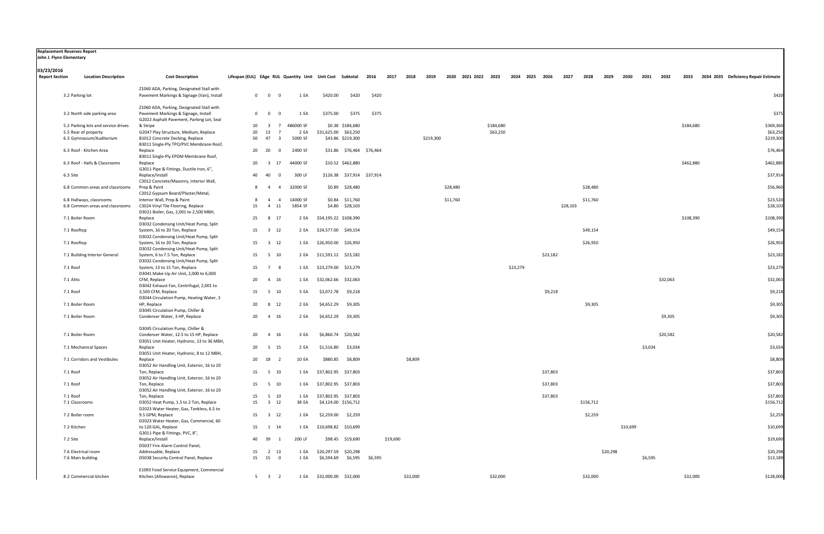| <b>03/23/2016</b>     |                                     |                                                                                         |                                                               |                                           |           |                            |                           |                 |           |           |          |                     |           |          |                |          |          |           |          |          |         |          |           |                                           |
|-----------------------|-------------------------------------|-----------------------------------------------------------------------------------------|---------------------------------------------------------------|-------------------------------------------|-----------|----------------------------|---------------------------|-----------------|-----------|-----------|----------|---------------------|-----------|----------|----------------|----------|----------|-----------|----------|----------|---------|----------|-----------|-------------------------------------------|
| <b>Report Section</b> | <b>Location Description</b>         | <b>Cost Description</b>                                                                 | Lifespan (EUL) EAge RUL Quantity Unit Unit Cost Subtotal 2016 |                                           |           |                            |                           |                 | 2017 2018 | 2019      |          | 2020 2021 2022 2023 |           |          | 2024 2025 2026 |          | 2027     | 2028      | 2029     | 2030     | 2031    | 2032     |           | 2033 2034 2035 Deficiency Repair Estimate |
|                       | 3.2 Parking lot                     | Z1060 ADA, Parking, Designated Stall with<br>Pavement Markings & Signage (Van), Install |                                                               | $0\qquad 0$<br>$\overline{\mathbf{0}}$    | 1 EA      | \$420.00                   | \$420                     | \$420           |           |           |          |                     |           |          |                |          |          |           |          |          |         |          |           | \$420                                     |
|                       | 3.2 North side parking area         | Z1060 ADA, Parking, Designated Stall with<br>Pavement Markings & Signage, Install       |                                                               | $0\qquad 0$<br>$\overline{0}$             | 1 EA      | \$375.00                   | \$375                     | \$375           |           |           |          |                     |           |          |                |          |          |           |          |          |         |          |           | \$375                                     |
|                       | 5.2 Parking lots and service drives | G2022 Asphalt Pavement, Parking Lot, Seal<br>& Stripe                                   | 10                                                            | $\overline{\mathbf{3}}$<br>$\overline{7}$ | 486000 SF |                            | \$0.38 \$184,680          |                 |           |           |          |                     | \$184,680 |          |                |          |          |           |          |          |         |          | \$184,680 | \$369,360                                 |
|                       | 5.5 Rear of property                | G2047 Play Structure, Medium, Replace                                                   | 20                                                            | 13<br>$\overline{7}$                      | 2 EA      | \$31,625.00 \$63,250       |                           |                 |           |           |          |                     | \$63,250  |          |                |          |          |           |          |          |         |          |           | \$63,250                                  |
|                       | 6.3 Gymnasium/Auditorium            | B1012 Concrete Decking, Replace<br>B3011 Single-Ply TPO/PVC Membrane Roof,              | 50                                                            | 47<br>$\overline{\mathbf{3}}$             | 5000 SF   |                            | \$43.86 \$219,300         |                 |           | \$219,300 |          |                     |           |          |                |          |          |           |          |          |         |          |           | \$219,300                                 |
|                       | 6.3 Roof - Kitchen Area             | Replace<br>B3011 Single-Ply EPDM Membrane Roof,                                         | 20                                                            | 20<br>$\Omega$                            | 2400 SF   |                            | \$31.86 \$76,464 \$76,464 |                 |           |           |          |                     |           |          |                |          |          |           |          |          |         |          |           | \$76,464                                  |
|                       | 6.3 Roof - Halls & Classrooms       | Replace<br>G3011 Pipe & Fittings, Ductile Iron, 6",                                     | 20                                                            | 17<br>3                                   | 44000 SF  |                            | \$10.52 \$462,880         |                 |           |           |          |                     |           |          |                |          |          |           |          |          |         |          | \$462,880 | \$462,880                                 |
| 6.3 Site              |                                     | Replace/Install<br>C3012 Concrete/Masonry, Interior Wall,                               | 40                                                            | 40<br>$\Omega$                            | 300 LF    | \$126.38 \$37,914 \$37,914 |                           |                 |           |           |          |                     |           |          |                |          |          |           |          |          |         |          |           | \$37,914                                  |
|                       | 6.8 Common areas and classrooms     | Prep & Paint<br>C3012 Gypsum Board/Plaster/Metal,                                       | 8                                                             | $\overline{4}$<br>$\overline{4}$          | 32000 SF  | \$0.89                     | \$28,480                  |                 |           |           | \$28,480 |                     |           |          |                |          |          | \$28,480  |          |          |         |          |           | \$56,960                                  |
|                       | 6.8 Hallways, classrooms            | Interior Wall, Prep & Paint                                                             | 8                                                             | $\overline{4}$<br>-4                      | 14000 SF  | \$0.84                     | \$11,760                  |                 |           |           | \$11,760 |                     |           |          |                |          |          | \$11,760  |          |          |         |          |           | \$23,520                                  |
|                       | 6.8 Common areas and classrooms     | C3024 Vinyl Tile Flooring, Replace<br>D3021 Boiler, Gas, 2,001 to 2,500 MBH,            | 15                                                            | 4 11                                      | 5854 SF   |                            | \$4.80 \$28,103           |                 |           |           |          |                     |           |          |                |          | \$28,103 |           |          |          |         |          |           | \$28,103                                  |
|                       | 7.1 Boiler Room                     | Replace<br>D3032 Condensing Unit/Heat Pump, Split                                       | 25                                                            | 8 17                                      | 2 EA      | \$54,195.22 \$108,390      |                           |                 |           |           |          |                     |           |          |                |          |          |           |          |          |         |          | \$108,390 | \$108,390                                 |
|                       | 7.1 Rooftop                         | System, 16 to 20 Ton, Replace<br>D3032 Condensing Unit/Heat Pump, Split                 | 15                                                            | $3 \quad 12$                              | 2 EA      | \$24,577.00 \$49,154       |                           |                 |           |           |          |                     |           |          |                |          |          | \$49,154  |          |          |         |          |           | \$49,154                                  |
|                       | 7.1 Rooftop                         | System, 16 to 20 Ton, Replace<br>D3032 Condensing Unit/Heat Pump, Split                 | 15                                                            | $3 \quad 12$                              |           | 1 EA \$26,950.00 \$26,950  |                           |                 |           |           |          |                     |           |          |                |          |          | \$26,950  |          |          |         |          |           | \$26,950                                  |
|                       | 7.1 Building Interior General       | System, 6 to 7.5 Ton, Replace<br>D3032 Condensing Unit/Heat Pump, Split                 | 15                                                            | 5 10                                      |           | 2 EA \$11,591.12 \$23,182  |                           |                 |           |           |          |                     |           |          |                | \$23,182 |          |           |          |          |         |          |           | \$23,182                                  |
| 7.1 Roof              |                                     | System, 13 to 15 Ton, Replace<br>D3041 Make-Up Air Unit, 2,000 to 6,000                 | 15                                                            | $\overline{7}$<br>- 8                     | 1 EA      | \$23,279.00 \$23,279       |                           |                 |           |           |          |                     |           | \$23,279 |                |          |          |           |          |          |         |          |           | \$23,279                                  |
| 7.1 Attic             |                                     | CFM, Replace<br>D3042 Exhaust Fan, Centrifugal, 2,001 to                                | 20                                                            | 4 16                                      | 1 EA      | \$32,062.66                | \$32,063                  |                 |           |           |          |                     |           |          |                |          |          |           |          |          |         | \$32,063 |           | \$32,063                                  |
| 7.1 Roof              |                                     | 3,500 CFM, Replace<br>D3044 Circulation Pump, Heating Water, 3                          | 15                                                            | 5 10                                      | 3 EA      | \$3,072.78                 | \$9,218                   |                 |           |           |          |                     |           |          |                | \$9,218  |          |           |          |          |         |          |           | \$9,218                                   |
|                       | 7.1 Boiler Room                     | HP, Replace<br>D3045 Circulation Pump, Chiller &                                        | 20                                                            | 8 12                                      | 2 EA      | \$4,652.29                 | \$9,305                   |                 |           |           |          |                     |           |          |                |          |          | \$9,305   |          |          |         |          |           | \$9,305                                   |
|                       | 7.1 Boiler Room                     | Condenser Water, 3 HP, Replace                                                          | 20                                                            | 4 16                                      | 2 EA      | \$4,652.29                 | \$9,305                   |                 |           |           |          |                     |           |          |                |          |          |           |          |          |         | \$9,305  |           | \$9,305                                   |
|                       | 7.1 Boiler Room                     | D3045 Circulation Pump, Chiller &<br>Condenser Water, 12.5 to 15 HP, Replace            | 20                                                            | 4 16                                      | 3 EA      | \$6,860.74 \$20,582        |                           |                 |           |           |          |                     |           |          |                |          |          |           |          |          |         | \$20,582 |           | \$20,582                                  |
|                       |                                     | D3051 Unit Heater, Hydronic, 13 to 36 MBH,                                              |                                                               |                                           |           |                            |                           |                 |           |           |          |                     |           |          |                |          |          |           |          |          |         |          |           |                                           |
|                       | 7.1 Mechanical Spaces               | Replace<br>D3051 Unit Heater, Hydronic, 8 to 12 MBH,                                    | 20                                                            | 5 15                                      | 2 EA      | \$1,516.80                 | \$3,034                   |                 |           |           |          |                     |           |          |                |          |          |           |          |          | \$3,034 |          |           | \$3,034                                   |
|                       | 7.1 Corridors and Vestibules        | Replace<br>D3052 Air Handling Unit, Exterior, 16 to 20                                  |                                                               | 20 18 2                                   | 10 EA     | \$880.85                   | \$8,809                   |                 | \$8,809   |           |          |                     |           |          |                |          |          |           |          |          |         |          |           | \$8,809                                   |
| 7.1 Roof              |                                     | Ton, Replace<br>D3052 Air Handling Unit, Exterior, 16 to 20                             |                                                               | 15 5 10                                   | 1 EA      | \$37,802.95 \$37,803       |                           |                 |           |           |          |                     |           |          |                | \$37,803 |          |           |          |          |         |          |           | \$37,803                                  |
| 7.1 Roof              |                                     | Ton, Replace<br>D3052 Air Handling Unit, Exterior, 16 to 20                             |                                                               | 15 5 10                                   |           | 1 EA \$37,802.95 \$37,803  |                           |                 |           |           |          |                     |           |          |                | \$37,803 |          |           |          |          |         |          |           | \$37,803                                  |
| 7.1 Roof              |                                     | Ton, Replace                                                                            | 15                                                            | 5 10                                      | 1 EA      | \$37,802.95 \$37,803       |                           |                 |           |           |          |                     |           |          |                | \$37,803 |          |           |          |          |         |          |           | \$37,803                                  |
|                       | 7.1 Classrooms                      | D3052 Heat Pump, 1.5 to 2 Ton, Replace<br>D2023 Water Heater, Gas, Tankless, 6.5 to     | 15                                                            | 3 12                                      | 38 EA     | \$4,124.00 \$156,712       |                           |                 |           |           |          |                     |           |          |                |          |          | \$156,712 |          |          |         |          |           | \$156,712                                 |
|                       | 7.2 Boiler room                     | 9.5 GPM, Replace<br>D2023 Water Heater, Gas, Commercial, 60                             |                                                               | 15 3 12                                   | 1 EA      | \$2,259.00                 | \$2,259                   |                 |           |           |          |                     |           |          |                |          |          | \$2,259   |          |          |         |          |           | \$2,259                                   |
|                       | 7.2 Kitchen                         | to 120 GAL, Replace<br>G3011 Pipe & Fittings, PVC, 8",                                  | 15                                                            | 1 14                                      | 1 EA      | \$10,698.82 \$10,699       |                           |                 |           |           |          |                     |           |          |                |          |          |           |          | \$10,699 |         |          |           | \$10,699                                  |
| 7.2 Site              |                                     | Replace/Install<br>D5037 Fire Alarm Control Panel,                                      | 40                                                            | 39<br>- 1                                 | 200 LF    |                            | \$98.45 \$19,690          |                 | \$19,690  |           |          |                     |           |          |                |          |          |           |          |          |         |          |           | \$19,690                                  |
|                       | 7.6 Electrical room                 | Addressable, Replace                                                                    | 15                                                            | 2 13                                      | 1 EA      | \$20,297.59 \$20,298       |                           |                 |           |           |          |                     |           |          |                |          |          |           | \$20,298 |          |         |          |           | \$20,298                                  |
|                       | 7.6 Main building                   | D5038 Security Control Panel, Replace                                                   | 15                                                            | 15 0                                      | 1 EA      | \$6,594.69                 |                           | \$6,595 \$6,595 |           |           |          |                     |           |          |                |          |          |           |          |          | \$6,595 |          |           | \$13,189                                  |
|                       |                                     |                                                                                         |                                                               |                                           |           |                            |                           |                 |           |           |          |                     |           |          |                |          |          |           |          |          |         |          |           |                                           |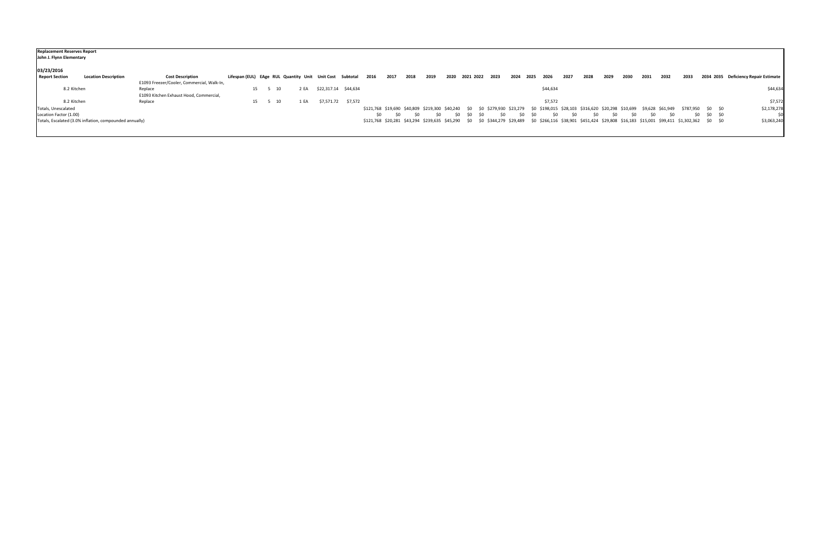| John J. Flynn Elementary                                | <b>Replacement Reserves Report</b> |                                                    |    |      |                                                          |      |                      |      |      |      |      |      |             |           |                                                                                                                                                                    |      |      |          |      |      |      |      |      |      |                   |             |                                      |
|---------------------------------------------------------|------------------------------------|----------------------------------------------------|----|------|----------------------------------------------------------|------|----------------------|------|------|------|------|------|-------------|-----------|--------------------------------------------------------------------------------------------------------------------------------------------------------------------|------|------|----------|------|------|------|------|------|------|-------------------|-------------|--------------------------------------|
| 03/23/2016<br><b>Report Section</b>                     | <b>Location Description</b>        | <b>Cost Description</b>                            |    |      | Lifespan (EUL) EAge RUL Quantity Unit Unit Cost Subtotal |      |                      | 2016 | 2017 | 2018 | 2019 | 2020 |             | 2021 2022 | 2023                                                                                                                                                               | 2024 | 2025 | 2026     | 2027 | 2028 | 2029 | 2030 | 2031 | 2032 | 2033              |             | 2034 2035 Deficiency Repair Estimate |
|                                                         |                                    | E1093 Freezer/Cooler, Commercial, Walk-In,         |    |      |                                                          |      |                      |      |      |      |      |      |             |           |                                                                                                                                                                    |      |      |          |      |      |      |      |      |      |                   |             |                                      |
| 8.2 Kitchen                                             |                                    | Replace<br>E1093 Kitchen Exhaust Hood, Commercial, | 15 | - 10 |                                                          | 2 EA | \$22,317.14 \$44,634 |      |      |      |      |      |             |           |                                                                                                                                                                    |      |      | \$44,634 |      |      |      |      |      |      |                   |             | \$44,634                             |
| 8.2 Kitchen                                             |                                    | Replace                                            | 15 | 10   | 1 EA                                                     |      | \$7,571.72 \$7,572   |      |      |      |      |      |             |           |                                                                                                                                                                    |      |      | \$7,572  |      |      |      |      |      |      |                   |             | \$7,572                              |
| Totals, Unescalated                                     |                                    |                                                    |    |      |                                                          |      |                      |      |      |      |      |      |             |           | \$121,768 \$19,690 \$40,809 \$219,300 \$40,240 \$0 \$0 \$279,930 \$23,279 \$0 \$198,015 \$28,103 \$316,620 \$20,298 \$10,699 \$9,628 \$61,949                      |      |      |          |      |      |      |      |      |      | \$787,950 \$0 \$0 |             | \$2,178,278                          |
| Location Factor (1.00)                                  |                                    |                                                    |    |      |                                                          |      |                      | \$0  | -SO  |      | SO.  |      | - SO<br>-SO | - SO      | SO.                                                                                                                                                                | SO.  | - SO | SO.      | SO.  |      |      | SO.  |      | SO.  |                   | \$0 \$0 \$0 | \$0                                  |
| Totals, Escalated (3.0% inflation, compounded annually) |                                    |                                                    |    |      |                                                          |      |                      |      |      |      |      |      |             |           | \$121,768 \$20,281 \$43,294 \$239,635 \$45,290 \$0 \$0 \$344,279 \$29,489 \$0 \$266,116 \$38,901 \$451,424 \$29,808 \$16,183 \$15,001 \$99,411 \$1,302,362 \$0 \$0 |      |      |          |      |      |      |      |      |      |                   |             | \$3,063,240                          |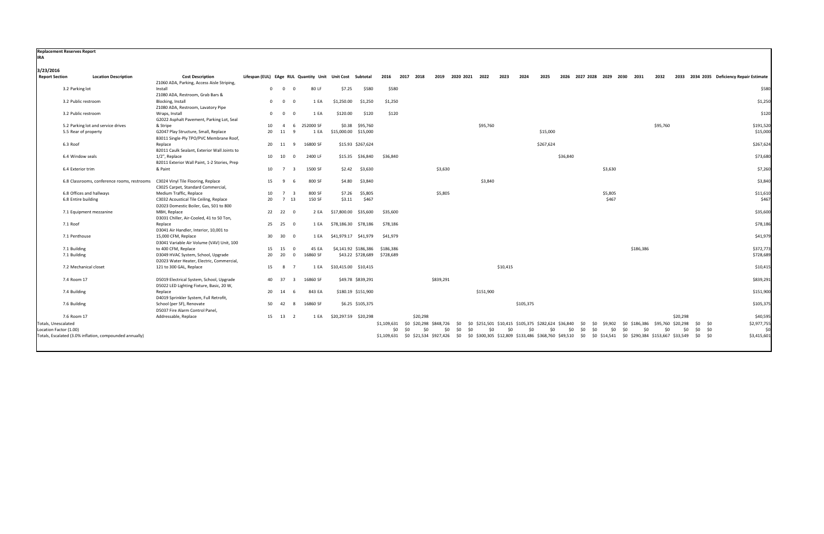| <b>Replacement Reserves Report</b> |                                                         |                                                                                      |              |                         |                                     |                                                          |          |                   |                                                                                            |     |                     |            |           |           |          |                               |             |           |           |          |                                                                                                                                                      |                                           |
|------------------------------------|---------------------------------------------------------|--------------------------------------------------------------------------------------|--------------|-------------------------|-------------------------------------|----------------------------------------------------------|----------|-------------------|--------------------------------------------------------------------------------------------|-----|---------------------|------------|-----------|-----------|----------|-------------------------------|-------------|-----------|-----------|----------|------------------------------------------------------------------------------------------------------------------------------------------------------|-------------------------------------------|
| <b>IRA</b>                         |                                                         |                                                                                      |              |                         |                                     |                                                          |          |                   |                                                                                            |     |                     |            |           |           |          |                               |             |           |           |          |                                                                                                                                                      |                                           |
| 3/23/2016                          |                                                         |                                                                                      |              |                         |                                     |                                                          |          |                   |                                                                                            |     |                     |            |           |           |          |                               |             |           |           |          |                                                                                                                                                      |                                           |
| <b>Report Section</b>              | <b>Location Description</b>                             | <b>Cost Description</b><br>Z1060 ADA, Parking, Access Aisle Striping,                |              |                         |                                     | Lifespan (EUL) EAge RUL Quantity Unit Unit Cost Subtotal |          | 2016<br>2017 2018 |                                                                                            |     | 2019 2020 2021 2022 | 2023       | 2024      | 2025      |          | 2026 2027 2028 2029 2030 2031 |             |           |           | 2032     |                                                                                                                                                      | 2033 2034 2035 Deficiency Repair Estimate |
|                                    | 3.2 Parking lot                                         | Install                                                                              | $\mathbf{0}$ | $\overline{\mathbf{0}}$ | 80 LF<br>$\Omega$                   | \$7.25                                                   | \$580    | \$580             |                                                                                            |     |                     |            |           |           |          |                               |             |           |           |          |                                                                                                                                                      | \$580                                     |
|                                    |                                                         | Z1080 ADA, Restroom, Grab Bars &                                                     |              |                         |                                     |                                                          |          |                   |                                                                                            |     |                     |            |           |           |          |                               |             |           |           |          |                                                                                                                                                      |                                           |
|                                    | 3.2 Public restroom                                     | Blocking, Install<br>Z1080 ADA, Restroom, Lavatory Pipe                              | $\mathbf{0}$ | $\overline{0}$          | 1 EA<br>$\Omega$                    | \$1,250.00                                               | \$1,250  | \$1,250           |                                                                                            |     |                     |            |           |           |          |                               |             |           |           |          |                                                                                                                                                      | \$1,250                                   |
|                                    | 3.2 Public restroom                                     | Wraps, Install<br>G2022 Asphalt Pavement, Parking Lot, Seal                          | $\mathbf{0}$ | $\overline{\mathbf{0}}$ | 1 EA<br>$\Omega$                    | \$120.00                                                 | \$120    | \$120             |                                                                                            |     |                     |            |           |           |          |                               |             |           |           |          |                                                                                                                                                      | \$120                                     |
|                                    | 5.2 Parking lot and service drives                      | & Stripe                                                                             | 10           | $\overline{4}$          | 252000 SF<br>6                      | \$0.38                                                   | \$95,760 |                   |                                                                                            |     | \$95,760            |            |           |           |          |                               |             |           |           | \$95,760 |                                                                                                                                                      | \$191,520                                 |
|                                    | 5.5 Rear of property                                    | G2047 Play Structure, Small, Replace<br>B3011 Single-Ply TPO/PVC Membrane Roof,      | 20           | 11                      | 1 EA<br>-9                          | \$15,000.00 \$15,000                                     |          |                   |                                                                                            |     |                     |            |           | \$15,000  |          |                               |             |           |           |          |                                                                                                                                                      | \$15,000                                  |
|                                    | 6.3 Roof                                                | Replace<br>B2011 Caulk Sealant, Exterior Wall Joints to                              |              | 20 11                   | 16800 SF<br>9                       | \$15.93 \$267,624                                        |          |                   |                                                                                            |     |                     |            |           | \$267,624 |          |                               |             |           |           |          |                                                                                                                                                      | \$267,624                                 |
|                                    | 6.4 Window seals                                        | 1/2", Replace<br>B2011 Exterior Wall Paint, 1-2 Stories, Prep                        |              | 10 10                   | 2400 LF<br>$\overline{0}$           | \$15.35 \$36,840                                         |          | \$36,840          |                                                                                            |     |                     |            |           |           | \$36,840 |                               |             |           |           |          |                                                                                                                                                      | \$73,680                                  |
|                                    | 6.4 Exterior trim                                       | & Paint                                                                              | 10           | $\overline{7}$          | 1500 SF<br>$\overline{\mathbf{3}}$  | \$2.42                                                   | \$3,630  |                   | \$3,630                                                                                    |     |                     |            |           |           |          |                               | \$3,630     |           |           |          |                                                                                                                                                      | \$7,260                                   |
|                                    | 6.8 Classrooms, conference rooms, restrooms             | C3024 Vinyl Tile Flooring, Replace<br>C3025 Carpet, Standard Commercial,             | 15           | - 9                     | 800 SF<br>- 6                       | \$4.80                                                   | \$3,840  |                   |                                                                                            |     | \$3,840             |            |           |           |          |                               |             |           |           |          |                                                                                                                                                      | \$3,840                                   |
|                                    | 6.8 Offices and hallways                                | Medium Traffic, Replace                                                              | 10           | $\overline{7}$          | 800 SF<br>$\overline{\mathbf{3}}$   | \$7.26                                                   | \$5,805  |                   | \$5,805                                                                                    |     |                     |            |           |           |          |                               | \$5,805     |           |           |          |                                                                                                                                                      | \$11,610                                  |
|                                    | 6.8 Entire building                                     | C3032 Acoustical Tile Ceiling, Replace<br>D2023 Domestic Boiler, Gas, 501 to 800     | 20           | 7 13                    | 150 SF                              | \$3.11                                                   | \$467    |                   |                                                                                            |     |                     |            |           |           |          |                               | \$467       |           |           |          |                                                                                                                                                      | \$467                                     |
|                                    | 7.1 Equipment mezzanine                                 | MBH, Replace<br>D3031 Chiller, Air-Cooled, 41 to 50 Ton,                             |              | 22 22 0                 | 2 EA                                | \$17,800.00 \$35,600                                     |          | \$35,600          |                                                                                            |     |                     |            |           |           |          |                               |             |           |           |          |                                                                                                                                                      | \$35,600                                  |
|                                    | 7.1 Roof                                                | Replace<br>D3041 Air Handler, Interior, 10,001 to                                    |              | 25 25                   | $\overline{\mathbf{0}}$<br>1 EA     | \$78,186.30                                              | \$78,186 | \$78,186          |                                                                                            |     |                     |            |           |           |          |                               |             |           |           |          |                                                                                                                                                      | \$78,186                                  |
|                                    | 7.1 Penthouse                                           | 15,000 CFM, Replace<br>D3041 Variable Air Volume (VAV) Unit, 100                     | 30           | 30                      | $\overline{0}$<br>1 EA              | \$41,979.17 \$41,979                                     |          | \$41,979          |                                                                                            |     |                     |            |           |           |          |                               |             |           |           |          |                                                                                                                                                      | \$41,979                                  |
|                                    | 7.1 Building                                            | to 400 CFM, Replace                                                                  | 15           | 15                      | 45 EA<br>$\overline{0}$             | \$4,141.92 \$186,386                                     |          | \$186,386         |                                                                                            |     |                     |            |           |           |          |                               |             |           | \$186,386 |          |                                                                                                                                                      | \$372,773                                 |
|                                    | 7.1 Building                                            | D3049 HVAC System, School, Upgrade<br>D2023 Water Heater, Electric, Commercial,      | 20           | 20                      | 16860 SF<br>$\overline{0}$          | \$43.22 \$728,689 \$728,689                              |          |                   |                                                                                            |     |                     |            |           |           |          |                               |             |           |           |          |                                                                                                                                                      | \$728,689                                 |
|                                    | 7.2 Mechanical closet                                   | 121 to 300 GAL, Replace                                                              | 15           | 8                       | $\overline{7}$<br>1 EA              | \$10,415.00 \$10,415                                     |          |                   |                                                                                            |     |                     | \$10,415   |           |           |          |                               |             |           |           |          |                                                                                                                                                      | \$10,415                                  |
|                                    | 7.4 Room 17                                             | D5019 Electrical System, School, Upgrade<br>D5022 LED Lighting Fixture, Basic, 20 W, |              | 40 37                   | 16860 SF<br>$\overline{\mathbf{3}}$ | \$49.78 \$839,291                                        |          |                   | \$839,291                                                                                  |     |                     |            |           |           |          |                               |             |           |           |          |                                                                                                                                                      | \$839,291                                 |
|                                    | 7.4 Building                                            | Replace                                                                              | 20           | 14                      | 843 EA<br>- 6                       | \$180.19 \$151,900                                       |          |                   |                                                                                            |     | \$151,900           |            |           |           |          |                               |             |           |           |          |                                                                                                                                                      | \$151,900                                 |
|                                    |                                                         | D4019 Sprinkler System, Full Retrofit,                                               |              |                         |                                     |                                                          |          |                   |                                                                                            |     |                     |            |           |           |          |                               |             |           |           |          |                                                                                                                                                      |                                           |
|                                    | 7.6 Building                                            | School (per SF), Renovate<br>D5037 Fire Alarm Control Panel,                         | 50           | 42                      | 16860 SF<br>8                       | \$6.25 \$105,375                                         |          |                   |                                                                                            |     |                     |            | \$105,375 |           |          |                               |             |           |           |          |                                                                                                                                                      | \$105,375                                 |
|                                    | 7.6 Room 17                                             | Addressable, Replace                                                                 | 15           | 13                      | 1 EA<br>$\overline{2}$              | \$20,297.59 \$20,298                                     |          |                   | \$20,298                                                                                   |     |                     |            |           |           |          |                               |             |           |           |          | \$20,298                                                                                                                                             | \$40,595                                  |
| Totals, Unescalated                |                                                         |                                                                                      |              |                         |                                     |                                                          |          |                   | \$1,109,631 \$0 \$20,298 \$848,726 \$0 \$0 \$251,501 \$10,415 \$105,375 \$282,624 \$36,840 |     |                     |            |           |           |          | \$0                           | \$0 \$9,902 |           |           |          | \$0 \$186,386 \$95,760 \$20,298<br>\$0 \$0                                                                                                           | \$2,977,755                               |
| Location Factor (1.00)             |                                                         |                                                                                      |              |                         |                                     |                                                          |          | \$0<br><b>SO</b>  | $50^{\circ}$<br>\$0                                                                        | \$0 | $50^{\circ}$        | \$0<br>\$0 | \$0       | \$0       | \$0      | \$0<br>\$0                    |             | 50<br>\$0 | \$0       | \$0      | \$0 \$0<br>\$0                                                                                                                                       | 50                                        |
|                                    | Totals, Escalated (3.0% inflation, compounded annually) |                                                                                      |              |                         |                                     |                                                          |          |                   |                                                                                            |     |                     |            |           |           |          |                               |             |           |           |          | \$1,109,631 \$0 \$21,534 \$927,426 \$0 \$0 \$300,305 \$12,809 \$133,486 \$368,760 \$49,510 \$0 \$0 \$14,541 \$0 \$290,384 \$153,667 \$33,549 \$0 \$0 | \$3,415,601                               |